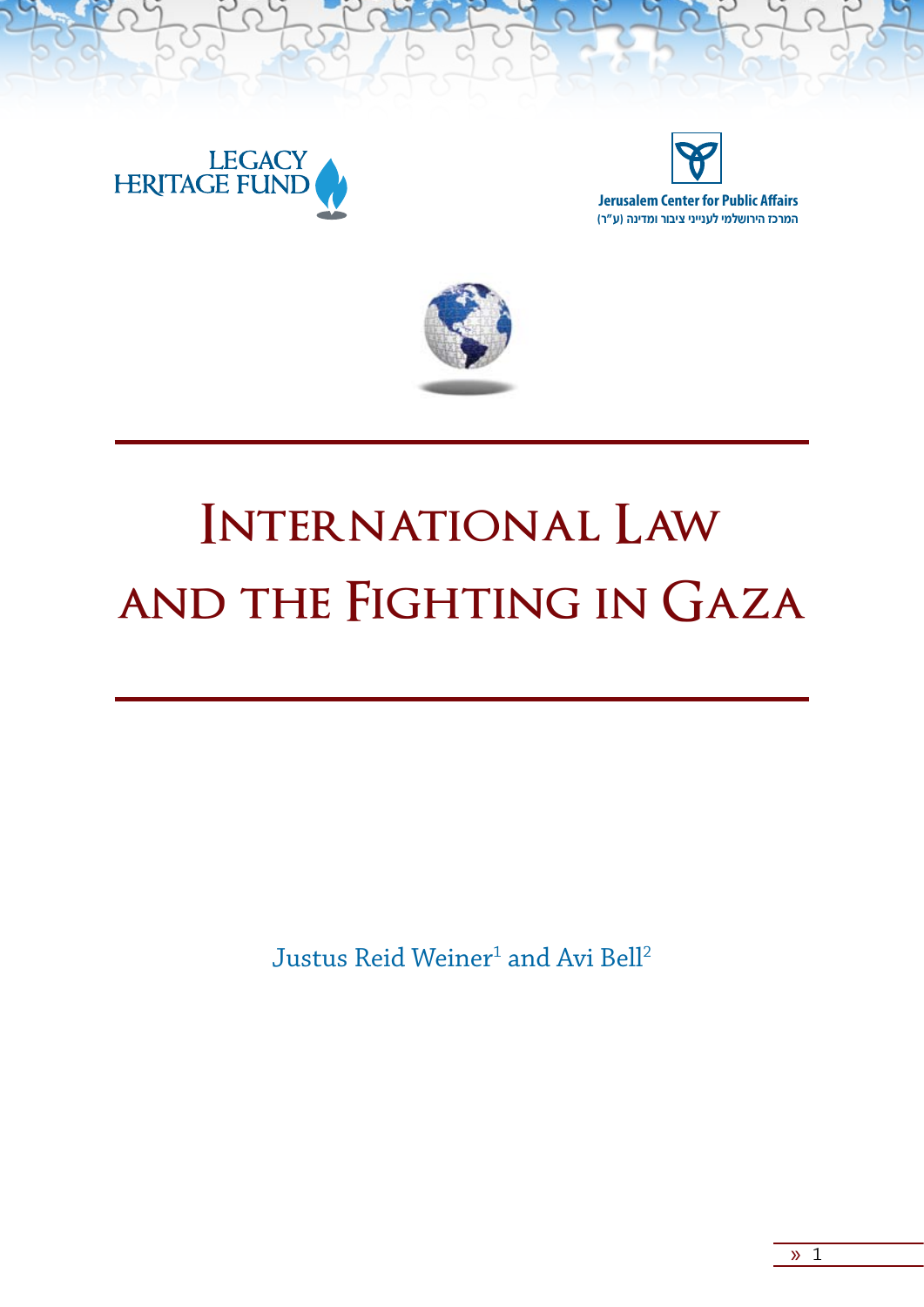

**Jerusalem Center for Public Affairs המרכז הירושלמי לענייני ציבור ומדינה )ע"ר(**





# **International Law and the Fighting in Gaza**

 ${\rm Justus}$  Reid Weiner $^1$  and Avi Bell $^2$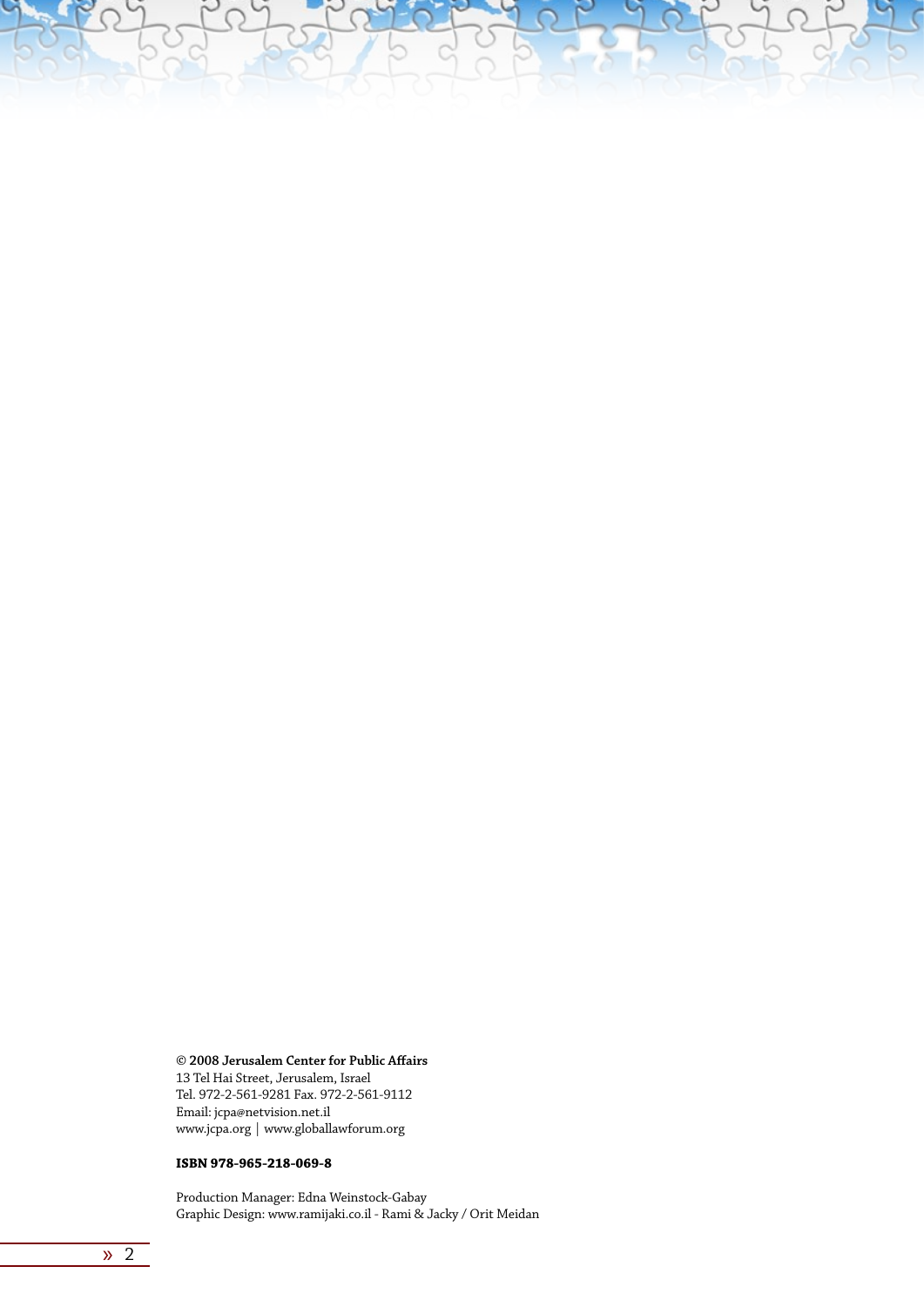**© 2008 Jerusalem Center for Public Affairs** 13 Tel Hai Street, Jerusalem, Israel Tel. 972-2-561-9281 Fax. 972-2-561-9112 Email: jcpa@netvision.net.il www.jcpa.org | www.globallawforum.org

#### **ISBN 978-965-218-069-8**

Production Manager: Edna Weinstock-Gabay Graphic Design: www.ramijaki.co.il - Rami & Jacky / Orit Meidan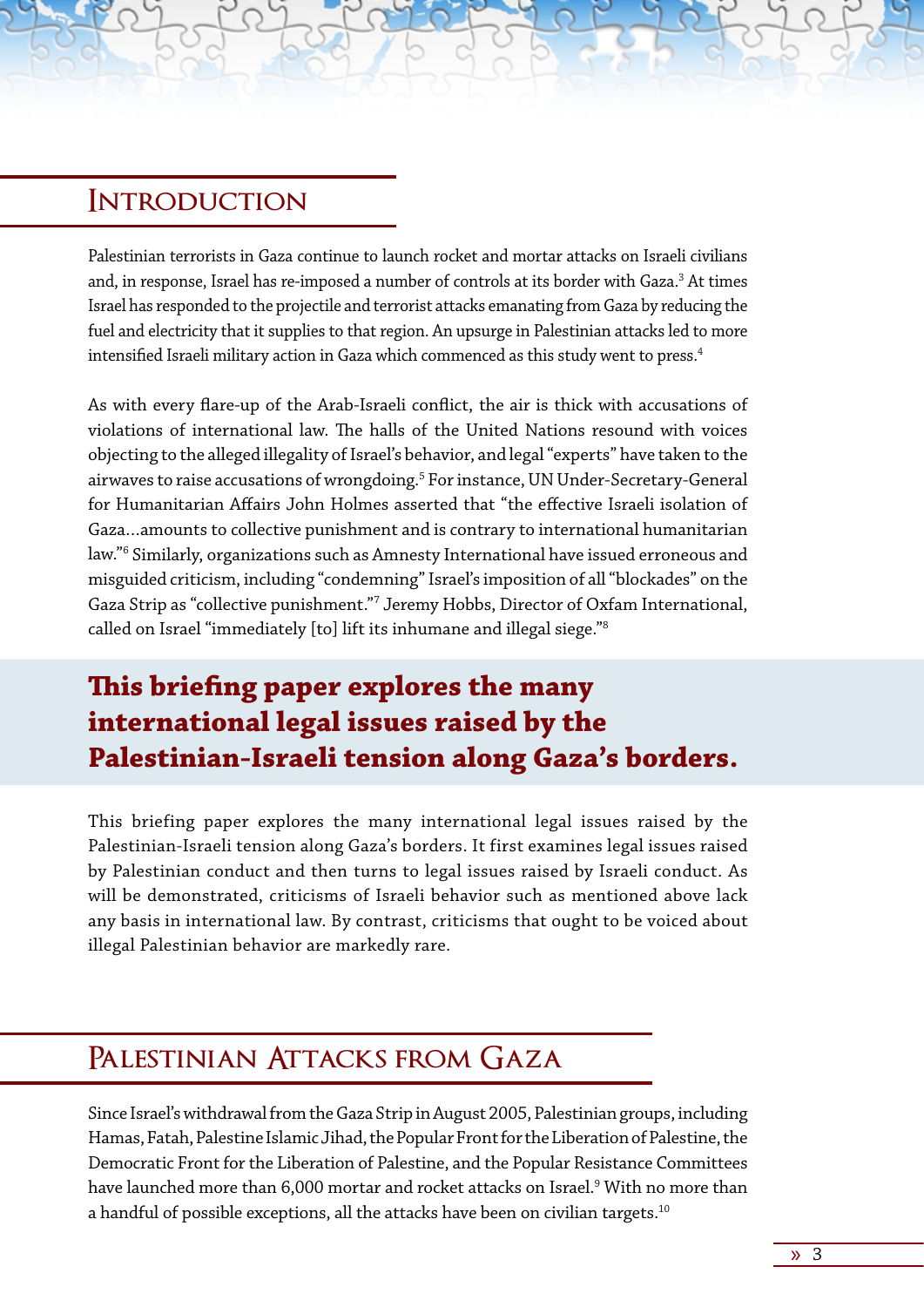#### **Introduction**

Palestinian terrorists in Gaza continue to launch rocket and mortar attacks on Israeli civilians and, in response, Israel has re-imposed a number of controls at its border with Gaza.<sup>3</sup> At times Israel has responded to the projectile and terrorist attacks emanating from Gaza by reducing the fuel and electricity that it supplies to that region. An upsurge in Palestinian attacks led to more intensified Israeli military action in Gaza which commenced as this study went to press.4

As with every flare-up of the Arab-Israeli conflict, the air is thick with accusations of violations of international law. The halls of the United Nations resound with voices objecting to the alleged illegality of Israel's behavior, and legal "experts" have taken to the airwaves to raise accusations of wrongdoing.<sup>5</sup> For instance, UN Under-Secretary-General for Humanitarian Affairs John Holmes asserted that "the effective Israeli isolation of Gaza…amounts to collective punishment and is contrary to international humanitarian law."6 Similarly, organizations such as Amnesty International have issued erroneous and misguided criticism, including "condemning" Israel's imposition of all "blockades" on the Gaza Strip as "collective punishment."7 Jeremy Hobbs, Director of Oxfam International, called on Israel "immediately [to] lift its inhumane and illegal siege."8

### **This briefing paper explores the many international legal issues raised by the Palestinian-Israeli tension along Gaza's borders.**

This briefing paper explores the many international legal issues raised by the Palestinian-Israeli tension along Gaza's borders. It first examines legal issues raised by Palestinian conduct and then turns to legal issues raised by Israeli conduct. As will be demonstrated, criticisms of Israeli behavior such as mentioned above lack any basis in international law. By contrast, criticisms that ought to be voiced about illegal Palestinian behavior are markedly rare.

### **Palestinian Attacks from Gaza**

Since Israel's withdrawal from the Gaza Strip in August 2005, Palestinian groups, including Hamas, Fatah, Palestine Islamic Jihad, the Popular Front for the Liberation of Palestine, the Democratic Front for the Liberation of Palestine, and the Popular Resistance Committees have launched more than 6,000 mortar and rocket attacks on Israel.<sup>9</sup> With no more than a handful of possible exceptions, all the attacks have been on civilian targets.<sup>10</sup>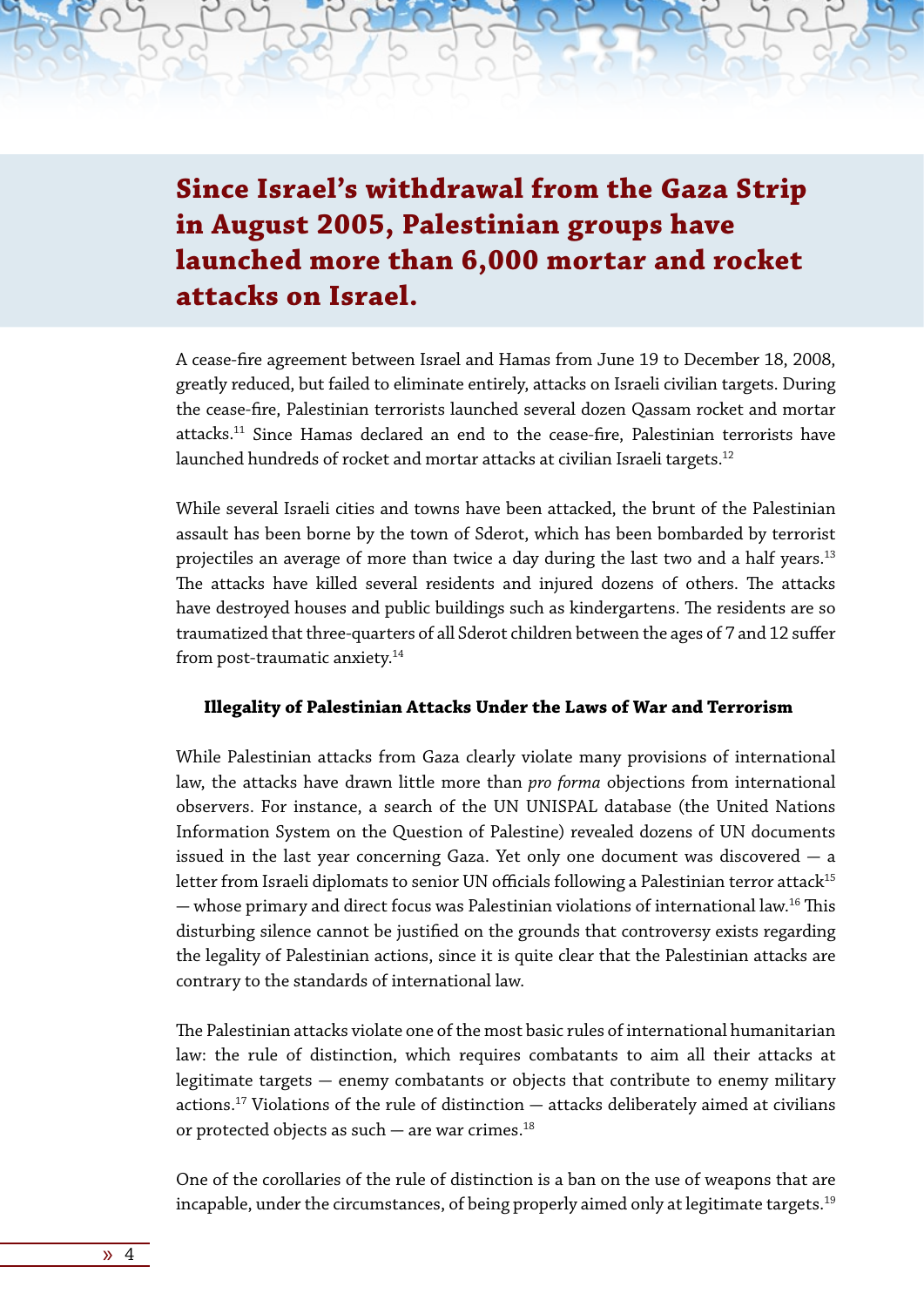**Since Israel's withdrawal from the Gaza Strip in August 2005, Palestinian groups have launched more than 6,000 mortar and rocket attacks on Israel.**

A cease-fire agreement between Israel and Hamas from June 19 to December 18, 2008, greatly reduced, but failed to eliminate entirely, attacks on Israeli civilian targets. During the cease-fire, Palestinian terrorists launched several dozen Qassam rocket and mortar attacks.11 Since Hamas declared an end to the cease-fire, Palestinian terrorists have launched hundreds of rocket and mortar attacks at civilian Israeli targets.<sup>12</sup>

While several Israeli cities and towns have been attacked, the brunt of the Palestinian assault has been borne by the town of Sderot, which has been bombarded by terrorist projectiles an average of more than twice a day during the last two and a half years.<sup>13</sup> The attacks have killed several residents and injured dozens of others. The attacks have destroyed houses and public buildings such as kindergartens. The residents are so traumatized that three-quarters of all Sderot children between the ages of 7 and 12 suffer from post-traumatic anxiety.<sup>14</sup>

#### **Illegality of Palestinian Attacks Under the Laws of War and Terrorism**

While Palestinian attacks from Gaza clearly violate many provisions of international law, the attacks have drawn little more than *pro forma* objections from international observers. For instance, a search of the UN UNISPAL database (the United Nations Information System on the Question of Palestine) revealed dozens of UN documents issued in the last year concerning Gaza. Yet only one document was discovered  $-$  a letter from Israeli diplomats to senior UN officials following a Palestinian terror attack<sup>15</sup>  $-$  whose primary and direct focus was Palestinian violations of international law.<sup>16</sup> This disturbing silence cannot be justified on the grounds that controversy exists regarding the legality of Palestinian actions, since it is quite clear that the Palestinian attacks are contrary to the standards of international law.

The Palestinian attacks violate one of the most basic rules of international humanitarian law: the rule of distinction, which requires combatants to aim all their attacks at legitimate targets  $-$  enemy combatants or objects that contribute to enemy military actions.<sup>17</sup> Violations of the rule of distinction  $-$  attacks deliberately aimed at civilians or protected objects as such  $-$  are war crimes.<sup>18</sup>

One of the corollaries of the rule of distinction is a ban on the use of weapons that are incapable, under the circumstances, of being properly aimed only at legitimate targets.<sup>19</sup>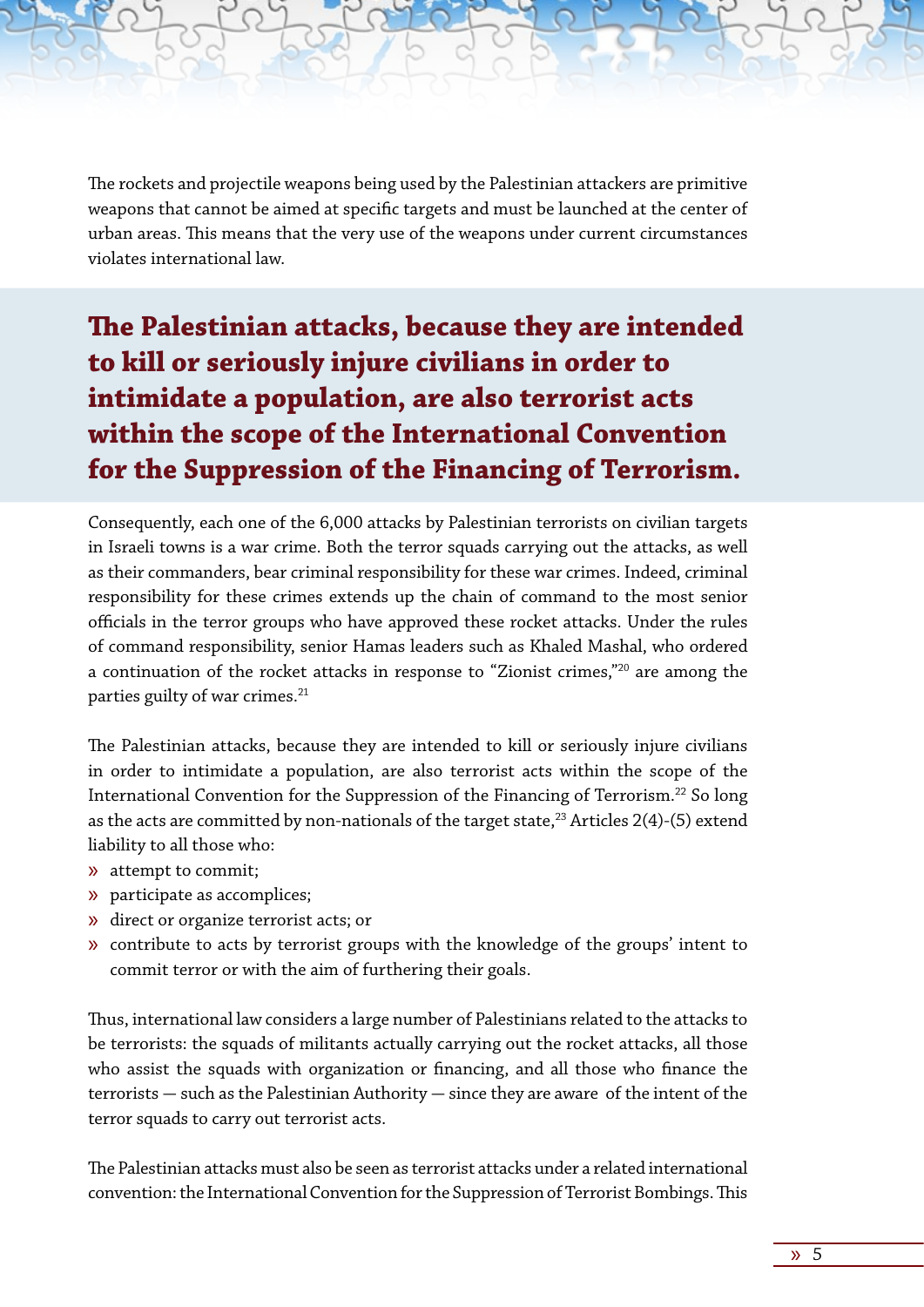The rockets and projectile weapons being used by the Palestinian attackers are primitive weapons that cannot be aimed at specific targets and must be launched at the center of urban areas. This means that the very use of the weapons under current circumstances violates international law.

**The Palestinian attacks, because they are intended to kill or seriously injure civilians in order to intimidate a population, are also terrorist acts within the scope of the International Convention for the Suppression of the Financing of Terrorism.**

Consequently, each one of the 6,000 attacks by Palestinian terrorists on civilian targets in Israeli towns is a war crime. Both the terror squads carrying out the attacks, as well as their commanders, bear criminal responsibility for these war crimes. Indeed, criminal responsibility for these crimes extends up the chain of command to the most senior officials in the terror groups who have approved these rocket attacks. Under the rules of command responsibility, senior Hamas leaders such as Khaled Mashal, who ordered a continuation of the rocket attacks in response to "Zionist crimes,"20 are among the parties guilty of war crimes.<sup>21</sup>

The Palestinian attacks, because they are intended to kill or seriously injure civilians in order to intimidate a population, are also terrorist acts within the scope of the International Convention for the Suppression of the Financing of Terrorism.<sup>22</sup> So long as the acts are committed by non-nationals of the target state, $^{23}$  Articles 2(4)-(5) extend liability to all those who:

- » attempt to commit;
- » participate as accomplices;
- » direct or organize terrorist acts; or
- » contribute to acts by terrorist groups with the knowledge of the groups' intent to commit terror or with the aim of furthering their goals.

Thus, international law considers a large number of Palestinians related to the attacks to be terrorists: the squads of militants actually carrying out the rocket attacks, all those who assist the squads with organization or financing, and all those who finance the  $t$ errorists  $-$  such as the Palestinian Authority  $-$  since they are aware of the intent of the terror squads to carry out terrorist acts.

The Palestinian attacks must also be seen as terrorist attacks under a related international convention: the International Convention for the Suppression of Terrorist Bombings. This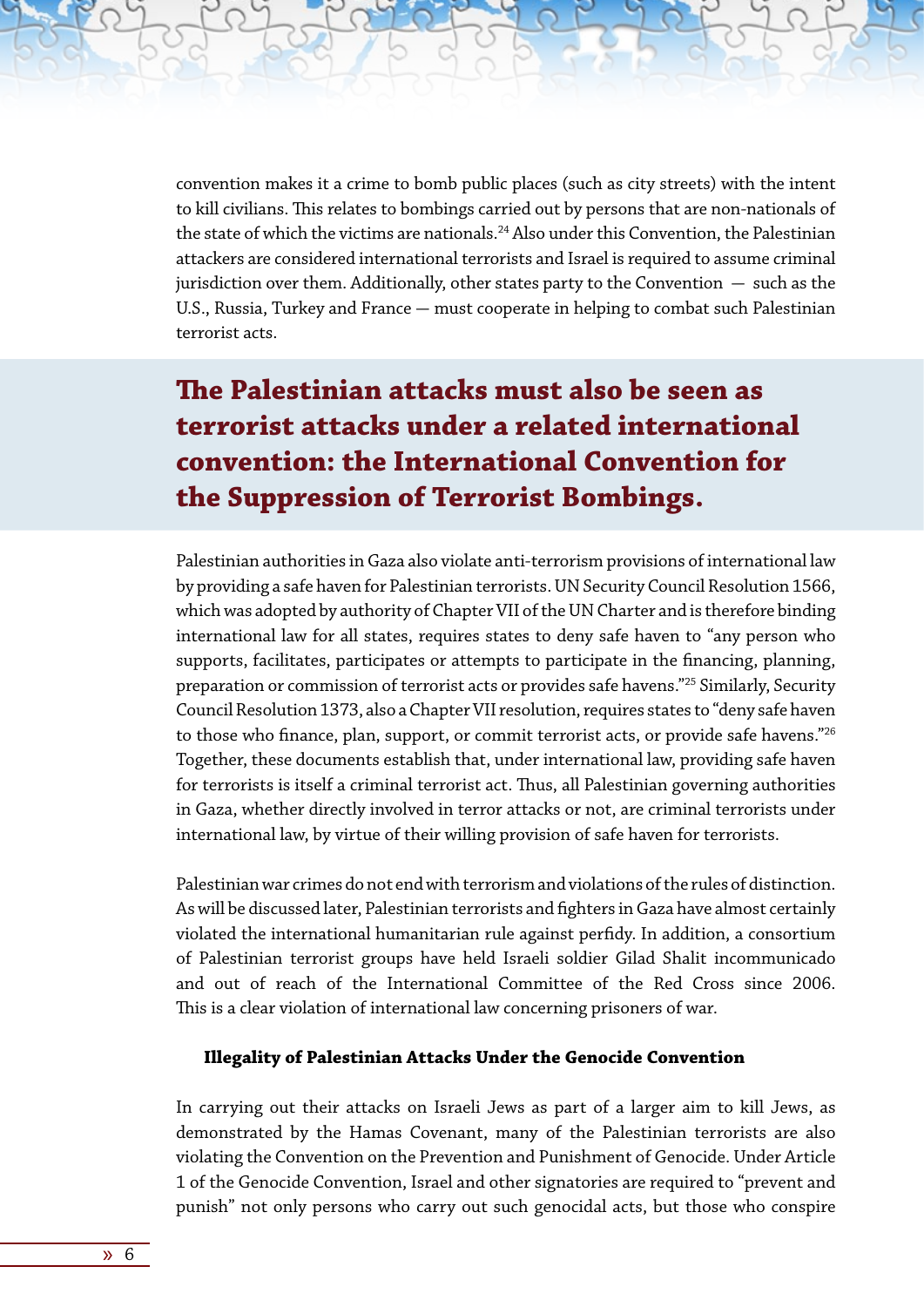convention makes it a crime to bomb public places (such as city streets) with the intent to kill civilians. This relates to bombings carried out by persons that are non-nationals of the state of which the victims are nationals.<sup>24</sup> Also under this Convention, the Palestinian attackers are considered international terrorists and Israel is required to assume criminal jurisdiction over them. Additionally, other states party to the Convention  $-$  such as the U.S., Russia, Turkey and France - must cooperate in helping to combat such Palestinian terrorist acts.

### **The Palestinian attacks must also be seen as terrorist attacks under a related international convention: the International Convention for the Suppression of Terrorist Bombings.**

Palestinian authorities in Gaza also violate anti-terrorism provisions of international law by providing a safe haven for Palestinian terrorists. UN Security Council Resolution 1566, which was adopted by authority of Chapter VII of the UN Charter and is therefore binding international law for all states, requires states to deny safe haven to "any person who supports, facilitates, participates or attempts to participate in the financing, planning, preparation or commission of terrorist acts or provides safe havens."25 Similarly, Security Council Resolution 1373, also a Chapter VII resolution, requires states to "deny safe haven to those who finance, plan, support, or commit terrorist acts, or provide safe havens."<sup>26</sup> Together, these documents establish that, under international law, providing safe haven for terrorists is itself a criminal terrorist act. Thus, all Palestinian governing authorities in Gaza, whether directly involved in terror attacks or not, are criminal terrorists under international law, by virtue of their willing provision of safe haven for terrorists.

Palestinian war crimes do not end with terrorism and violations of the rules of distinction. As will be discussed later, Palestinian terrorists and fighters in Gaza have almost certainly violated the international humanitarian rule against perfidy. In addition, a consortium of Palestinian terrorist groups have held Israeli soldier Gilad Shalit incommunicado and out of reach of the International Committee of the Red Cross since 2006. This is a clear violation of international law concerning prisoners of war.

#### **Illegality of Palestinian Attacks Under the Genocide Convention**

In carrying out their attacks on Israeli Jews as part of a larger aim to kill Jews, as demonstrated by the Hamas Covenant, many of the Palestinian terrorists are also violating the Convention on the Prevention and Punishment of Genocide. Under Article 1 of the Genocide Convention, Israel and other signatories are required to "prevent and punish" not only persons who carry out such genocidal acts, but those who conspire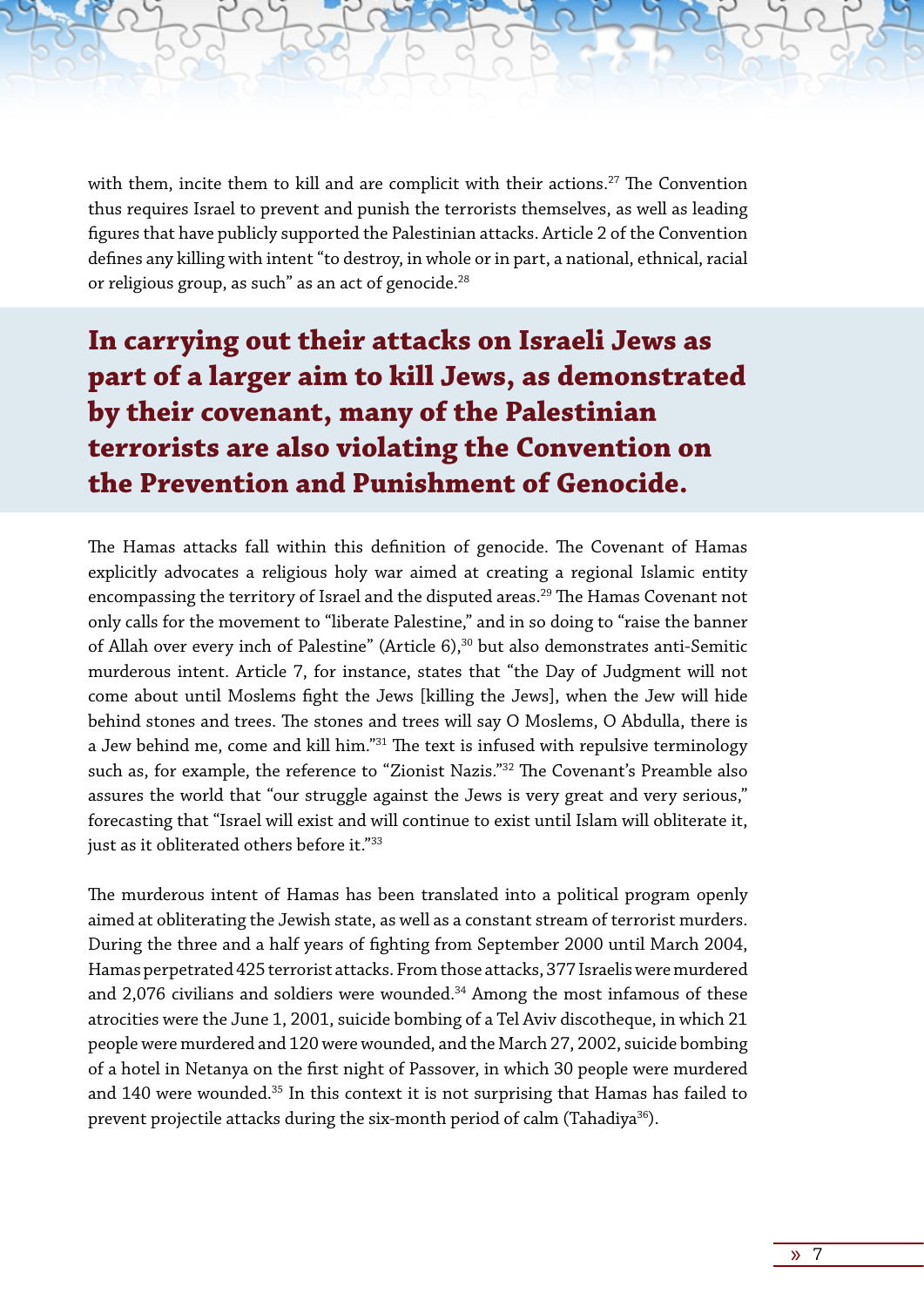with them, incite them to kill and are complicit with their actions.<sup>27</sup> The Convention thus requires Israel to prevent and punish the terrorists themselves, as well as leading figures that have publicly supported the Palestinian attacks. Article 2 of the Convention defines any killing with intent "to destroy, in whole or in part, a national, ethnical, racial or religious group, as such" as an act of genocide.<sup>28</sup>

**In carrying out their attacks on Israeli Jews as part of a larger aim to kill Jews, as demonstrated by their covenant, many of the Palestinian terrorists are also violating the Convention on the Prevention and Punishment of Genocide.**

The Hamas attacks fall within this definition of genocide. The Covenant of Hamas explicitly advocates a religious holy war aimed at creating a regional Islamic entity encompassing the territory of Israel and the disputed areas.<sup>29</sup> The Hamas Covenant not only calls for the movement to "liberate Palestine," and in so doing to "raise the banner of Allah over every inch of Palestine" (Article 6),<sup>30</sup> but also demonstrates anti-Semitic murderous intent. Article 7, for instance, states that "the Day of Judgment will not come about until Moslems fight the Jews [killing the Jews], when the Jew will hide behind stones and trees. The stones and trees will say O Moslems, O Abdulla, there is a Jew behind me, come and kill him."31 The text is infused with repulsive terminology such as, for example, the reference to "Zionist Nazis."32 The Covenant's Preamble also assures the world that "our struggle against the Jews is very great and very serious," forecasting that "Israel will exist and will continue to exist until Islam will obliterate it, just as it obliterated others before it."<sup>33</sup>

The murderous intent of Hamas has been translated into a political program openly aimed at obliterating the Jewish state, as well as a constant stream of terrorist murders. During the three and a half years of fighting from September 2000 until March 2004, Hamas perpetrated 425 terrorist attacks. From those attacks, 377 Israelis were murdered and 2,076 civilians and soldiers were wounded.<sup>34</sup> Among the most infamous of these atrocities were the June 1, 2001, suicide bombing of a Tel Aviv discotheque, in which 21 people were murdered and 120 were wounded, and the March 27, 2002, suicide bombing of a hotel in Netanya on the first night of Passover, in which 30 people were murdered and 140 were wounded.<sup>35</sup> In this context it is not surprising that Hamas has failed to prevent projectile attacks during the six-month period of calm (Tahadiya<sup>36</sup>).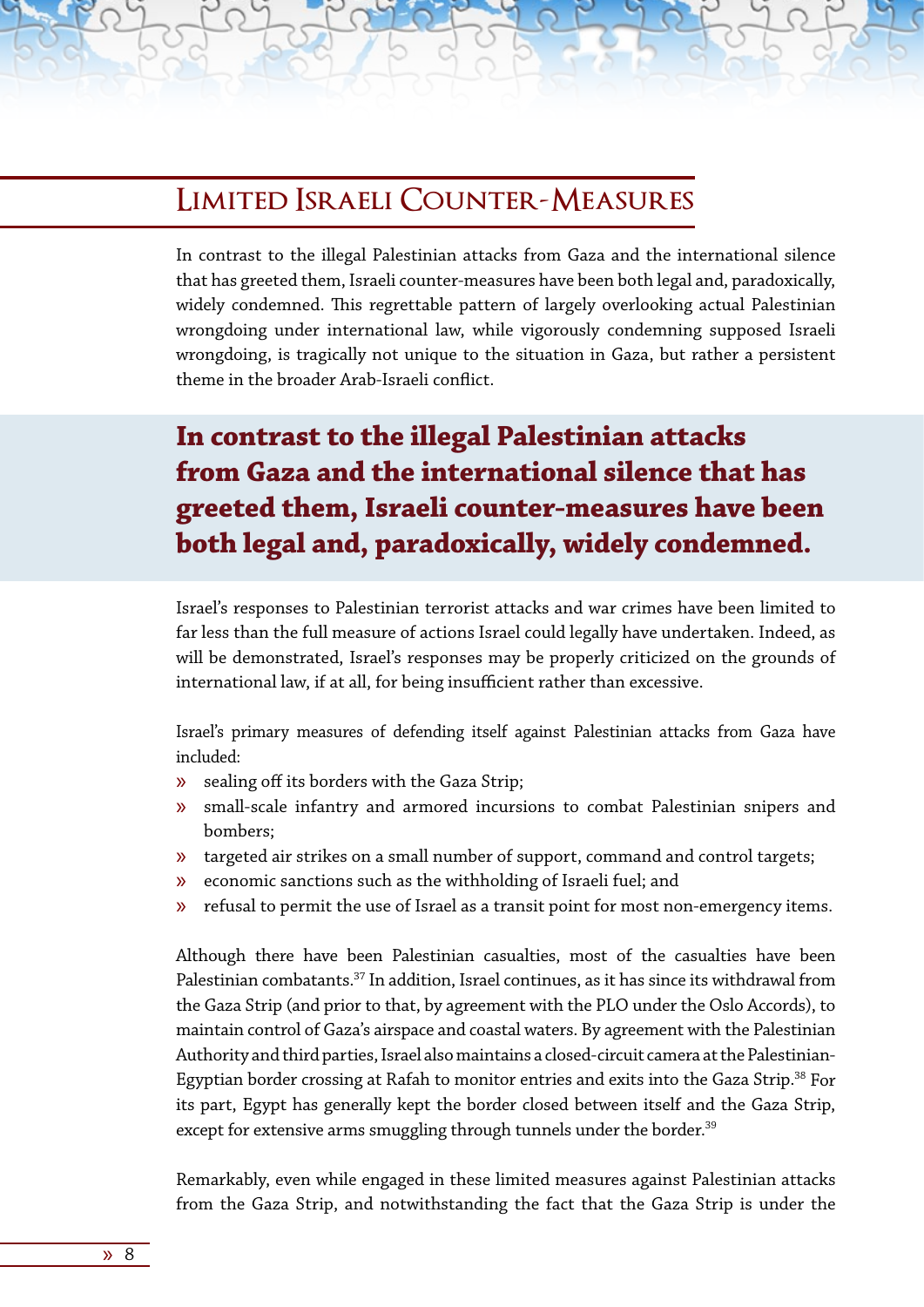### **Limited Israeli Counter-Measures**

In contrast to the illegal Palestinian attacks from Gaza and the international silence that has greeted them, Israeli counter-measures have been both legal and, paradoxically, widely condemned. This regrettable pattern of largely overlooking actual Palestinian wrongdoing under international law, while vigorously condemning supposed Israeli wrongdoing, is tragically not unique to the situation in Gaza, but rather a persistent theme in the broader Arab-Israeli conflict.

# **In contrast to the illegal Palestinian attacks from Gaza and the international silence that has greeted them, Israeli counter-measures have been both legal and, paradoxically, widely condemned.**

Israel's responses to Palestinian terrorist attacks and war crimes have been limited to far less than the full measure of actions Israel could legally have undertaken. Indeed, as will be demonstrated, Israel's responses may be properly criticized on the grounds of international law, if at all, for being insufficient rather than excessive.

Israel's primary measures of defending itself against Palestinian attacks from Gaza have included:

- » sealing off its borders with the Gaza Strip;
- » small-scale infantry and armored incursions to combat Palestinian snipers and bombers;
- » targeted air strikes on a small number of support, command and control targets;
- » economic sanctions such as the withholding of Israeli fuel; and
- » refusal to permit the use of Israel as a transit point for most non-emergency items.

Although there have been Palestinian casualties, most of the casualties have been Palestinian combatants.<sup>37</sup> In addition, Israel continues, as it has since its withdrawal from the Gaza Strip (and prior to that, by agreement with the PLO under the Oslo Accords), to maintain control of Gaza's airspace and coastal waters. By agreement with the Palestinian Authority and third parties, Israel also maintains a closed-circuit camera at the Palestinian-Egyptian border crossing at Rafah to monitor entries and exits into the Gaza Strip.<sup>38</sup> For its part, Egypt has generally kept the border closed between itself and the Gaza Strip, except for extensive arms smuggling through tunnels under the border.<sup>39</sup>

Remarkably, even while engaged in these limited measures against Palestinian attacks from the Gaza Strip, and notwithstanding the fact that the Gaza Strip is under the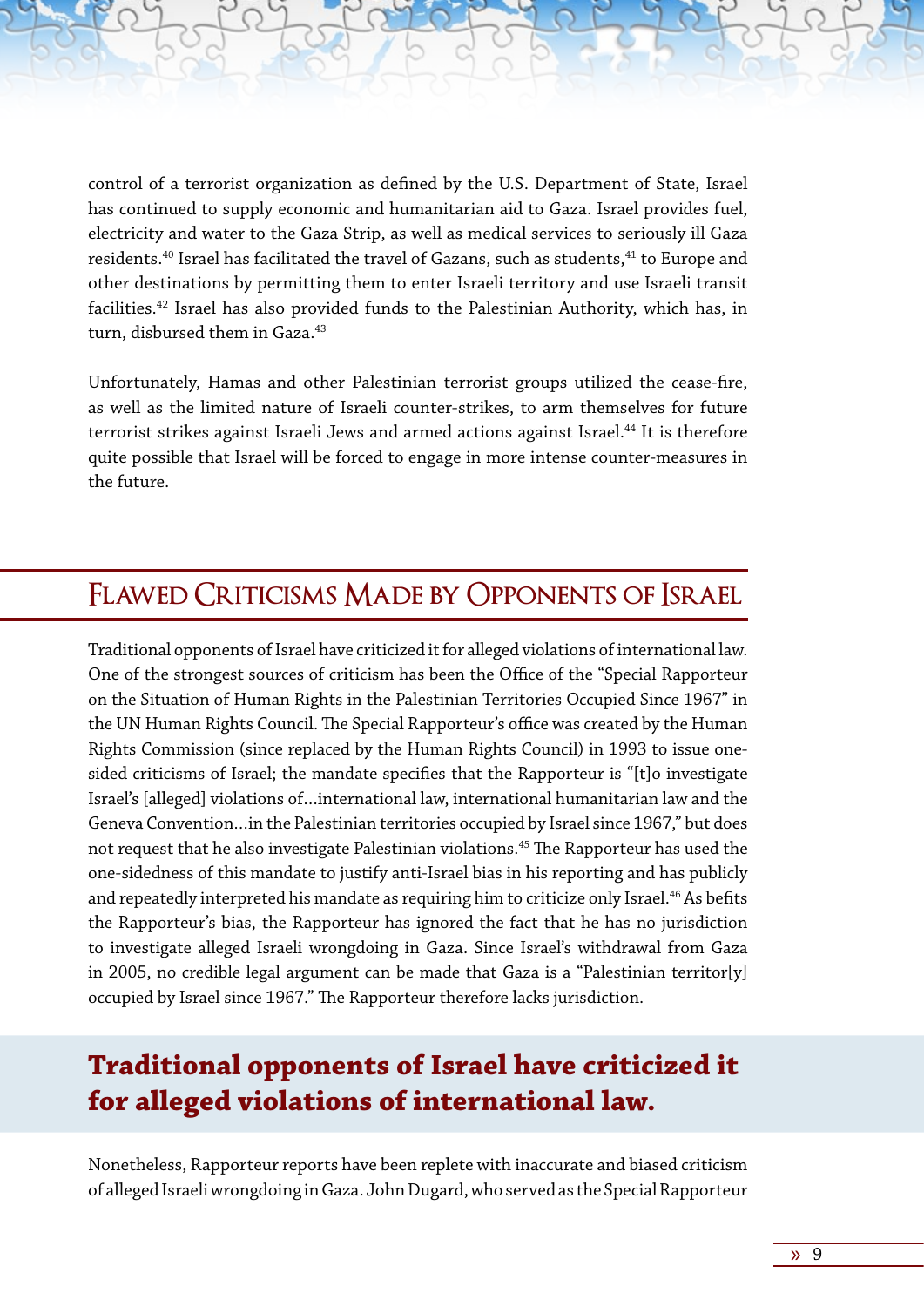control of a terrorist organization as defined by the U.S. Department of State, Israel has continued to supply economic and humanitarian aid to Gaza. Israel provides fuel, electricity and water to the Gaza Strip, as well as medical services to seriously ill Gaza residents.<sup>40</sup> Israel has facilitated the travel of Gazans, such as students,<sup>41</sup> to Europe and other destinations by permitting them to enter Israeli territory and use Israeli transit facilities.42 Israel has also provided funds to the Palestinian Authority, which has, in turn, disbursed them in Gaza.<sup>43</sup>

Unfortunately, Hamas and other Palestinian terrorist groups utilized the cease-fire, as well as the limited nature of Israeli counter-strikes, to arm themselves for future terrorist strikes against Israeli Jews and armed actions against Israel.<sup>44</sup> It is therefore quite possible that Israel will be forced to engage in more intense counter-measures in the future.

#### **Flawed Criticisms Made by Opponents of Israel**

Traditional opponents of Israel have criticized it for alleged violations of international law. One of the strongest sources of criticism has been the Office of the "Special Rapporteur on the Situation of Human Rights in the Palestinian Territories Occupied Since 1967" in the UN Human Rights Council. The Special Rapporteur's office was created by the Human Rights Commission (since replaced by the Human Rights Council) in 1993 to issue onesided criticisms of Israel; the mandate specifies that the Rapporteur is "[t]o investigate Israel's [alleged] violations of…international law, international humanitarian law and the Geneva Convention…in the Palestinian territories occupied by Israel since 1967," but does not request that he also investigate Palestinian violations.<sup>45</sup> The Rapporteur has used the one-sidedness of this mandate to justify anti-Israel bias in his reporting and has publicly and repeatedly interpreted his mandate as requiring him to criticize only Israel.<sup>46</sup> As befits the Rapporteur's bias, the Rapporteur has ignored the fact that he has no jurisdiction to investigate alleged Israeli wrongdoing in Gaza. Since Israel's withdrawal from Gaza in 2005, no credible legal argument can be made that Gaza is a "Palestinian territor[y] occupied by Israel since 1967." The Rapporteur therefore lacks jurisdiction.

### **Traditional opponents of Israel have criticized it for alleged violations of international law.**

Nonetheless, Rapporteur reports have been replete with inaccurate and biased criticism of alleged Israeli wrongdoing in Gaza. John Dugard, who served as the Special Rapporteur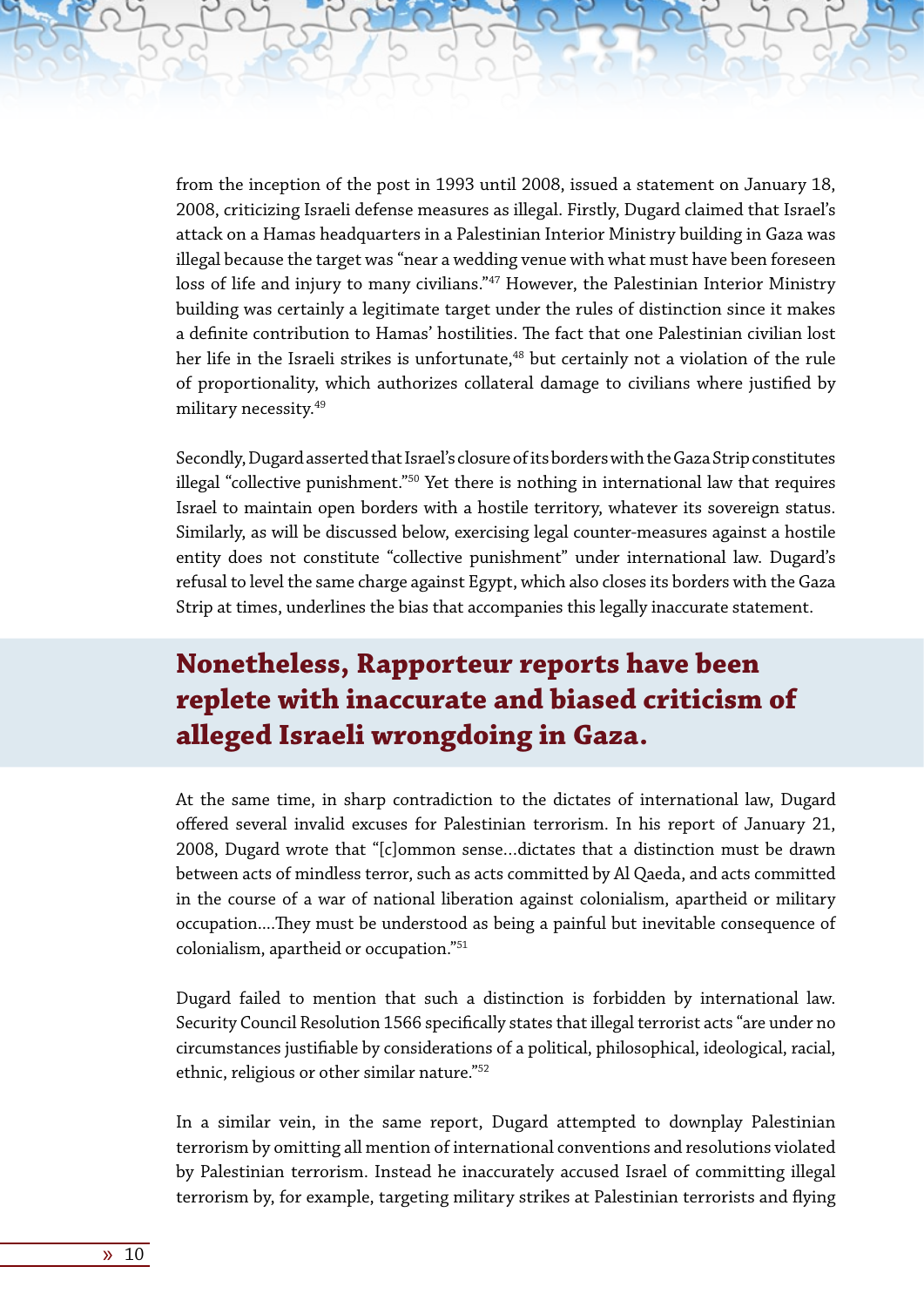from the inception of the post in 1993 until 2008, issued a statement on January 18, 2008, criticizing Israeli defense measures as illegal. Firstly, Dugard claimed that Israel's attack on a Hamas headquarters in a Palestinian Interior Ministry building in Gaza was illegal because the target was "near a wedding venue with what must have been foreseen loss of life and injury to many civilians."<sup>47</sup> However, the Palestinian Interior Ministry building was certainly a legitimate target under the rules of distinction since it makes a definite contribution to Hamas' hostilities. The fact that one Palestinian civilian lost her life in the Israeli strikes is unfortunate,<sup>48</sup> but certainly not a violation of the rule of proportionality, which authorizes collateral damage to civilians where justified by military necessity.49

Secondly, Dugard asserted that Israel's closure of its borders with the Gaza Strip constitutes illegal "collective punishment."50 Yet there is nothing in international law that requires Israel to maintain open borders with a hostile territory, whatever its sovereign status. Similarly, as will be discussed below, exercising legal counter-measures against a hostile entity does not constitute "collective punishment" under international law. Dugard's refusal to level the same charge against Egypt, which also closes its borders with the Gaza Strip at times, underlines the bias that accompanies this legally inaccurate statement.

# **Nonetheless, Rapporteur reports have been replete with inaccurate and biased criticism of alleged Israeli wrongdoing in Gaza.**

At the same time, in sharp contradiction to the dictates of international law, Dugard offered several invalid excuses for Palestinian terrorism. In his report of January 21, 2008, Dugard wrote that "[c]ommon sense…dictates that a distinction must be drawn between acts of mindless terror, such as acts committed by Al Qaeda, and acts committed in the course of a war of national liberation against colonialism, apartheid or military occupation....They must be understood as being a painful but inevitable consequence of colonialism, apartheid or occupation."51

Dugard failed to mention that such a distinction is forbidden by international law. Security Council Resolution 1566 specifically states that illegal terrorist acts "are under no circumstances justifiable by considerations of a political, philosophical, ideological, racial, ethnic, religious or other similar nature."52

In a similar vein, in the same report, Dugard attempted to downplay Palestinian terrorism by omitting all mention of international conventions and resolutions violated by Palestinian terrorism. Instead he inaccurately accused Israel of committing illegal terrorism by, for example, targeting military strikes at Palestinian terrorists and flying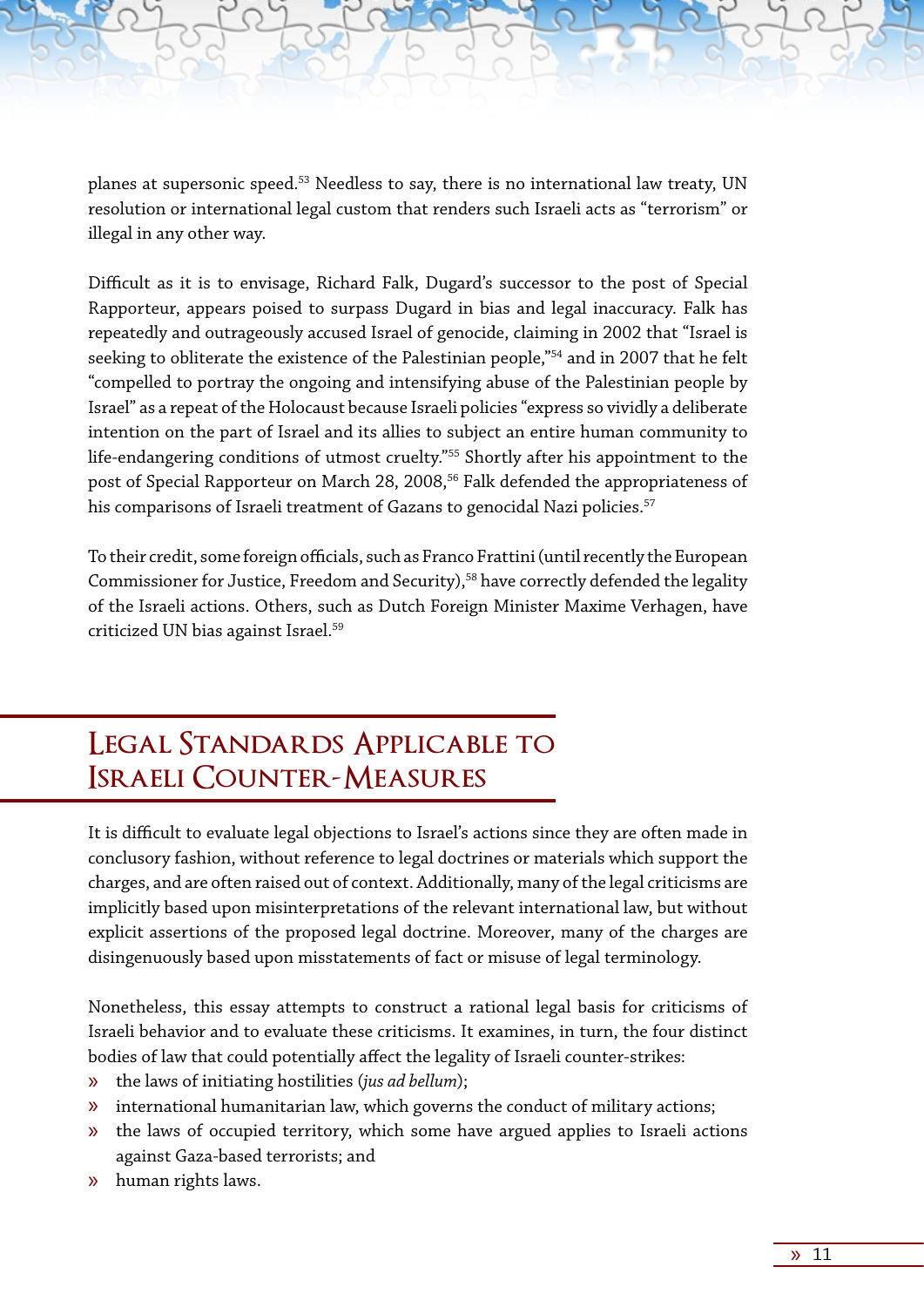planes at supersonic speed.53 Needless to say, there is no international law treaty, UN resolution or international legal custom that renders such Israeli acts as "terrorism" or illegal in any other way.

Difficult as it is to envisage, Richard Falk, Dugard's successor to the post of Special Rapporteur, appears poised to surpass Dugard in bias and legal inaccuracy. Falk has repeatedly and outrageously accused Israel of genocide, claiming in 2002 that "Israel is seeking to obliterate the existence of the Palestinian people,"54 and in 2007 that he felt "compelled to portray the ongoing and intensifying abuse of the Palestinian people by Israel" as a repeat of the Holocaust because Israeli policies "express so vividly a deliberate intention on the part of Israel and its allies to subject an entire human community to life-endangering conditions of utmost cruelty."55 Shortly after his appointment to the post of Special Rapporteur on March 28, 2008,<sup>56</sup> Falk defended the appropriateness of his comparisons of Israeli treatment of Gazans to genocidal Nazi policies.<sup>57</sup>

To their credit, some foreign officials, such as Franco Frattini (until recently the European Commissioner for Justice, Freedom and Security),<sup>58</sup> have correctly defended the legality of the Israeli actions. Others, such as Dutch Foreign Minister Maxime Verhagen, have criticized UN bias against Israel.59

### **Legal Standards Applicable to Israeli Counter-Measures**

It is difficult to evaluate legal objections to Israel's actions since they are often made in conclusory fashion, without reference to legal doctrines or materials which support the charges, and are often raised out of context. Additionally, many of the legal criticisms are implicitly based upon misinterpretations of the relevant international law, but without explicit assertions of the proposed legal doctrine. Moreover, many of the charges are disingenuously based upon misstatements of fact or misuse of legal terminology.

Nonetheless, this essay attempts to construct a rational legal basis for criticisms of Israeli behavior and to evaluate these criticisms. It examines, in turn, the four distinct bodies of law that could potentially affect the legality of Israeli counter-strikes:

- » the laws of initiating hostilities (*jus ad bellum*);
- » international humanitarian law, which governs the conduct of military actions;
- » the laws of occupied territory, which some have argued applies to Israeli actions against Gaza-based terrorists; and
- » human rights laws.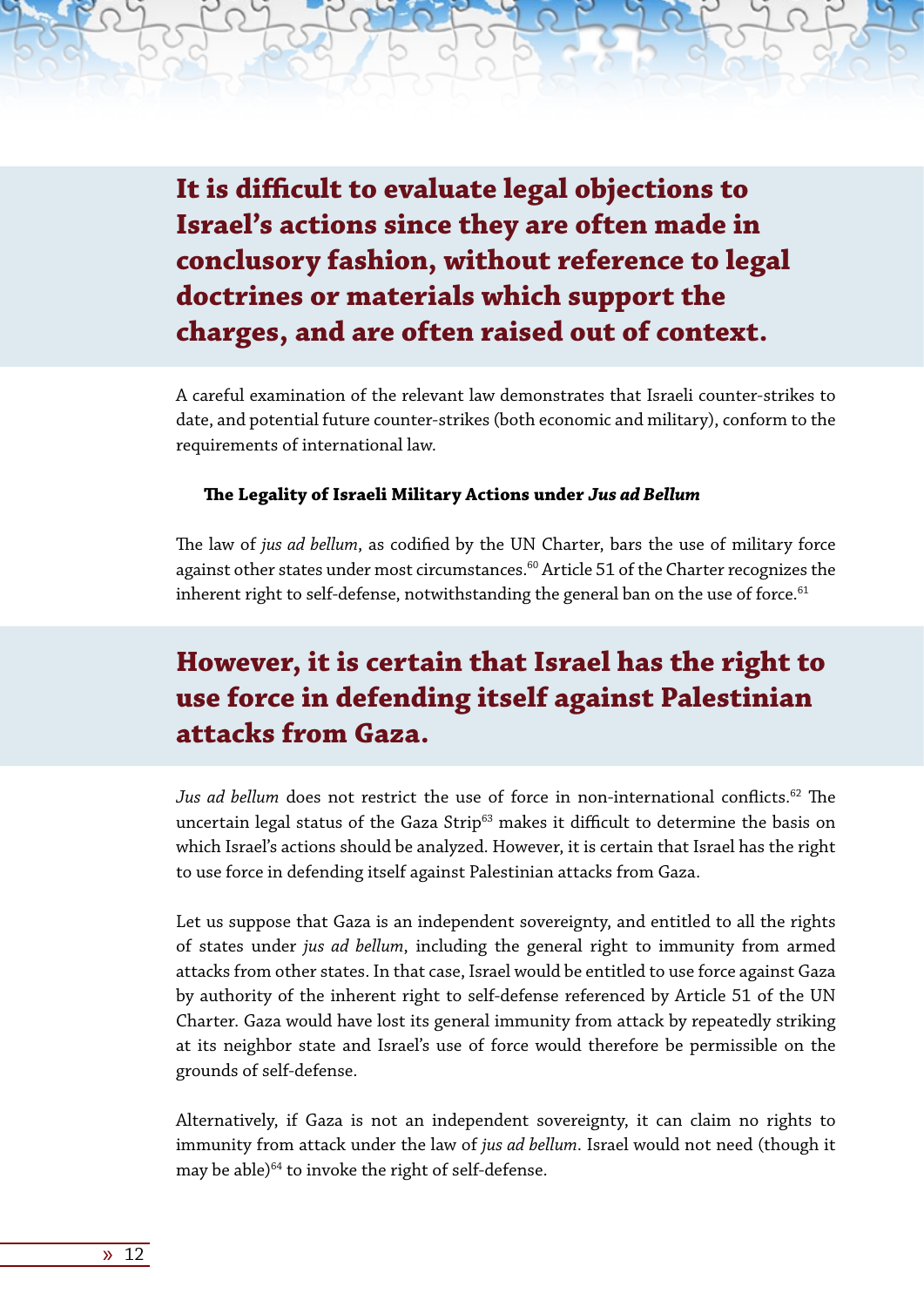**It is difficult to evaluate legal objections to Israel's actions since they are often made in conclusory fashion, without reference to legal doctrines or materials which support the charges, and are often raised out of context.** 

A careful examination of the relevant law demonstrates that Israeli counter-strikes to date, and potential future counter-strikes (both economic and military), conform to the requirements of international law.

#### **The Legality of Israeli Military Actions under** *Jus ad Bellum*

The law of *jus ad bellum*, as codified by the UN Charter, bars the use of military force against other states under most circumstances.<sup>60</sup> Article 51 of the Charter recognizes the inherent right to self-defense, notwithstanding the general ban on the use of force. $61$ 

### **However, it is certain that Israel has the right to use force in defending itself against Palestinian attacks from Gaza.**

Jus ad bellum does not restrict the use of force in non-international conflicts.<sup>62</sup> The uncertain legal status of the Gaza Strip<sup>63</sup> makes it difficult to determine the basis on which Israel's actions should be analyzed. However, it is certain that Israel has the right to use force in defending itself against Palestinian attacks from Gaza.

Let us suppose that Gaza is an independent sovereignty, and entitled to all the rights of states under *jus ad bellum*, including the general right to immunity from armed attacks from other states. In that case, Israel would be entitled to use force against Gaza by authority of the inherent right to self-defense referenced by Article 51 of the UN Charter. Gaza would have lost its general immunity from attack by repeatedly striking at its neighbor state and Israel's use of force would therefore be permissible on the grounds of self-defense.

Alternatively, if Gaza is not an independent sovereignty, it can claim no rights to immunity from attack under the law of *jus ad bellum*. Israel would not need (though it may be able) $64$  to invoke the right of self-defense.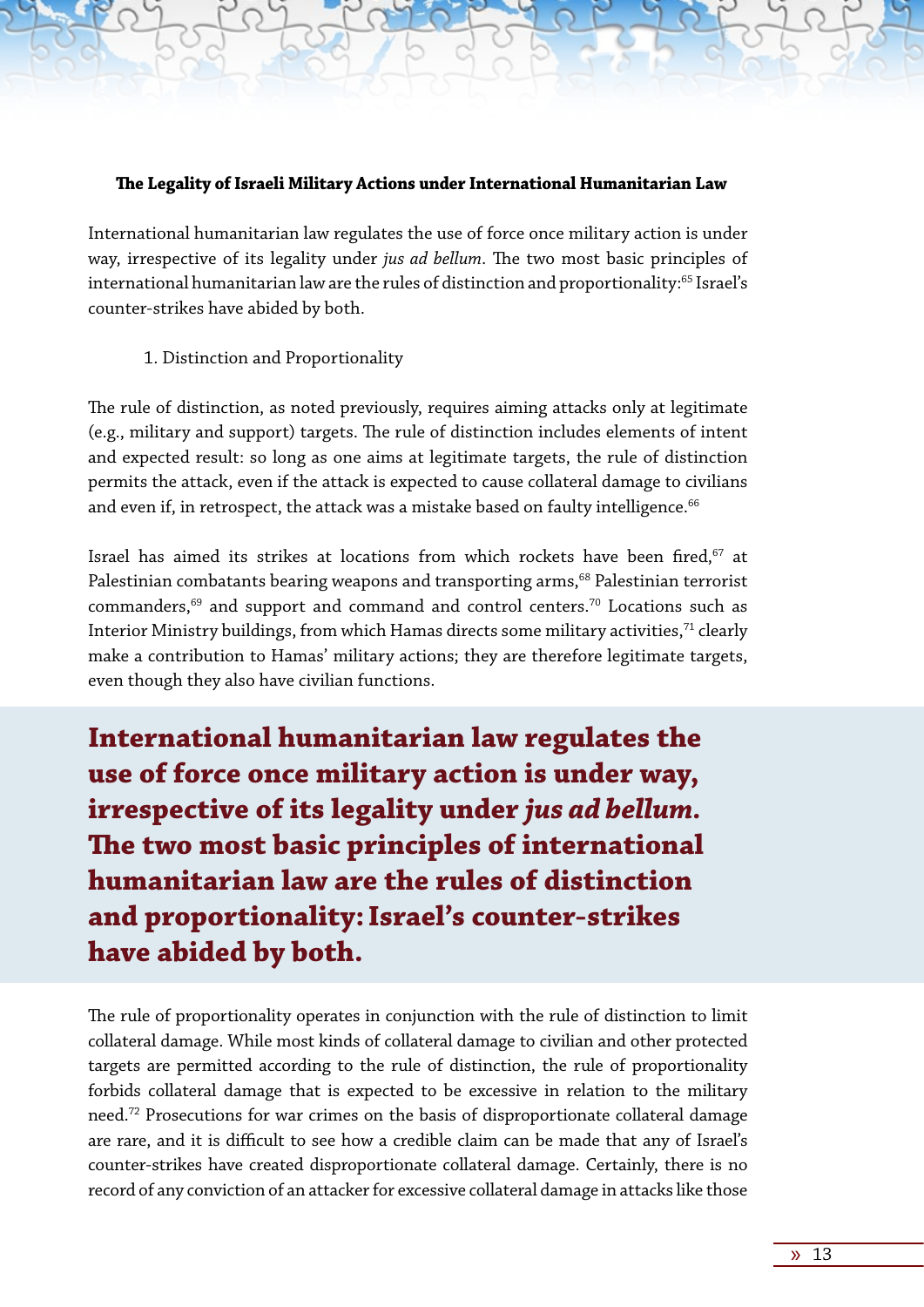#### **The Legality of Israeli Military Actions under International Humanitarian Law**

International humanitarian law regulates the use of force once military action is under way, irrespective of its legality under *jus ad bellum*. The two most basic principles of international humanitarian law are the rules of distinction and proportionality:<sup>65</sup> Israel's counter-strikes have abided by both.

#### 1. Distinction and Proportionality

The rule of distinction, as noted previously, requires aiming attacks only at legitimate (e.g., military and support) targets. The rule of distinction includes elements of intent and expected result: so long as one aims at legitimate targets, the rule of distinction permits the attack, even if the attack is expected to cause collateral damage to civilians and even if, in retrospect, the attack was a mistake based on faulty intelligence. $66$ 

Israel has aimed its strikes at locations from which rockets have been fired,<sup>67</sup> at Palestinian combatants bearing weapons and transporting arms,<sup>68</sup> Palestinian terrorist commanders,69 and support and command and control centers.70 Locations such as Interior Ministry buildings, from which Hamas directs some military activities,<sup>71</sup> clearly make a contribution to Hamas' military actions; they are therefore legitimate targets, even though they also have civilian functions.

**International humanitarian law regulates the use of force once military action is under way, irrespective of its legality under** *jus ad bellum.* **The two most basic principles of international humanitarian law are the rules of distinction and proportionality:Israel's counter-strikes have abided by both.**

The rule of proportionality operates in conjunction with the rule of distinction to limit collateral damage. While most kinds of collateral damage to civilian and other protected targets are permitted according to the rule of distinction, the rule of proportionality forbids collateral damage that is expected to be excessive in relation to the military need.72 Prosecutions for war crimes on the basis of disproportionate collateral damage are rare, and it is difficult to see how a credible claim can be made that any of Israel's counter-strikes have created disproportionate collateral damage. Certainly, there is no record of any conviction of an attacker for excessive collateral damage in attacks like those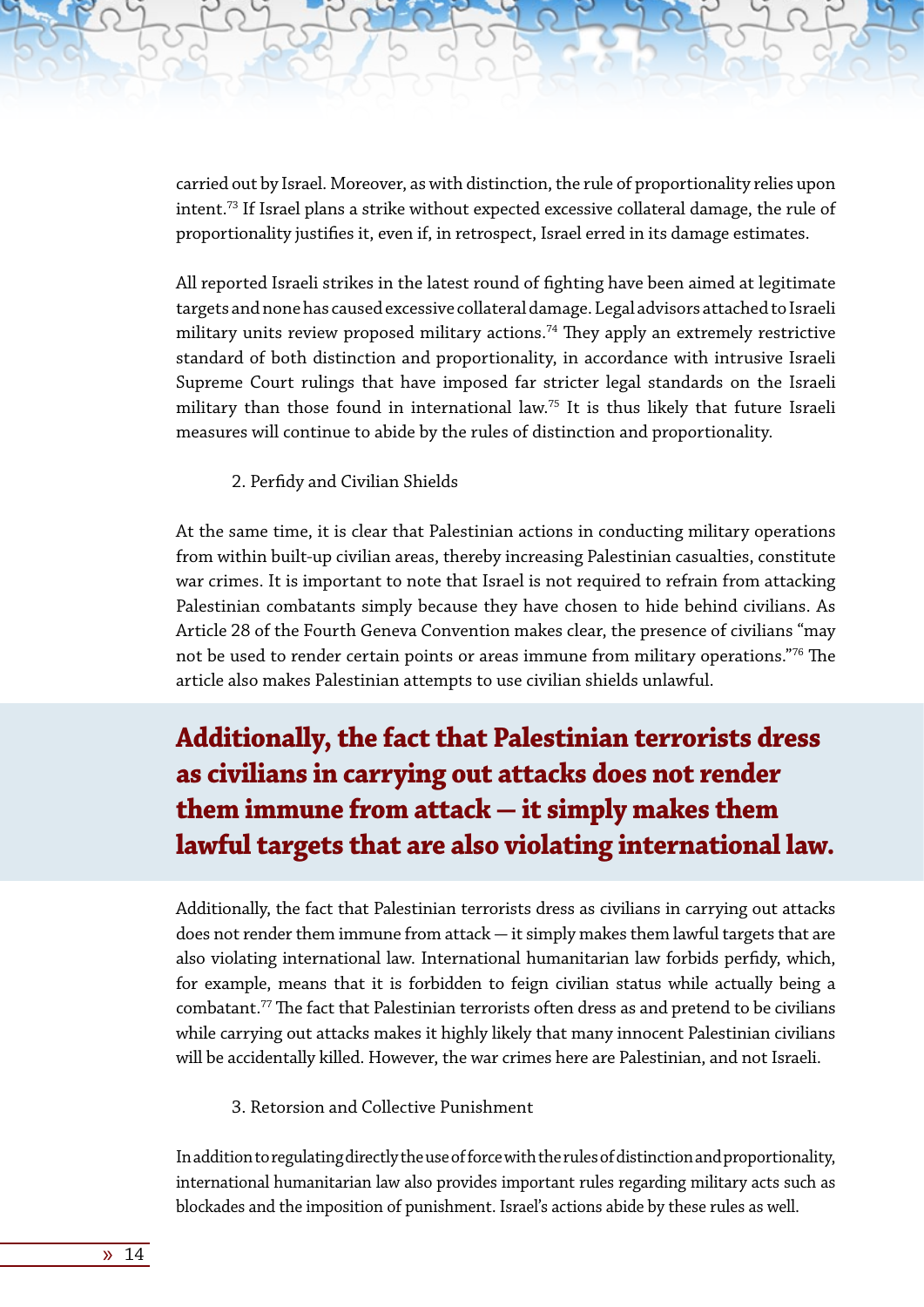carried out by Israel. Moreover, as with distinction, the rule of proportionality relies upon intent.<sup>73</sup> If Israel plans a strike without expected excessive collateral damage, the rule of proportionality justifies it, even if, in retrospect, Israel erred in its damage estimates.

All reported Israeli strikes in the latest round of fighting have been aimed at legitimate targets and none has caused excessive collateral damage. Legal advisors attached to Israeli military units review proposed military actions.<sup>74</sup> They apply an extremely restrictive standard of both distinction and proportionality, in accordance with intrusive Israeli Supreme Court rulings that have imposed far stricter legal standards on the Israeli military than those found in international law.75 It is thus likely that future Israeli measures will continue to abide by the rules of distinction and proportionality.

2. Perfidy and Civilian Shields

At the same time, it is clear that Palestinian actions in conducting military operations from within built-up civilian areas, thereby increasing Palestinian casualties, constitute war crimes. It is important to note that Israel is not required to refrain from attacking Palestinian combatants simply because they have chosen to hide behind civilians. As Article 28 of the Fourth Geneva Convention makes clear, the presence of civilians "may not be used to render certain points or areas immune from military operations."76 The article also makes Palestinian attempts to use civilian shields unlawful.

# **Additionally, the fact that Palestinian terrorists dress as civilians in carrying out attacks does not render**  them immune from attack – it simply makes them **lawful targets that are also violating international law.**

Additionally, the fact that Palestinian terrorists dress as civilians in carrying out attacks does not render them immune from attack  $-$  it simply makes them lawful targets that are also violating international law. International humanitarian law forbids perfidy, which, for example, means that it is forbidden to feign civilian status while actually being a combatant.77 The fact that Palestinian terrorists often dress as and pretend to be civilians while carrying out attacks makes it highly likely that many innocent Palestinian civilians will be accidentally killed. However, the war crimes here are Palestinian, and not Israeli.

3. Retorsion and Collective Punishment

In addition to regulating directly the use of force with the rules of distinction and proportionality, international humanitarian law also provides important rules regarding military acts such as blockades and the imposition of punishment. Israel's actions abide by these rules as well.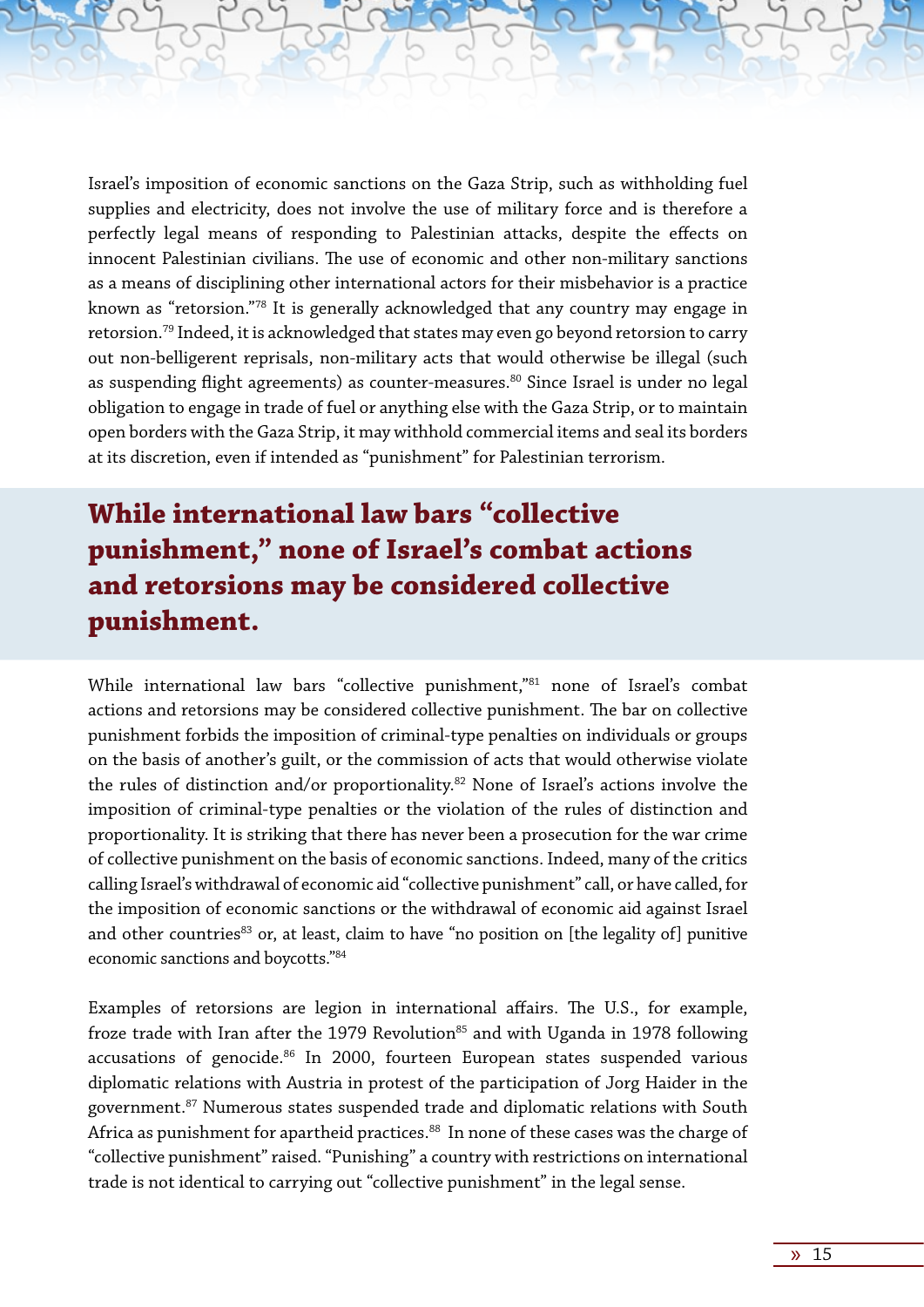Israel's imposition of economic sanctions on the Gaza Strip, such as withholding fuel supplies and electricity, does not involve the use of military force and is therefore a perfectly legal means of responding to Palestinian attacks, despite the effects on innocent Palestinian civilians. The use of economic and other non-military sanctions as a means of disciplining other international actors for their misbehavior is a practice known as "retorsion."78 It is generally acknowledged that any country may engage in retorsion.79 Indeed, it is acknowledged that states may even go beyond retorsion to carry out non-belligerent reprisals, non-military acts that would otherwise be illegal (such as suspending flight agreements) as counter-measures.<sup>80</sup> Since Israel is under no legal obligation to engage in trade of fuel or anything else with the Gaza Strip, or to maintain open borders with the Gaza Strip, it may withhold commercial items and seal its borders at its discretion, even if intended as "punishment" for Palestinian terrorism.

### **While international law bars "collective punishment," none of Israel's combat actions and retorsions may be considered collective punishment.**

While international law bars "collective punishment,"81 none of Israel's combat actions and retorsions may be considered collective punishment. The bar on collective punishment forbids the imposition of criminal-type penalties on individuals or groups on the basis of another's guilt, or the commission of acts that would otherwise violate the rules of distinction and/or proportionality.82 None of Israel's actions involve the imposition of criminal-type penalties or the violation of the rules of distinction and proportionality. It is striking that there has never been a prosecution for the war crime of collective punishment on the basis of economic sanctions. Indeed, many of the critics calling Israel's withdrawal of economic aid "collective punishment" call, or have called, for the imposition of economic sanctions or the withdrawal of economic aid against Israel and other countries<sup>83</sup> or, at least, claim to have "no position on [the legality of] punitive economic sanctions and boycotts."84

Examples of retorsions are legion in international affairs. The U.S., for example, froze trade with Iran after the 1979 Revolution<sup>85</sup> and with Uganda in 1978 following accusations of genocide.<sup>86</sup> In 2000, fourteen European states suspended various diplomatic relations with Austria in protest of the participation of Jorg Haider in the government.87 Numerous states suspended trade and diplomatic relations with South Africa as punishment for apartheid practices.<sup>88</sup> In none of these cases was the charge of "collective punishment" raised. "Punishing" a country with restrictions on international trade is not identical to carrying out "collective punishment" in the legal sense.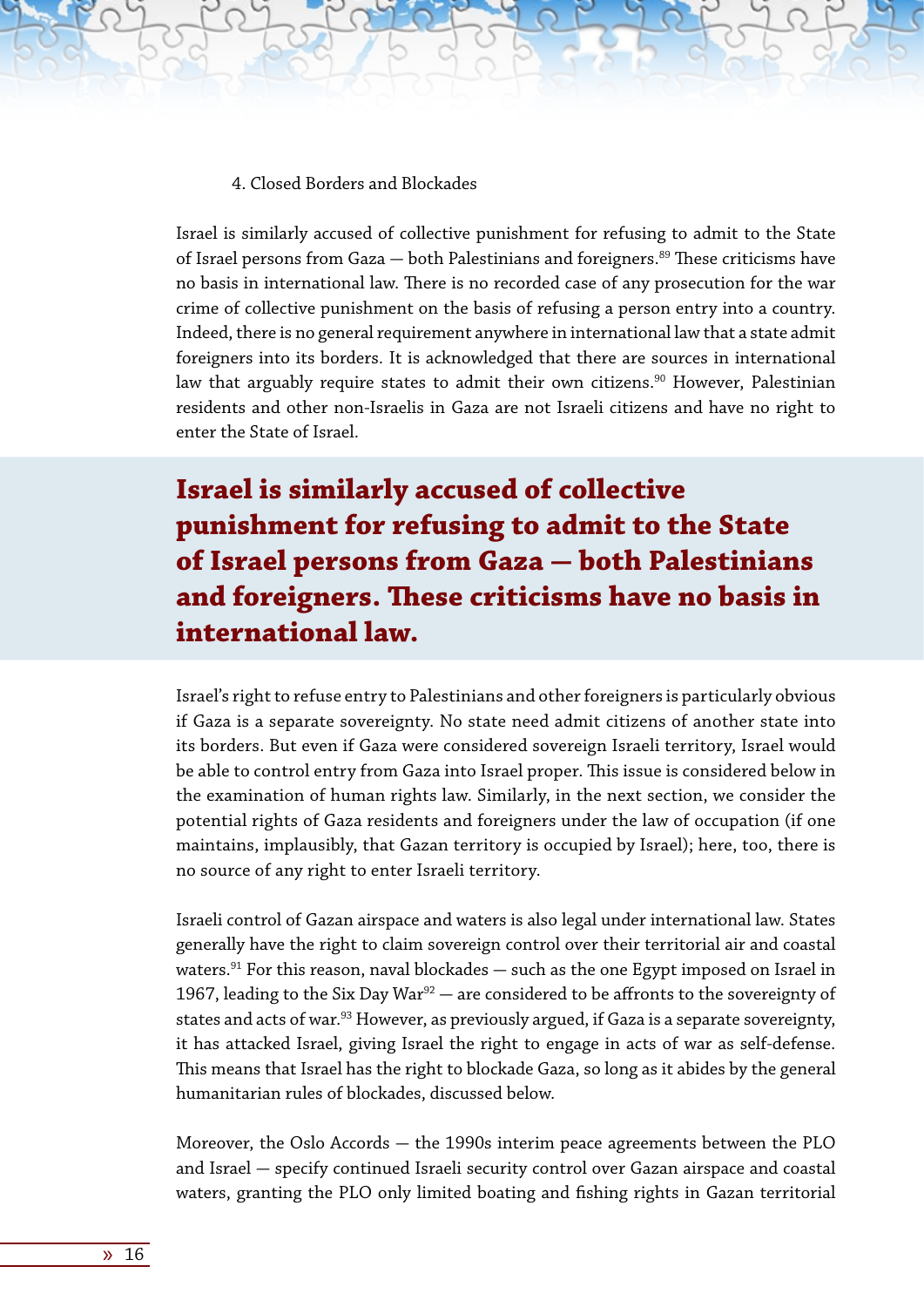4. Closed Borders and Blockades

Israel is similarly accused of collective punishment for refusing to admit to the State of Israel persons from Gaza  $-$  both Palestinians and foreigners.<sup>89</sup> These criticisms have no basis in international law. There is no recorded case of any prosecution for the war crime of collective punishment on the basis of refusing a person entry into a country. Indeed, there is no general requirement anywhere in international law that a state admit foreigners into its borders. It is acknowledged that there are sources in international law that arguably require states to admit their own citizens.<sup>90</sup> However, Palestinian residents and other non-Israelis in Gaza are not Israeli citizens and have no right to enter the State of Israel.

**Israel is similarly accused of collective punishment for refusing to admit to the State of Israel persons from Gaza - both Palestinians and foreigners. These criticisms have no basis in international law.**

Israel's right to refuse entry to Palestinians and other foreigners is particularly obvious if Gaza is a separate sovereignty. No state need admit citizens of another state into its borders. But even if Gaza were considered sovereign Israeli territory, Israel would be able to control entry from Gaza into Israel proper. This issue is considered below in the examination of human rights law. Similarly, in the next section, we consider the potential rights of Gaza residents and foreigners under the law of occupation (if one maintains, implausibly, that Gazan territory is occupied by Israel); here, too, there is no source of any right to enter Israeli territory.

Israeli control of Gazan airspace and waters is also legal under international law. States generally have the right to claim sovereign control over their territorial air and coastal waters. $91$  For this reason, naval blockades  $-$  such as the one Egypt imposed on Israel in 1967, leading to the Six Day War<sup>92</sup>  $-$  are considered to be affronts to the sovereignty of states and acts of war.<sup>93</sup> However, as previously argued, if Gaza is a separate sovereignty, it has attacked Israel, giving Israel the right to engage in acts of war as self-defense. This means that Israel has the right to blockade Gaza, so long as it abides by the general humanitarian rules of blockades, discussed below.

Moreover, the Oslo Accords  $-$  the 1990s interim peace agreements between the PLO and Israel - specify continued Israeli security control over Gazan airspace and coastal waters, granting the PLO only limited boating and fishing rights in Gazan territorial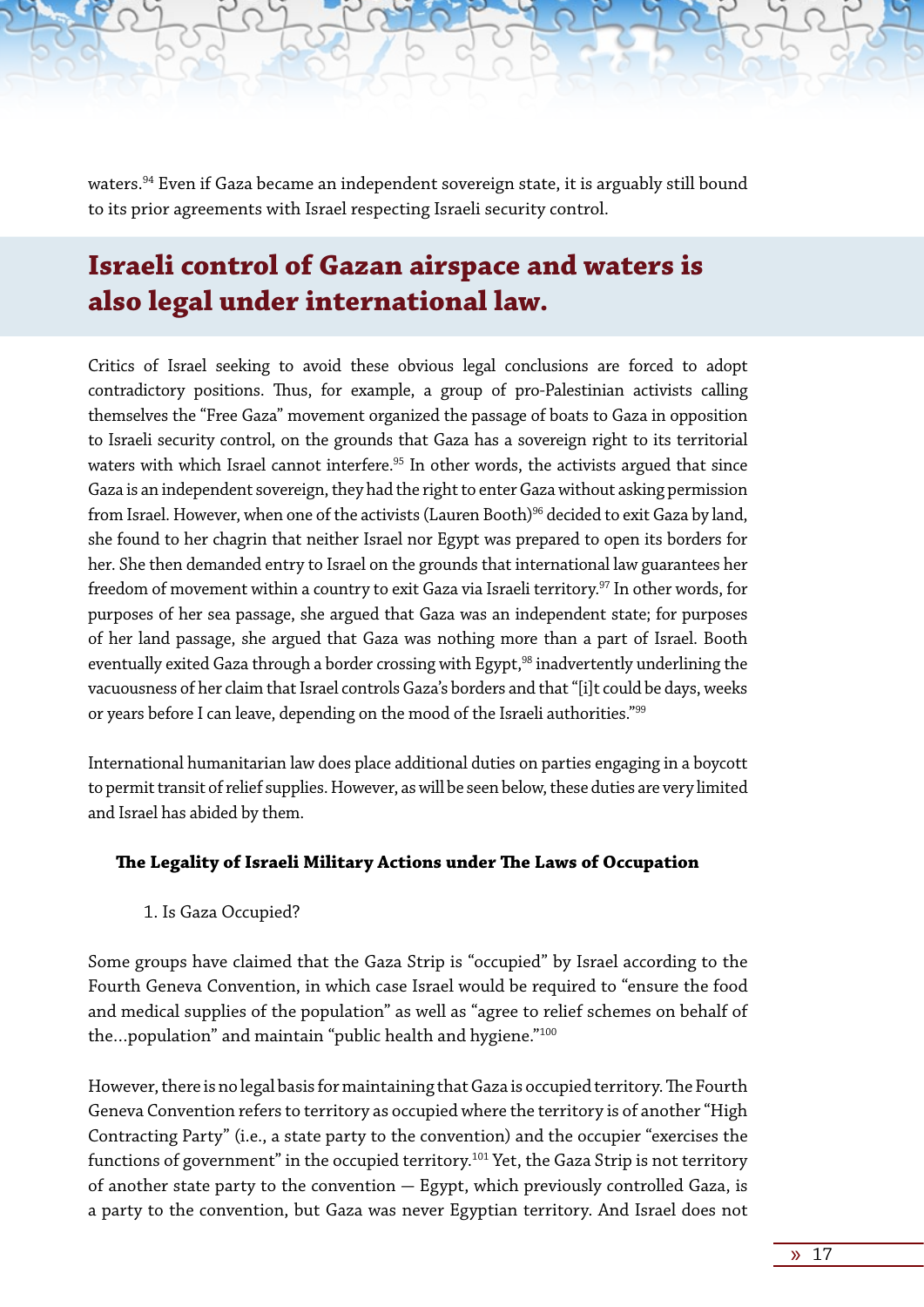waters.<sup>94</sup> Even if Gaza became an independent sovereign state, it is arguably still bound to its prior agreements with Israel respecting Israeli security control.

### **Israeli control of Gazan airspace and waters is also legal under international law.**

Critics of Israel seeking to avoid these obvious legal conclusions are forced to adopt contradictory positions. Thus, for example, a group of pro-Palestinian activists calling themselves the "Free Gaza" movement organized the passage of boats to Gaza in opposition to Israeli security control, on the grounds that Gaza has a sovereign right to its territorial waters with which Israel cannot interfere.<sup>95</sup> In other words, the activists argued that since Gaza is an independent sovereign, they had the right to enter Gaza without asking permission from Israel. However, when one of the activists (Lauren Booth)<sup>96</sup> decided to exit Gaza by land, she found to her chagrin that neither Israel nor Egypt was prepared to open its borders for her. She then demanded entry to Israel on the grounds that international law guarantees her freedom of movement within a country to exit Gaza via Israeli territory.97 In other words, for purposes of her sea passage, she argued that Gaza was an independent state; for purposes of her land passage, she argued that Gaza was nothing more than a part of Israel. Booth eventually exited Gaza through a border crossing with Egypt,<sup>98</sup> inadvertently underlining the vacuousness of her claim that Israel controls Gaza's borders and that "[i]t could be days, weeks or years before I can leave, depending on the mood of the Israeli authorities."99

International humanitarian law does place additional duties on parties engaging in a boycott to permit transit of relief supplies. However, as will be seen below, these duties are very limited and Israel has abided by them.

#### **The Legality of Israeli Military Actions under The Laws of Occupation**

1. Is Gaza Occupied?

Some groups have claimed that the Gaza Strip is "occupied" by Israel according to the Fourth Geneva Convention, in which case Israel would be required to "ensure the food and medical supplies of the population" as well as "agree to relief schemes on behalf of the...population" and maintain "public health and hygiene."<sup>100</sup>

However, there is no legal basis for maintaining that Gaza is occupied territory. The Fourth Geneva Convention refers to territory as occupied where the territory is of another "High Contracting Party" (i.e., a state party to the convention) and the occupier "exercises the functions of government" in the occupied territory.<sup>101</sup> Yet, the Gaza Strip is not territory of another state party to the convention  $-$  Egypt, which previously controlled Gaza, is a party to the convention, but Gaza was never Egyptian territory. And Israel does not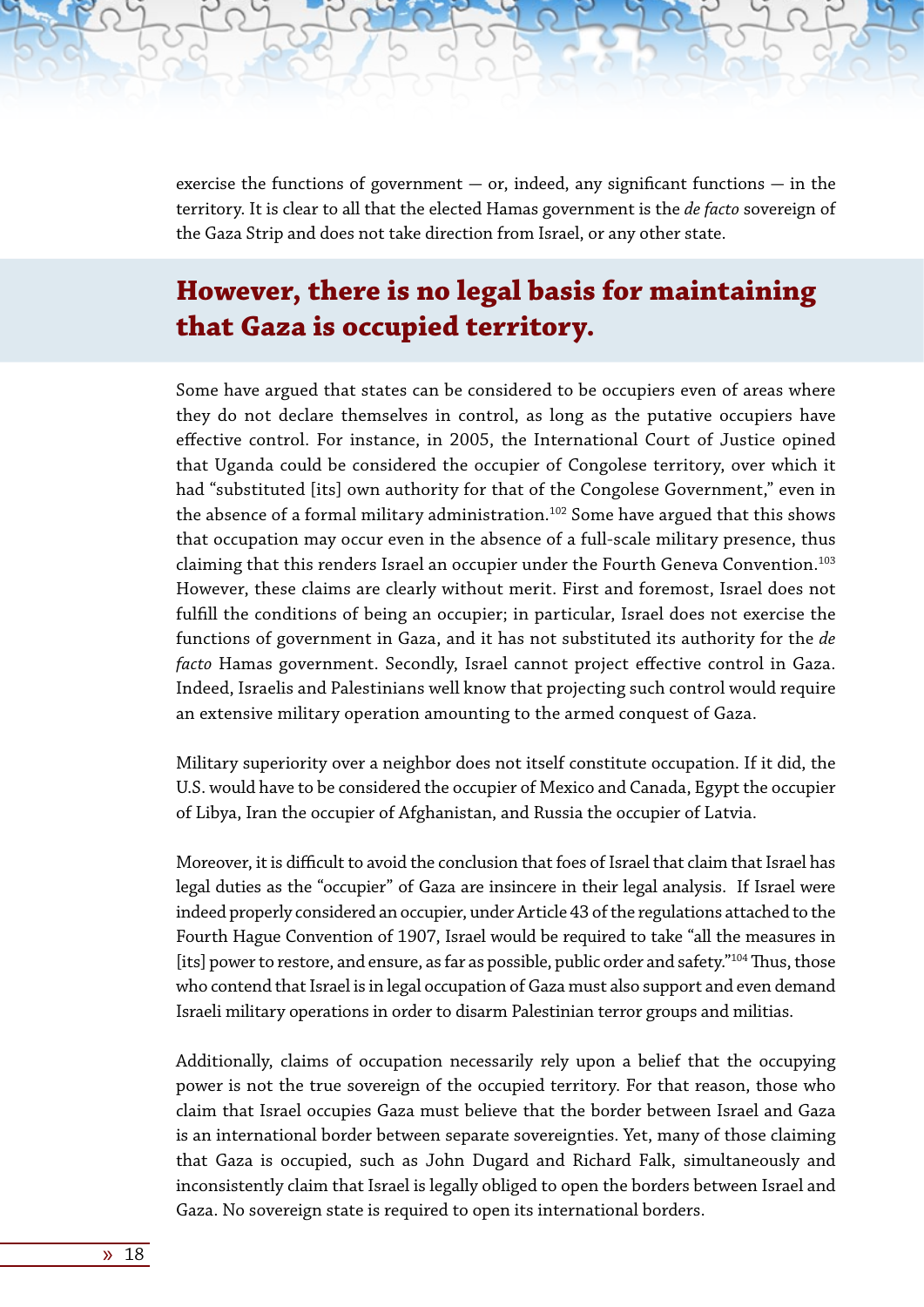exercise the functions of government  $-$  or, indeed, any significant functions  $-$  in the territory. It is clear to all that the elected Hamas government is the *de facto* sovereign of the Gaza Strip and does not take direction from Israel, or any other state.

### **However, there is no legal basis for maintaining that Gaza is occupied territory.**

Some have argued that states can be considered to be occupiers even of areas where they do not declare themselves in control, as long as the putative occupiers have effective control. For instance, in 2005, the International Court of Justice opined that Uganda could be considered the occupier of Congolese territory, over which it had "substituted [its] own authority for that of the Congolese Government," even in the absence of a formal military administration.<sup>102</sup> Some have argued that this shows that occupation may occur even in the absence of a full-scale military presence, thus claiming that this renders Israel an occupier under the Fourth Geneva Convention.<sup>103</sup> However, these claims are clearly without merit. First and foremost, Israel does not fulfill the conditions of being an occupier; in particular, Israel does not exercise the functions of government in Gaza, and it has not substituted its authority for the *de facto* Hamas government. Secondly, Israel cannot project effective control in Gaza. Indeed, Israelis and Palestinians well know that projecting such control would require an extensive military operation amounting to the armed conquest of Gaza.

Military superiority over a neighbor does not itself constitute occupation. If it did, the U.S. would have to be considered the occupier of Mexico and Canada, Egypt the occupier of Libya, Iran the occupier of Afghanistan, and Russia the occupier of Latvia.

Moreover, it is difficult to avoid the conclusion that foes of Israel that claim that Israel has legal duties as the "occupier" of Gaza are insincere in their legal analysis. If Israel were indeed properly considered an occupier, under Article 43 of the regulations attached to the Fourth Hague Convention of 1907, Israel would be required to take "all the measures in [its] power to restore, and ensure, as far as possible, public order and safety."<sup>104</sup> Thus, those who contend that Israel is in legal occupation of Gaza must also support and even demand Israeli military operations in order to disarm Palestinian terror groups and militias.

Additionally, claims of occupation necessarily rely upon a belief that the occupying power is not the true sovereign of the occupied territory. For that reason, those who claim that Israel occupies Gaza must believe that the border between Israel and Gaza is an international border between separate sovereignties. Yet, many of those claiming that Gaza is occupied, such as John Dugard and Richard Falk, simultaneously and inconsistently claim that Israel is legally obliged to open the borders between Israel and Gaza. No sovereign state is required to open its international borders.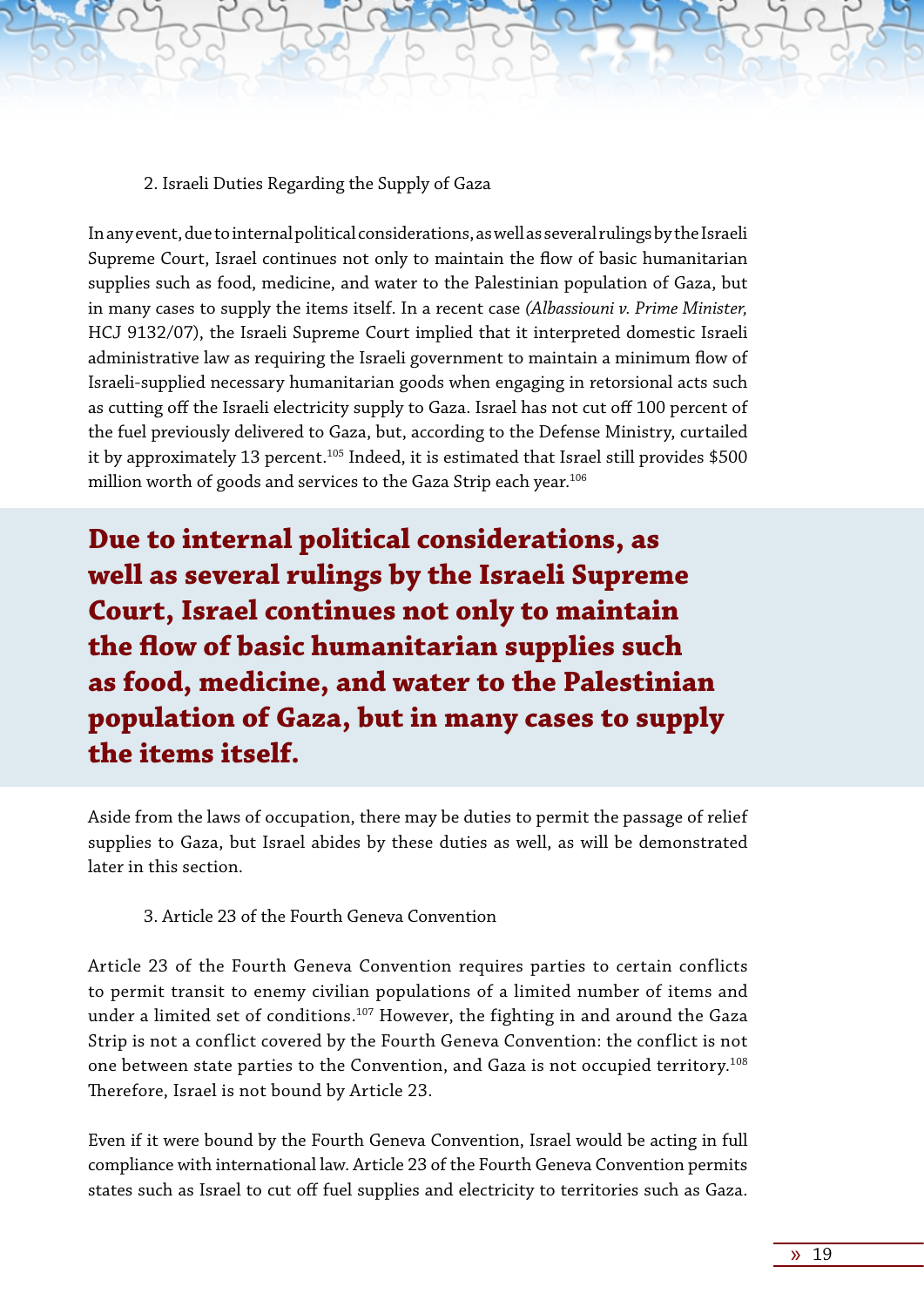2. Israeli Duties Regarding the Supply of Gaza

In any event, due to internal political considerations, as well as several rulings by the Israeli Supreme Court, Israel continues not only to maintain the flow of basic humanitarian supplies such as food, medicine, and water to the Palestinian population of Gaza, but in many cases to supply the items itself. In a recent case *(Albassiouni v. Prime Minister,* HCJ 9132/07), the Israeli Supreme Court implied that it interpreted domestic Israeli administrative law as requiring the Israeli government to maintain a minimum flow of Israeli-supplied necessary humanitarian goods when engaging in retorsional acts such as cutting off the Israeli electricity supply to Gaza. Israel has not cut off 100 percent of the fuel previously delivered to Gaza, but, according to the Defense Ministry, curtailed it by approximately 13 percent.<sup>105</sup> Indeed, it is estimated that Israel still provides \$500 million worth of goods and services to the Gaza Strip each year.<sup>106</sup>

**Due to internal political considerations, as well as several rulings by the Israeli Supreme Court, Israel continues not only to maintain the flow of basic humanitarian supplies such as food, medicine, and water to the Palestinian population of Gaza, but in many cases to supply the items itself.**

Aside from the laws of occupation, there may be duties to permit the passage of relief supplies to Gaza, but Israel abides by these duties as well, as will be demonstrated later in this section.

#### 3. Article 23 of the Fourth Geneva Convention

Article 23 of the Fourth Geneva Convention requires parties to certain conflicts to permit transit to enemy civilian populations of a limited number of items and under a limited set of conditions.<sup>107</sup> However, the fighting in and around the Gaza Strip is not a conflict covered by the Fourth Geneva Convention: the conflict is not one between state parties to the Convention, and Gaza is not occupied territory.108 Therefore, Israel is not bound by Article 23.

Even if it were bound by the Fourth Geneva Convention, Israel would be acting in full compliance with international law. Article 23 of the Fourth Geneva Convention permits states such as Israel to cut off fuel supplies and electricity to territories such as Gaza.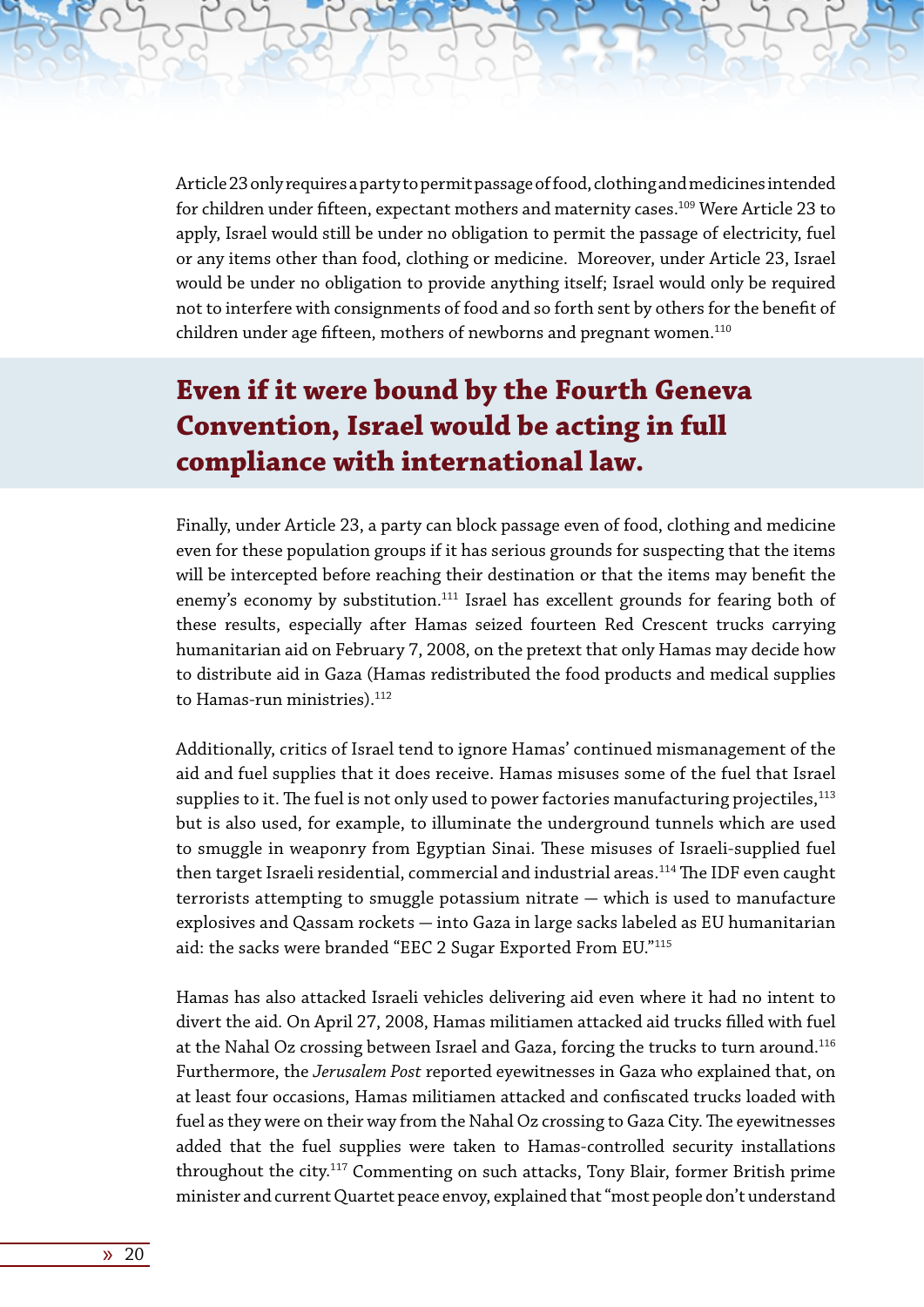Article 23 only requires a party to permit passage of food, clothing and medicines intended for children under fifteen, expectant mothers and maternity cases.<sup>109</sup> Were Article 23 to apply, Israel would still be under no obligation to permit the passage of electricity, fuel or any items other than food, clothing or medicine. Moreover, under Article 23, Israel would be under no obligation to provide anything itself; Israel would only be required not to interfere with consignments of food and so forth sent by others for the benefit of children under age fifteen, mothers of newborns and pregnant women. $^{110}$ 

# **Even if it were bound by the Fourth Geneva Convention, Israel would be acting in full compliance with international law.**

Finally, under Article 23, a party can block passage even of food, clothing and medicine even for these population groups if it has serious grounds for suspecting that the items will be intercepted before reaching their destination or that the items may benefit the enemy's economy by substitution.<sup>111</sup> Israel has excellent grounds for fearing both of these results, especially after Hamas seized fourteen Red Crescent trucks carrying humanitarian aid on February 7, 2008, on the pretext that only Hamas may decide how to distribute aid in Gaza (Hamas redistributed the food products and medical supplies to Hamas-run ministries).<sup>112</sup>

Additionally, critics of Israel tend to ignore Hamas' continued mismanagement of the aid and fuel supplies that it does receive. Hamas misuses some of the fuel that Israel supplies to it. The fuel is not only used to power factories manufacturing projectiles, $113$ but is also used, for example, to illuminate the underground tunnels which are used to smuggle in weaponry from Egyptian Sinai. These misuses of Israeli-supplied fuel then target Israeli residential, commercial and industrial areas.<sup>114</sup> The IDF even caught terrorists attempting to smuggle potassium nitrate  $-$  which is used to manufacture explosives and Qassam rockets - into Gaza in large sacks labeled as EU humanitarian aid: the sacks were branded "EEC 2 Sugar Exported From EU."115

Hamas has also attacked Israeli vehicles delivering aid even where it had no intent to divert the aid. On April 27, 2008, Hamas militiamen attacked aid trucks filled with fuel at the Nahal Oz crossing between Israel and Gaza, forcing the trucks to turn around.<sup>116</sup> Furthermore, the *Jerusalem Post* reported eyewitnesses in Gaza who explained that, on at least four occasions, Hamas militiamen attacked and confiscated trucks loaded with fuel as they were on their way from the Nahal Oz crossing to Gaza City. The eyewitnesses added that the fuel supplies were taken to Hamas-controlled security installations throughout the city.<sup>117</sup> Commenting on such attacks, Tony Blair, former British prime minister and current Quartet peace envoy, explained that "most people don't understand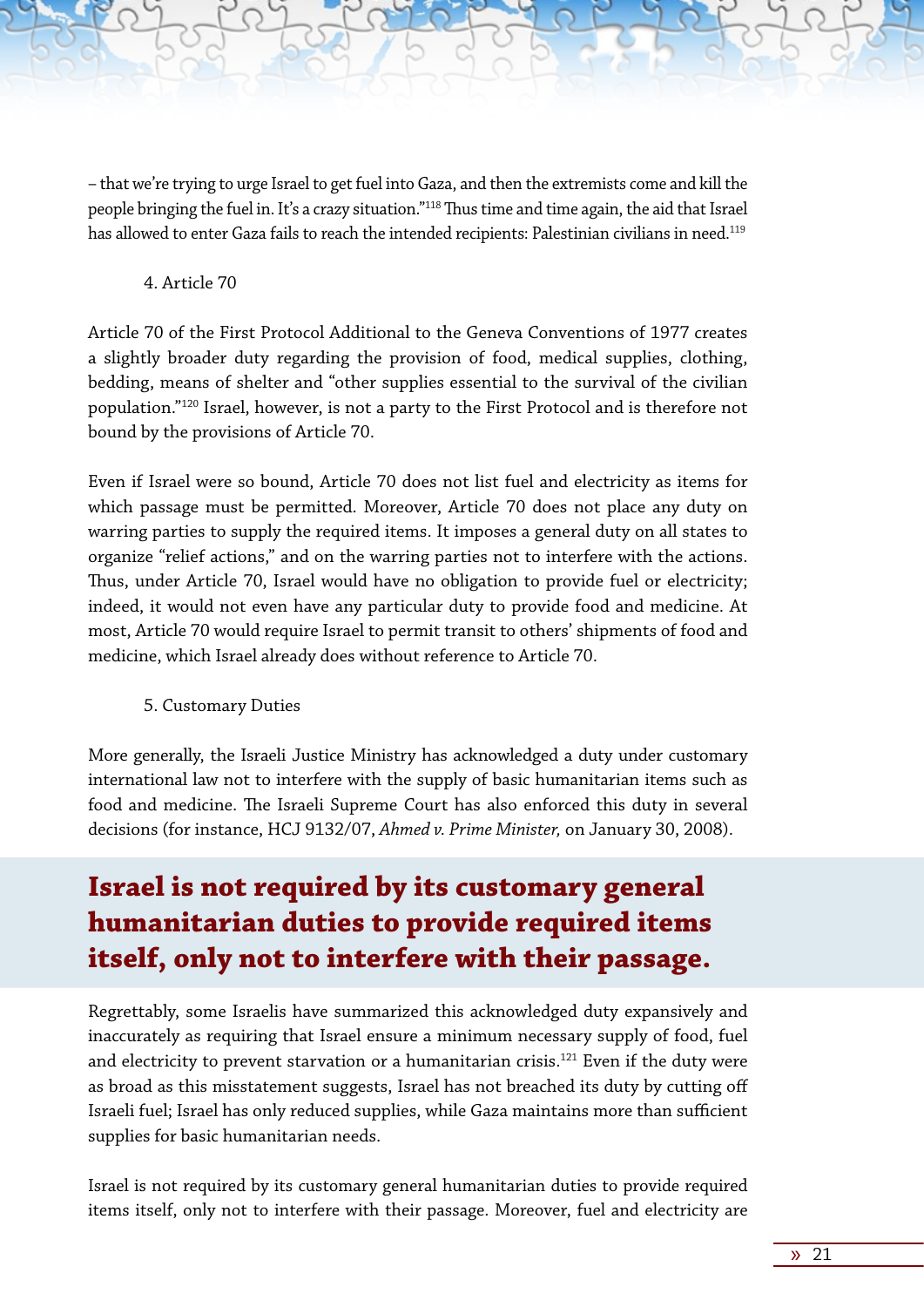– that we're trying to urge Israel to get fuel into Gaza, and then the extremists come and kill the people bringing the fuel in. It's a crazy situation."118 Thus time and time again, the aid that Israel has allowed to enter Gaza fails to reach the intended recipients: Palestinian civilians in need.<sup>119</sup>

4. Article 70

Article 70 of the First Protocol Additional to the Geneva Conventions of 1977 creates a slightly broader duty regarding the provision of food, medical supplies, clothing, bedding, means of shelter and "other supplies essential to the survival of the civilian population."120 Israel, however, is not a party to the First Protocol and is therefore not bound by the provisions of Article 70.

Even if Israel were so bound, Article 70 does not list fuel and electricity as items for which passage must be permitted. Moreover, Article 70 does not place any duty on warring parties to supply the required items. It imposes a general duty on all states to organize "relief actions," and on the warring parties not to interfere with the actions. Thus, under Article 70, Israel would have no obligation to provide fuel or electricity; indeed, it would not even have any particular duty to provide food and medicine. At most, Article 70 would require Israel to permit transit to others' shipments of food and medicine, which Israel already does without reference to Article 70.

5. Customary Duties

More generally, the Israeli Justice Ministry has acknowledged a duty under customary international law not to interfere with the supply of basic humanitarian items such as food and medicine. The Israeli Supreme Court has also enforced this duty in several decisions (for instance, HCJ 9132/07, *Ahmed v. Prime Minister,* on January 30, 2008).

# **Israel is not required by its customary general humanitarian duties to provide required items itself, only not to interfere with their passage.**

Regrettably, some Israelis have summarized this acknowledged duty expansively and inaccurately as requiring that Israel ensure a minimum necessary supply of food, fuel and electricity to prevent starvation or a humanitarian crisis.<sup>121</sup> Even if the duty were as broad as this misstatement suggests, Israel has not breached its duty by cutting off Israeli fuel; Israel has only reduced supplies, while Gaza maintains more than sufficient supplies for basic humanitarian needs.

Israel is not required by its customary general humanitarian duties to provide required items itself, only not to interfere with their passage. Moreover, fuel and electricity are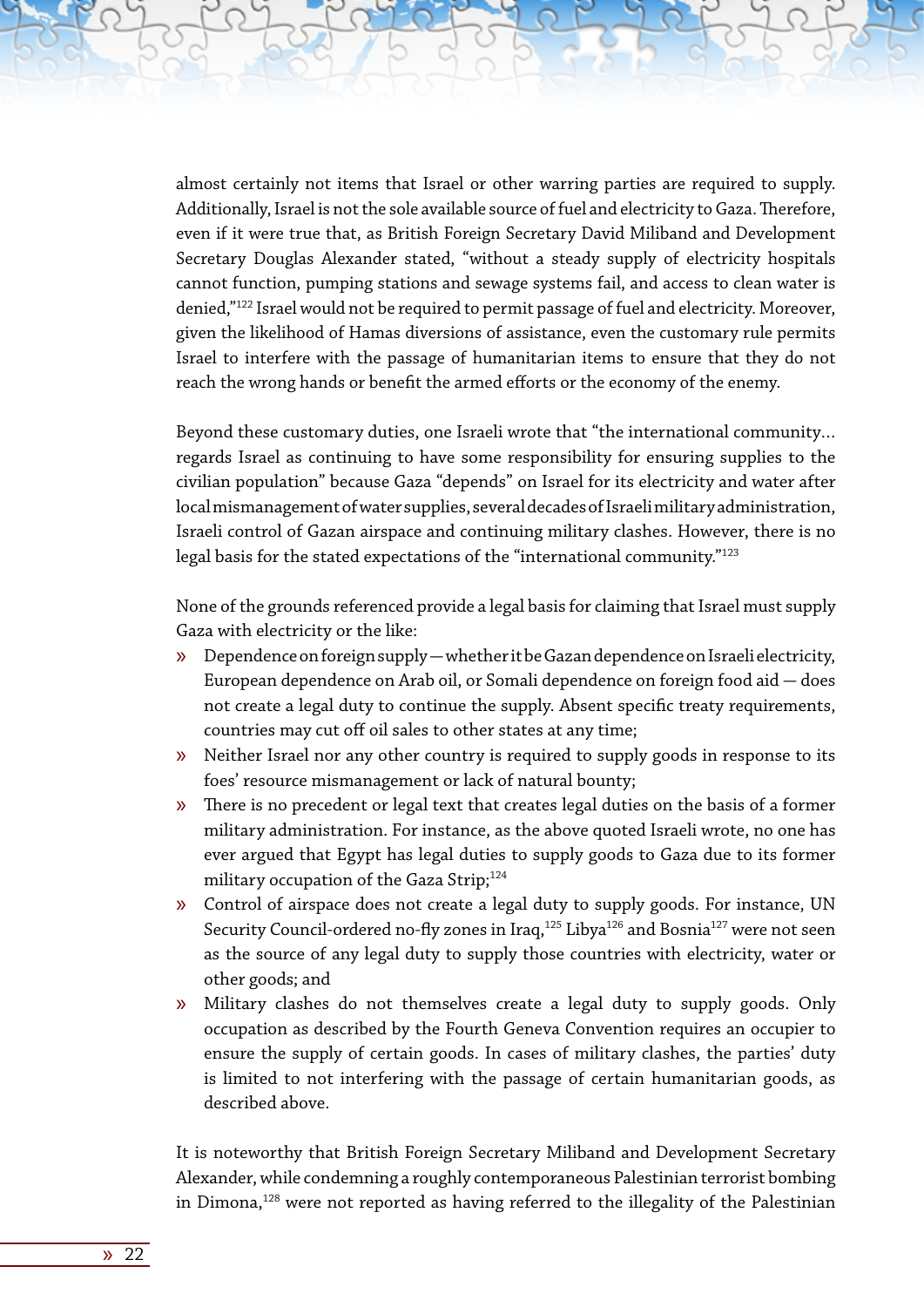almost certainly not items that Israel or other warring parties are required to supply. Additionally, Israel is not the sole available source of fuel and electricity to Gaza. Therefore, even if it were true that, as British Foreign Secretary David Miliband and Development Secretary Douglas Alexander stated, "without a steady supply of electricity hospitals cannot function, pumping stations and sewage systems fail, and access to clean water is denied,"122 Israel would not be required to permit passage of fuel and electricity. Moreover, given the likelihood of Hamas diversions of assistance, even the customary rule permits Israel to interfere with the passage of humanitarian items to ensure that they do not reach the wrong hands or benefit the armed efforts or the economy of the enemy.

Beyond these customary duties, one Israeli wrote that "the international community… regards Israel as continuing to have some responsibility for ensuring supplies to the civilian population" because Gaza "depends" on Israel for its electricity and water after local mismanagement of water supplies, several decades of Israeli military administration, Israeli control of Gazan airspace and continuing military clashes. However, there is no legal basis for the stated expectations of the "international community."<sup>123</sup>

None of the grounds referenced provide a legal basis for claiming that Israel must supply Gaza with electricity or the like:

- $\gg$  Dependence on foreign supply whether it be Gazan dependence on Israeli electricity, European dependence on Arab oil, or Somali dependence on foreign food aid  $-$  does not create a legal duty to continue the supply. Absent specific treaty requirements, countries may cut off oil sales to other states at any time;
- » Neither Israel nor any other country is required to supply goods in response to its foes' resource mismanagement or lack of natural bounty;
- » There is no precedent or legal text that creates legal duties on the basis of a former military administration. For instance, as the above quoted Israeli wrote, no one has ever argued that Egypt has legal duties to supply goods to Gaza due to its former military occupation of the Gaza Strip;<sup>124</sup>
- » Control of airspace does not create a legal duty to supply goods. For instance, UN Security Council-ordered no-fly zones in Iraq,<sup>125</sup> Libya<sup>126</sup> and Bosnia<sup>127</sup> were not seen as the source of any legal duty to supply those countries with electricity, water or other goods; and
- » Military clashes do not themselves create a legal duty to supply goods. Only occupation as described by the Fourth Geneva Convention requires an occupier to ensure the supply of certain goods. In cases of military clashes, the parties' duty is limited to not interfering with the passage of certain humanitarian goods, as described above.

It is noteworthy that British Foreign Secretary Miliband and Development Secretary Alexander, while condemning a roughly contemporaneous Palestinian terrorist bombing in Dimona,<sup>128</sup> were not reported as having referred to the illegality of the Palestinian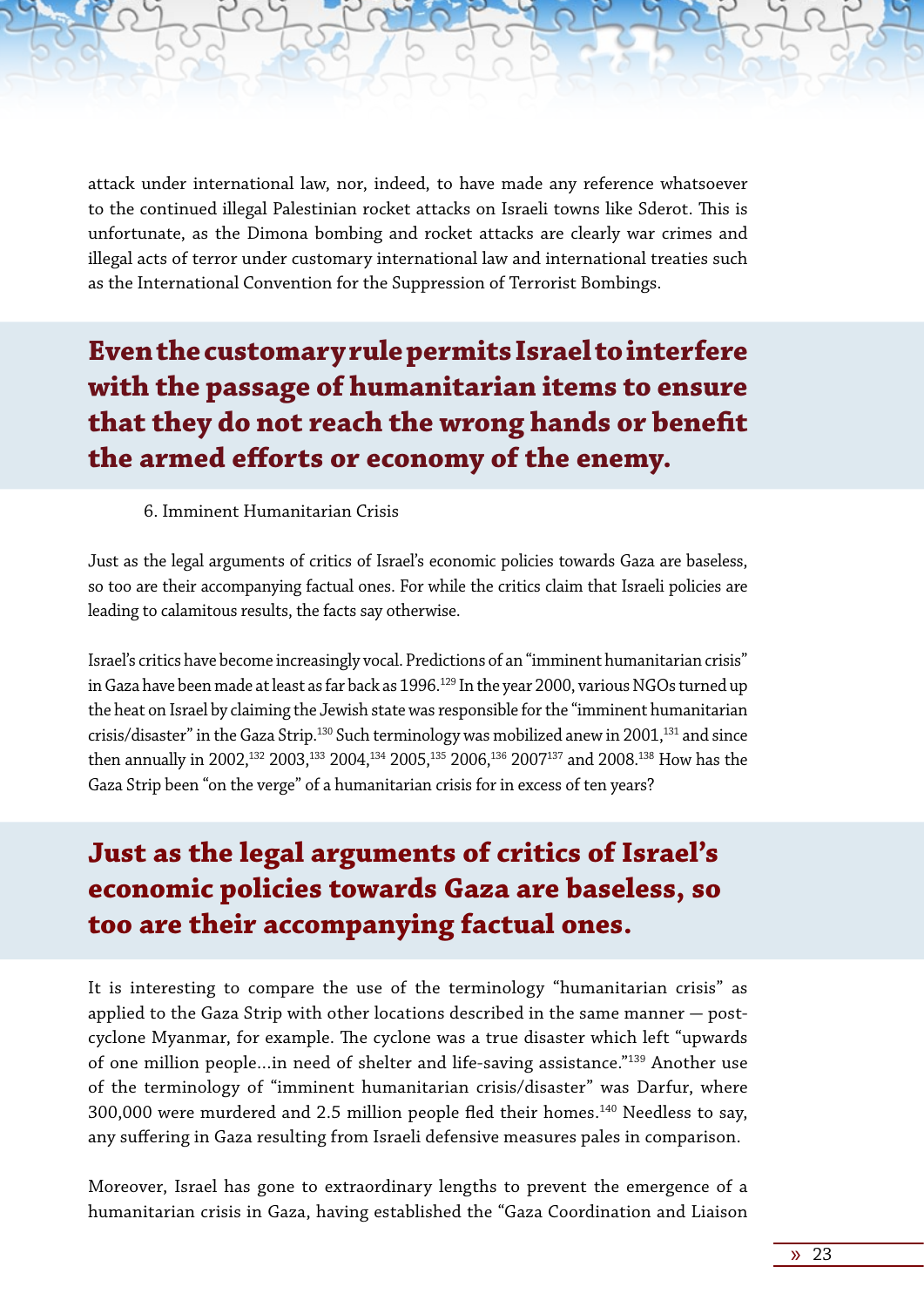attack under international law, nor, indeed, to have made any reference whatsoever to the continued illegal Palestinian rocket attacks on Israeli towns like Sderot. This is unfortunate, as the Dimona bombing and rocket attacks are clearly war crimes and illegal acts of terror under customary international law and international treaties such as the International Convention for the Suppression of Terrorist Bombings.

**Even the customary rule permits Israel to interfere with the passage of humanitarian items to ensure that they do not reach the wrong hands or benefit the armed efforts or economy of the enemy.** 

#### 6. Imminent Humanitarian Crisis

Just as the legal arguments of critics of Israel's economic policies towards Gaza are baseless, so too are their accompanying factual ones. For while the critics claim that Israeli policies are leading to calamitous results, the facts say otherwise.

Israel's critics have become increasingly vocal. Predictions of an "imminent humanitarian crisis" in Gaza have been made at least as far back as 1996.<sup>129</sup> In the year 2000, various NGOs turned up the heat on Israel by claiming the Jewish state was responsible for the "imminent humanitarian crisis/disaster" in the Gaza Strip.<sup>130</sup> Such terminology was mobilized anew in 2001,<sup>131</sup> and since then annually in 2002,<sup>132</sup> 2003,<sup>133</sup> 2004,<sup>134</sup> 2005,<sup>135</sup> 2006,<sup>136</sup> 2007<sup>137</sup> and 2008.<sup>138</sup> How has the Gaza Strip been "on the verge" of a humanitarian crisis for in excess of ten years?

### **Just as the legal arguments of critics of Israel's economic policies towards Gaza are baseless, so too are their accompanying factual ones.**

It is interesting to compare the use of the terminology "humanitarian crisis" as applied to the Gaza Strip with other locations described in the same manner  $-$  postcyclone Myanmar, for example. The cyclone was a true disaster which left "upwards of one million people…in need of shelter and life-saving assistance."139 Another use of the terminology of "imminent humanitarian crisis/disaster" was Darfur, where 300,000 were murdered and 2.5 million people fled their homes.140 Needless to say, any suffering in Gaza resulting from Israeli defensive measures pales in comparison.

Moreover, Israel has gone to extraordinary lengths to prevent the emergence of a humanitarian crisis in Gaza, having established the "Gaza Coordination and Liaison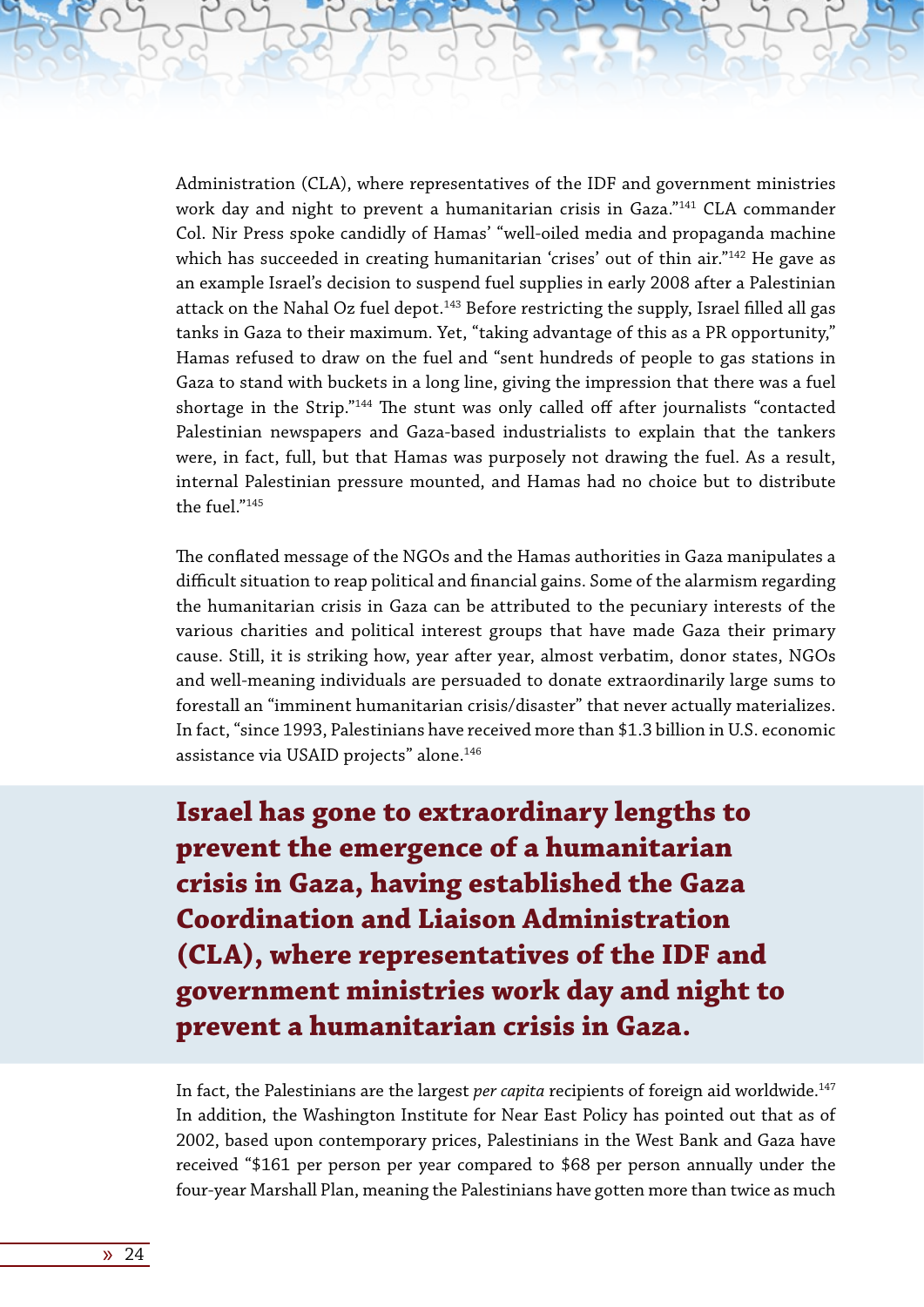Administration (CLA), where representatives of the IDF and government ministries work day and night to prevent a humanitarian crisis in Gaza."<sup>141</sup> CLA commander Col. Nir Press spoke candidly of Hamas' "well-oiled media and propaganda machine which has succeeded in creating humanitarian 'crises' out of thin air."<sup>142</sup> He gave as an example Israel's decision to suspend fuel supplies in early 2008 after a Palestinian attack on the Nahal Oz fuel depot.<sup>143</sup> Before restricting the supply, Israel filled all gas tanks in Gaza to their maximum. Yet, "taking advantage of this as a PR opportunity," Hamas refused to draw on the fuel and "sent hundreds of people to gas stations in Gaza to stand with buckets in a long line, giving the impression that there was a fuel shortage in the Strip."144 The stunt was only called off after journalists "contacted Palestinian newspapers and Gaza-based industrialists to explain that the tankers were, in fact, full, but that Hamas was purposely not drawing the fuel. As a result, internal Palestinian pressure mounted, and Hamas had no choice but to distribute the fuel."145

The conflated message of the NGOs and the Hamas authorities in Gaza manipulates a difficult situation to reap political and financial gains. Some of the alarmism regarding the humanitarian crisis in Gaza can be attributed to the pecuniary interests of the various charities and political interest groups that have made Gaza their primary cause. Still, it is striking how, year after year, almost verbatim, donor states, NGOs and well-meaning individuals are persuaded to donate extraordinarily large sums to forestall an "imminent humanitarian crisis/disaster" that never actually materializes. In fact, "since 1993, Palestinians have received more than \$1.3 billion in U.S. economic assistance via USAID projects" alone.<sup>146</sup>

**Israel has gone to extraordinary lengths to prevent the emergence of a humanitarian crisis in Gaza, having established the Gaza Coordination and Liaison Administration (CLA), where representatives of the IDF and government ministries work day and night to prevent a humanitarian crisis in Gaza.**

In fact, the Palestinians are the largest *per capita* recipients of foreign aid worldwide.147 In addition, the Washington Institute for Near East Policy has pointed out that as of 2002, based upon contemporary prices, Palestinians in the West Bank and Gaza have received "\$161 per person per year compared to \$68 per person annually under the four-year Marshall Plan, meaning the Palestinians have gotten more than twice as much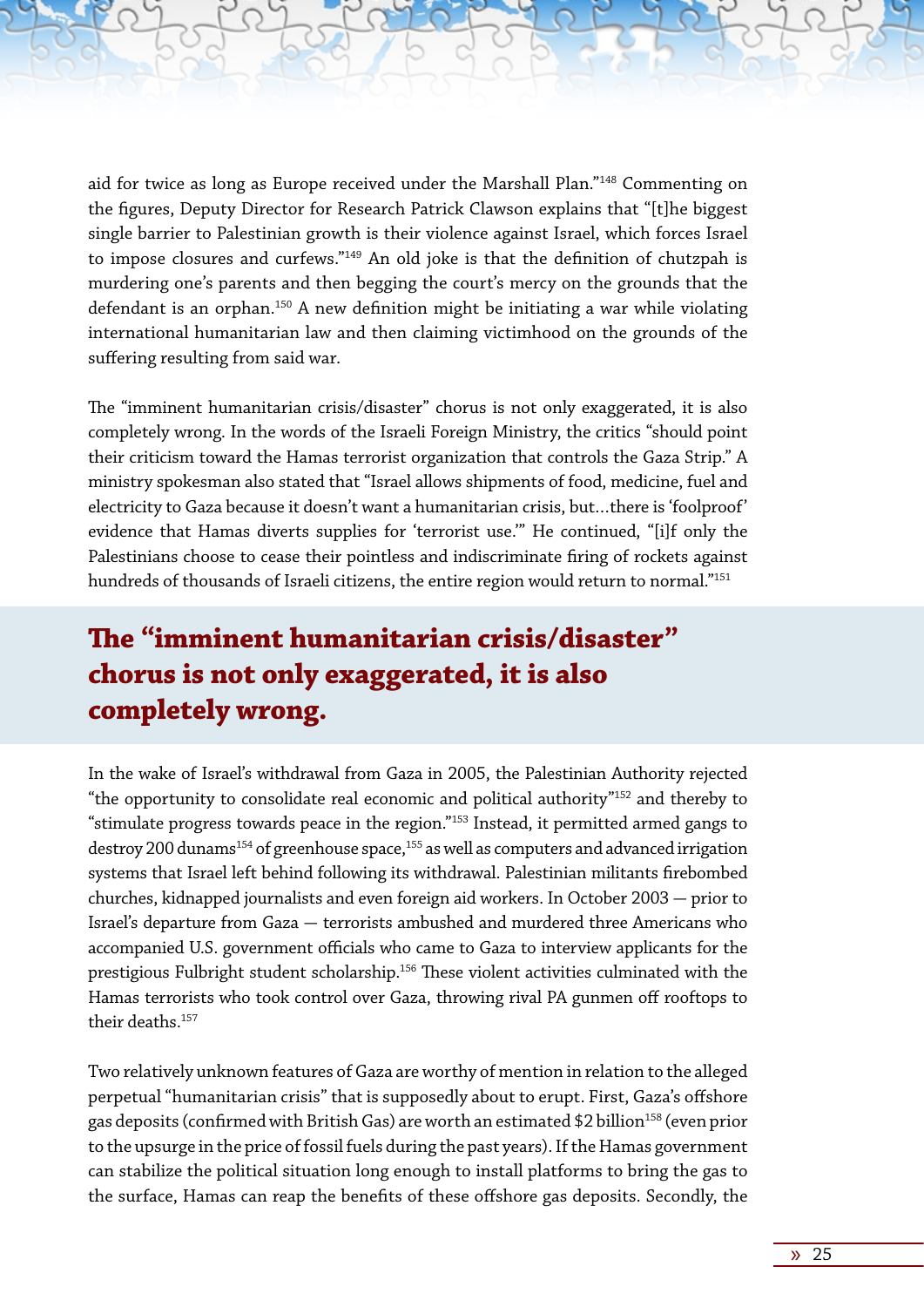aid for twice as long as Europe received under the Marshall Plan."148 Commenting on the figures, Deputy Director for Research Patrick Clawson explains that "[t]he biggest single barrier to Palestinian growth is their violence against Israel, which forces Israel to impose closures and curfews."149 An old joke is that the definition of chutzpah is murdering one's parents and then begging the court's mercy on the grounds that the defendant is an orphan.<sup>150</sup> A new definition might be initiating a war while violating international humanitarian law and then claiming victimhood on the grounds of the suffering resulting from said war.

The "imminent humanitarian crisis/disaster" chorus is not only exaggerated, it is also completely wrong. In the words of the Israeli Foreign Ministry, the critics "should point their criticism toward the Hamas terrorist organization that controls the Gaza Strip." A ministry spokesman also stated that "Israel allows shipments of food, medicine, fuel and electricity to Gaza because it doesn't want a humanitarian crisis, but…there is 'foolproof' evidence that Hamas diverts supplies for 'terrorist use.'" He continued, "[i]f only the Palestinians choose to cease their pointless and indiscriminate firing of rockets against hundreds of thousands of Israeli citizens, the entire region would return to normal."<sup>151</sup>

### **The "imminent humanitarian crisis/disaster" chorus is not only exaggerated, it is also completely wrong.**

In the wake of Israel's withdrawal from Gaza in 2005, the Palestinian Authority rejected "the opportunity to consolidate real economic and political authority"152 and thereby to "stimulate progress towards peace in the region."153 Instead, it permitted armed gangs to destroy 200 dunams<sup>154</sup> of greenhouse space,  $155$  as well as computers and advanced irrigation systems that Israel left behind following its withdrawal. Palestinian militants firebombed churches, kidnapped journalists and even foreign aid workers. In October 2003 - prior to Israel's departure from Gaza - terrorists ambushed and murdered three Americans who accompanied U.S. government officials who came to Gaza to interview applicants for the prestigious Fulbright student scholarship.156 These violent activities culminated with the Hamas terrorists who took control over Gaza, throwing rival PA gunmen off rooftops to their deaths.157

Two relatively unknown features of Gaza are worthy of mention in relation to the alleged perpetual "humanitarian crisis" that is supposedly about to erupt. First, Gaza's offshore gas deposits (confirmed with British Gas) are worth an estimated \$2 billion<sup>158</sup> (even prior to the upsurge in the price of fossil fuels during the past years). If the Hamas government can stabilize the political situation long enough to install platforms to bring the gas to the surface, Hamas can reap the benefits of these offshore gas deposits. Secondly, the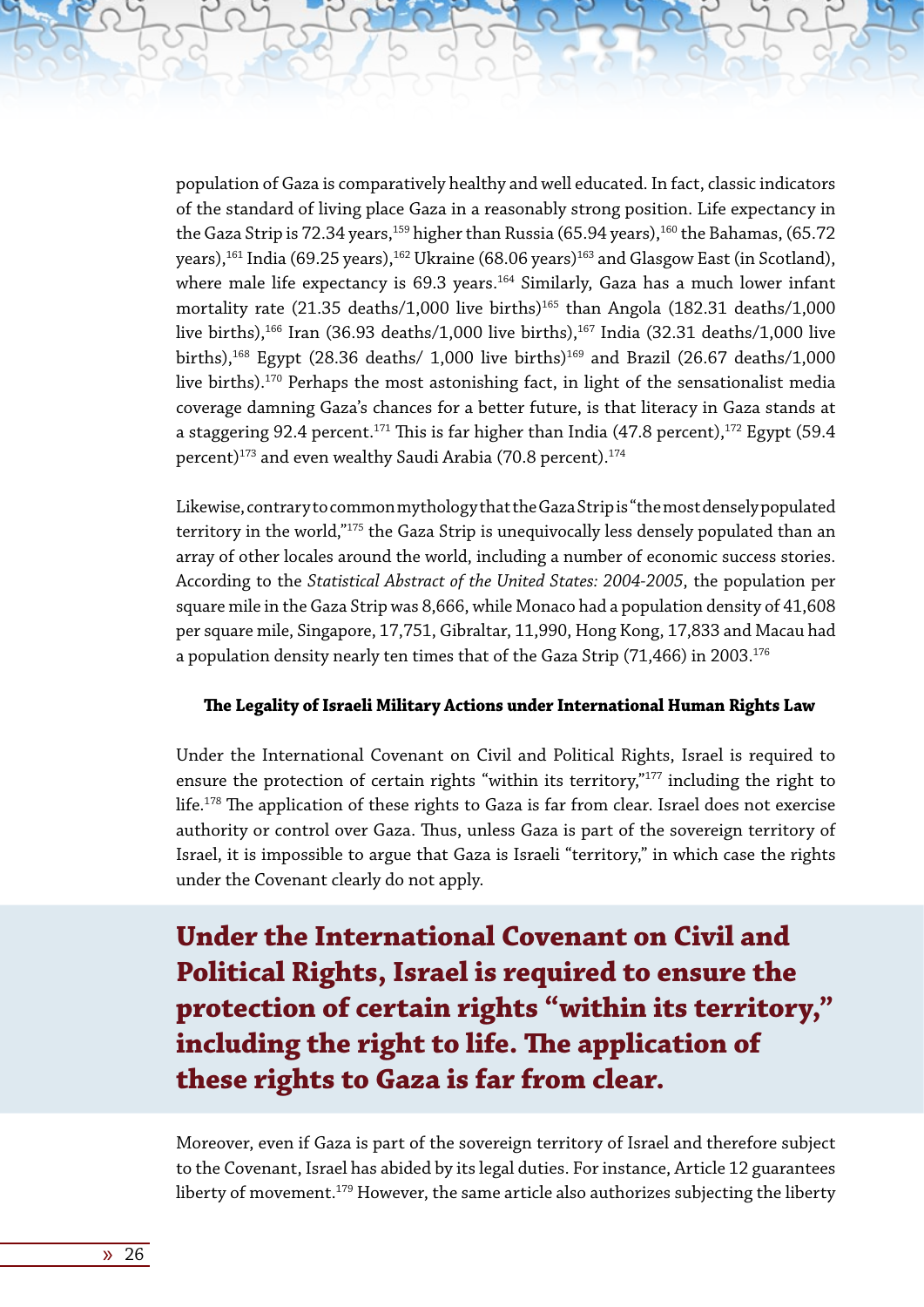population of Gaza is comparatively healthy and well educated. In fact, classic indicators of the standard of living place Gaza in a reasonably strong position. Life expectancy in the Gaza Strip is 72.34 years,<sup>159</sup> higher than Russia (65.94 years),<sup>160</sup> the Bahamas, (65.72 years),<sup>161</sup> India (69.25 years),<sup>162</sup> Ukraine (68.06 years)<sup>163</sup> and Glasgow East (in Scotland), where male life expectancy is  $69.3$  years.<sup>164</sup> Similarly, Gaza has a much lower infant mortality rate  $(21.35$  deaths/1,000 live births)<sup>165</sup> than Angola  $(182.31$  deaths/1,000 live births),<sup>166</sup> Iran (36.93 deaths/1,000 live births),<sup>167</sup> India (32.31 deaths/1,000 live births),<sup>168</sup> Egypt (28.36 deaths/ 1,000 live births)<sup>169</sup> and Brazil (26.67 deaths/1,000 live births).<sup>170</sup> Perhaps the most astonishing fact, in light of the sensationalist media coverage damning Gaza's chances for a better future, is that literacy in Gaza stands at a staggering 92.4 percent.<sup>171</sup> This is far higher than India (47.8 percent),<sup>172</sup> Egypt (59.4 percent)<sup>173</sup> and even wealthy Saudi Arabia (70.8 percent).<sup>174</sup>

Likewise, contrary to common mythology that the Gaza Strip is "the most densely populated territory in the world,"<sup>175</sup> the Gaza Strip is unequivocally less densely populated than an array of other locales around the world, including a number of economic success stories. According to the *Statistical Abstract of the United States: 2004-2005*, the population per square mile in the Gaza Strip was 8,666, while Monaco had a population density of 41,608 per square mile, Singapore, 17,751, Gibraltar, 11,990, Hong Kong, 17,833 and Macau had a population density nearly ten times that of the Gaza Strip (71,466) in 2003.<sup>176</sup>

#### **The Legality of Israeli Military Actions under International Human Rights Law**

Under the International Covenant on Civil and Political Rights, Israel is required to ensure the protection of certain rights "within its territory,"<sup>177</sup> including the right to life.<sup>178</sup> The application of these rights to Gaza is far from clear. Israel does not exercise authority or control over Gaza. Thus, unless Gaza is part of the sovereign territory of Israel, it is impossible to argue that Gaza is Israeli "territory," in which case the rights under the Covenant clearly do not apply.

**Under the International Covenant on Civil and Political Rights, Israel is required to ensure the protection of certain rights "within its territory," including the right to life. The application of these rights to Gaza is far from clear.**

Moreover, even if Gaza is part of the sovereign territory of Israel and therefore subject to the Covenant, Israel has abided by its legal duties. For instance, Article 12 guarantees liberty of movement.<sup>179</sup> However, the same article also authorizes subjecting the liberty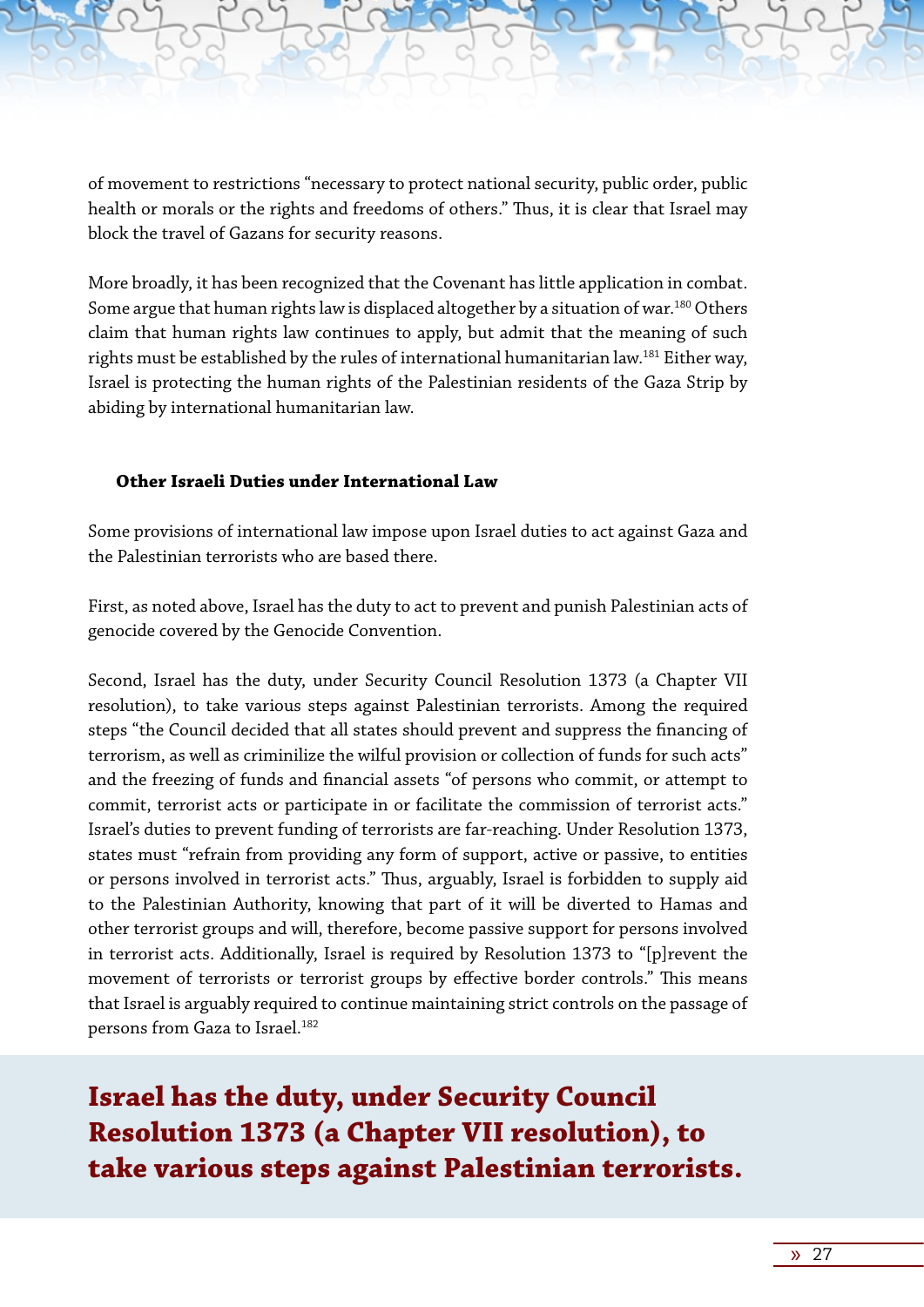of movement to restrictions "necessary to protect national security, public order, public health or morals or the rights and freedoms of others." Thus, it is clear that Israel may block the travel of Gazans for security reasons.

More broadly, it has been recognized that the Covenant has little application in combat. Some argue that human rights law is displaced altogether by a situation of war.<sup>180</sup> Others claim that human rights law continues to apply, but admit that the meaning of such rights must be established by the rules of international humanitarian law.<sup>181</sup> Either way, Israel is protecting the human rights of the Palestinian residents of the Gaza Strip by abiding by international humanitarian law.

#### **Other Israeli Duties under International Law**

Some provisions of international law impose upon Israel duties to act against Gaza and the Palestinian terrorists who are based there.

First, as noted above, Israel has the duty to act to prevent and punish Palestinian acts of genocide covered by the Genocide Convention.

Second, Israel has the duty, under Security Council Resolution 1373 (a Chapter VII resolution), to take various steps against Palestinian terrorists. Among the required steps "the Council decided that all states should prevent and suppress the financing of terrorism, as well as criminilize the wilful provision or collection of funds for such acts" and the freezing of funds and financial assets "of persons who commit, or attempt to commit, terrorist acts or participate in or facilitate the commission of terrorist acts." Israel's duties to prevent funding of terrorists are far-reaching. Under Resolution 1373, states must "refrain from providing any form of support, active or passive, to entities or persons involved in terrorist acts." Thus, arguably, Israel is forbidden to supply aid to the Palestinian Authority, knowing that part of it will be diverted to Hamas and other terrorist groups and will, therefore, become passive support for persons involved in terrorist acts. Additionally, Israel is required by Resolution 1373 to "[p]revent the movement of terrorists or terrorist groups by effective border controls." This means that Israel is arguably required to continue maintaining strict controls on the passage of persons from Gaza to Israel.182

**Israel has the duty, under Security Council Resolution 1373 (a Chapter VII resolution), to take various steps against Palestinian terrorists.**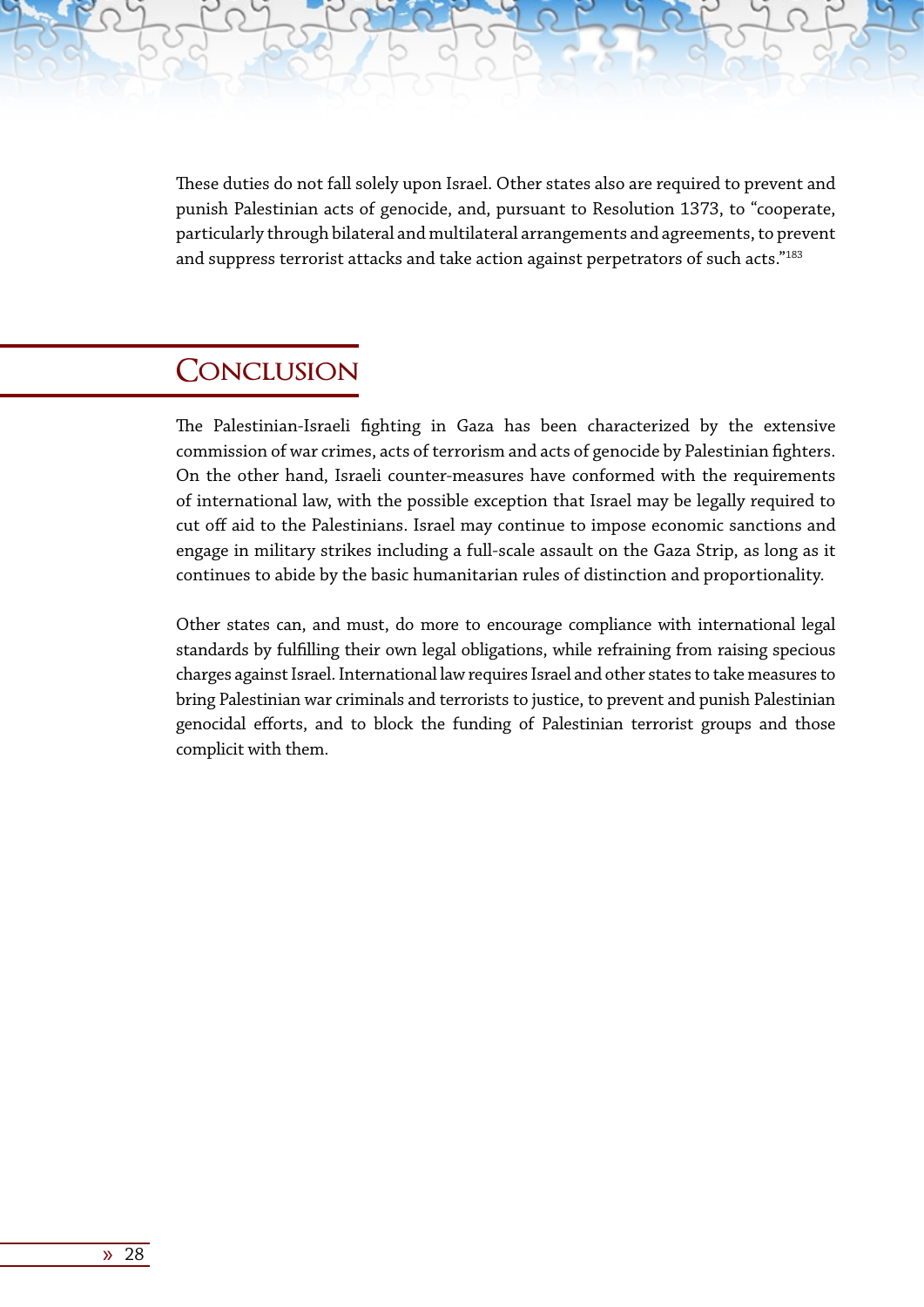These duties do not fall solely upon Israel. Other states also are required to prevent and punish Palestinian acts of genocide, and, pursuant to Resolution 1373, to "cooperate, particularly through bilateral and multilateral arrangements and agreements, to prevent and suppress terrorist attacks and take action against perpetrators of such acts."<sup>183</sup>

### **Conclusion**

The Palestinian-Israeli fighting in Gaza has been characterized by the extensive commission of war crimes, acts of terrorism and acts of genocide by Palestinian fighters. On the other hand, Israeli counter-measures have conformed with the requirements of international law, with the possible exception that Israel may be legally required to cut off aid to the Palestinians. Israel may continue to impose economic sanctions and engage in military strikes including a full-scale assault on the Gaza Strip, as long as it continues to abide by the basic humanitarian rules of distinction and proportionality.

Other states can, and must, do more to encourage compliance with international legal standards by fulfilling their own legal obligations, while refraining from raising specious charges against Israel. International law requires Israel and other states to take measures to bring Palestinian war criminals and terrorists to justice, to prevent and punish Palestinian genocidal efforts, and to block the funding of Palestinian terrorist groups and those complicit with them.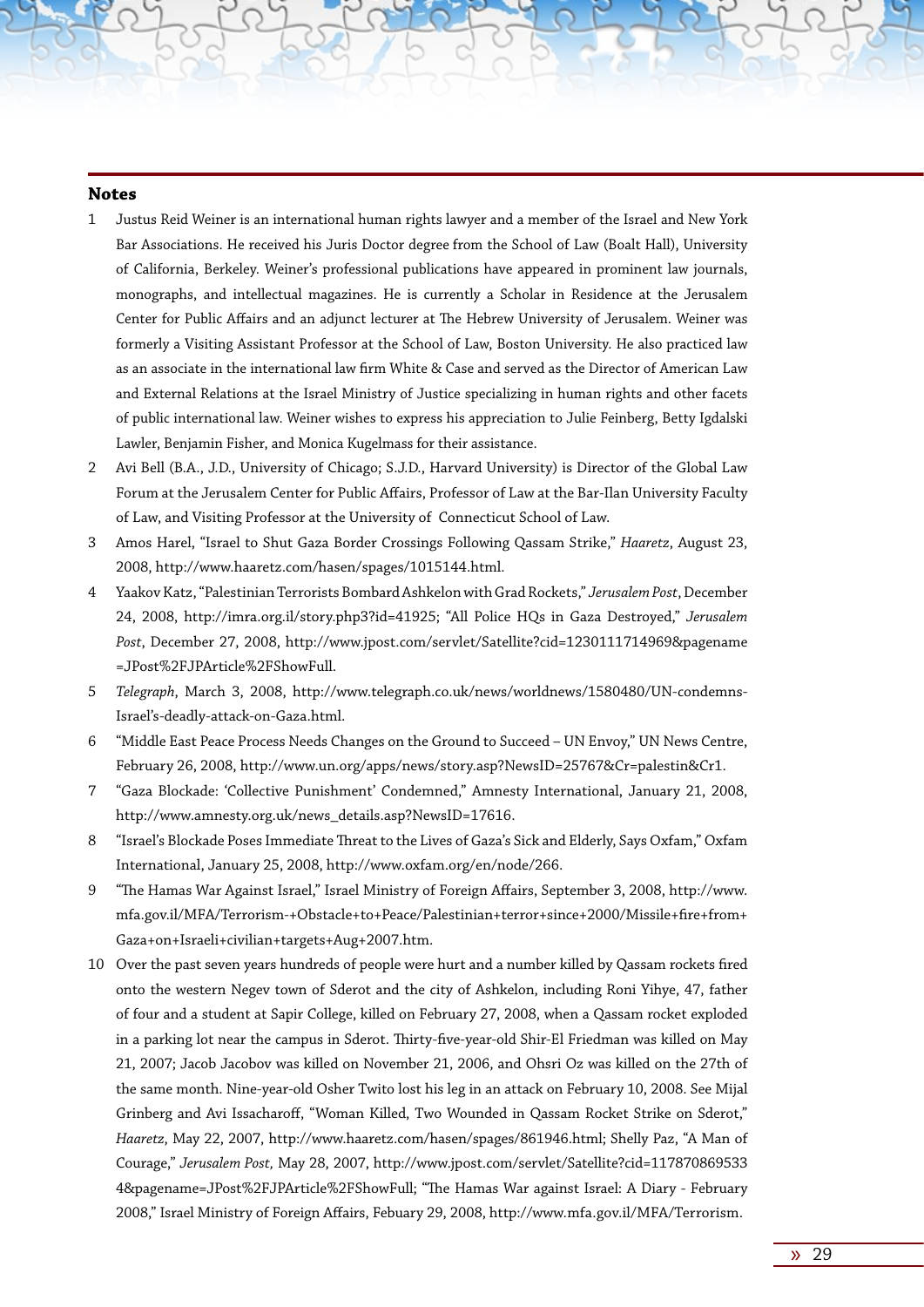#### **Notes**

- 1 Justus Reid Weiner is an international human rights lawyer and a member of the Israel and New York Bar Associations. He received his Juris Doctor degree from the School of Law (Boalt Hall), University of California, Berkeley. Weiner's professional publications have appeared in prominent law journals, monographs, and intellectual magazines. He is currently a Scholar in Residence at the Jerusalem Center for Public Affairs and an adjunct lecturer at The Hebrew University of Jerusalem. Weiner was formerly a Visiting Assistant Professor at the School of Law, Boston University. He also practiced law as an associate in the international law firm White & Case and served as the Director of American Law and External Relations at the Israel Ministry of Justice specializing in human rights and other facets of public international law. Weiner wishes to express his appreciation to Julie Feinberg, Betty Igdalski Lawler, Benjamin Fisher, and Monica Kugelmass for their assistance.
- 2 Avi Bell (B.A., J.D., University of Chicago; S.J.D., Harvard University) is Director of the Global Law Forum at the Jerusalem Center for Public Affairs, Professor of Law at the Bar-Ilan University Faculty of Law, and Visiting Professor at the University of Connecticut School of Law.
- 3 Amos Harel, "Israel to Shut Gaza Border Crossings Following Qassam Strike," *Haaretz*, August 23, 2008, http://www.haaretz.com/hasen/spages/1015144.html.
- 4 Yaakov Katz, "Palestinian Terrorists Bombard Ashkelon with Grad Rockets," *Jerusalem Post*, December 24, 2008, http://imra.org.il/story.php3?id=41925; "All Police HQs in Gaza Destroyed," *Jerusalem Post*, December 27, 2008, http://www.jpost.com/servlet/Satellite?cid=1230111714969&pagename =JPost%2FJPArticle%2FShowFull.
- 5 *Telegraph*, March 3, 2008, http://www.telegraph.co.uk/news/worldnews/1580480/UN-condemns-Israel's-deadly-attack-on-Gaza.html.
- 6 "Middle East Peace Process Needs Changes on the Ground to Succeed UN Envoy," UN News Centre, February 26, 2008, http://www.un.org/apps/news/story.asp?NewsID=25767&Cr=palestin&Cr1.
- 7 "Gaza Blockade: 'Collective Punishment' Condemned," Amnesty International, January 21, 2008, http://www.amnesty.org.uk/news\_details.asp?NewsID=17616.
- 8 "Israel's Blockade Poses Immediate Threat to the Lives of Gaza's Sick and Elderly, Says Oxfam," Oxfam International, January 25, 2008, http://www.oxfam.org/en/node/266.
- 9 "The Hamas War Against Israel," Israel Ministry of Foreign Affairs, September 3, 2008, http://www. mfa.gov.il/MFA/Terrorism-+Obstacle+to+Peace/Palestinian+terror+since+2000/Missile+fire+from+ Gaza+on+Israeli+civilian+targets+Aug+2007.htm.
- 10 Over the past seven years hundreds of people were hurt and a number killed by Qassam rockets fired onto the western Negev town of Sderot and the city of Ashkelon, including Roni Yihye, 47, father of four and a student at Sapir College, killed on February 27, 2008, when a Qassam rocket exploded in a parking lot near the campus in Sderot. Thirty-five-year-old Shir-El Friedman was killed on May 21, 2007; Jacob Jacobov was killed on November 21, 2006, and Ohsri Oz was killed on the 27th of the same month. Nine-year-old Osher Twito lost his leg in an attack on February 10, 2008. See Mijal Grinberg and Avi Issacharoff, "Woman Killed, Two Wounded in Qassam Rocket Strike on Sderot," *Haaretz*, May 22, 2007, http://www.haaretz.com/hasen/spages/861946.html; Shelly Paz, "A Man of Courage," *Jerusalem Post,* May 28, 2007, http://www.jpost.com/servlet/Satellite?cid=117870869533 4&pagename=JPost%2FJPArticle%2FShowFull; "The Hamas War against Israel: A Diary - February 2008," Israel Ministry of Foreign Affairs, Febuary 29, 2008, http://www.mfa.gov.il/MFA/Terrorism.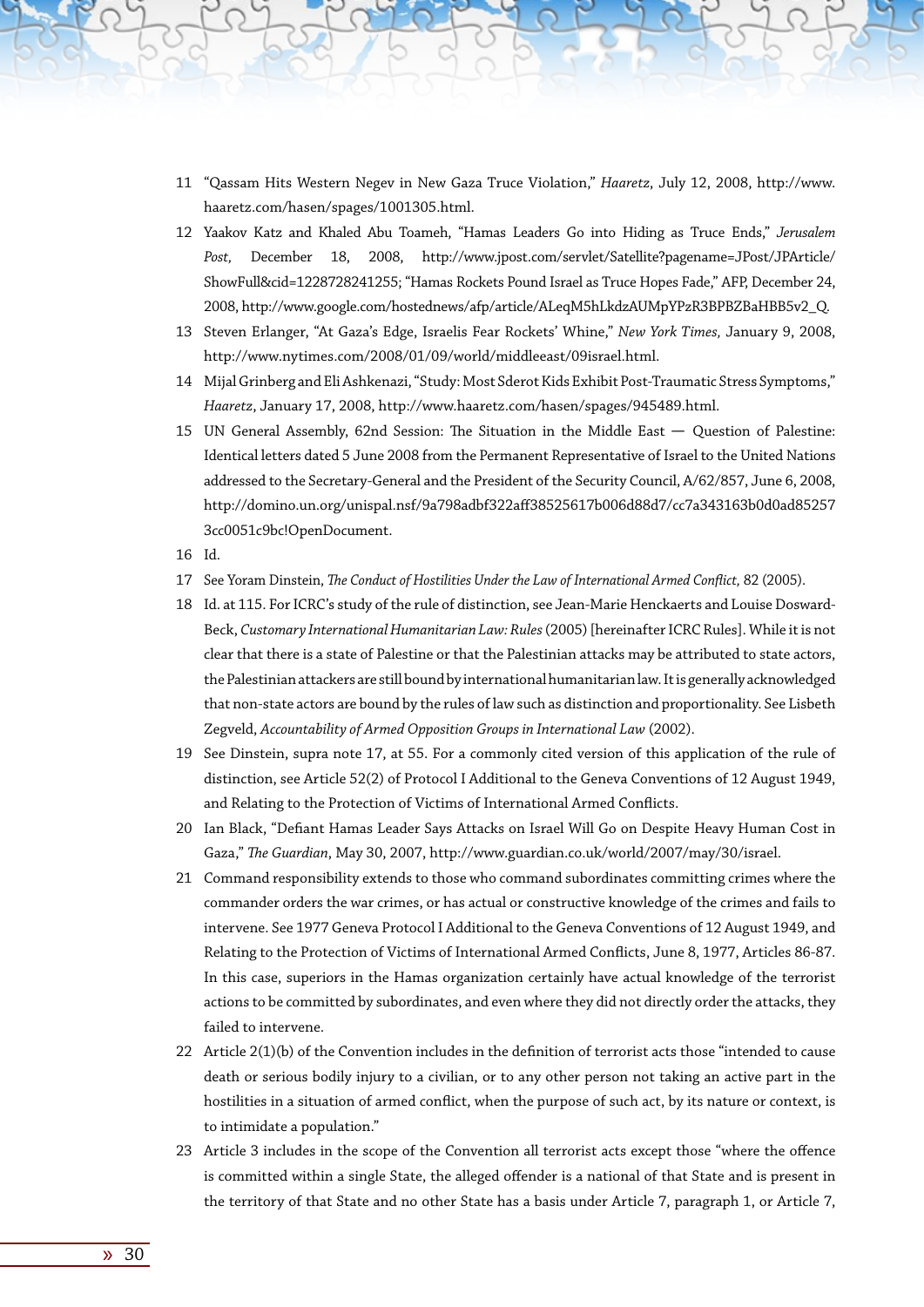- 11 "Qassam Hits Western Negev in New Gaza Truce Violation," *Haaretz*, July 12, 2008, http://www. haaretz.com/hasen/spages/1001305.html.
- 12 Yaakov Katz and Khaled Abu Toameh, "Hamas Leaders Go into Hiding as Truce Ends," *Jerusalem Post,* December 18, 2008, http://www.jpost.com/servlet/Satellite?pagename=JPost/JPArticle/ ShowFull&cid=1228728241255; "Hamas Rockets Pound Israel as Truce Hopes Fade," AFP, December 24, 2008, http://www.google.com/hostednews/afp/article/ALeqM5hLkdzAUMpYPzR3BPBZBaHBB5v2\_Q.
- 13 Steven Erlanger, "At Gaza's Edge, Israelis Fear Rockets' Whine," *New York Times,* January 9, 2008, http://www.nytimes.com/2008/01/09/world/middleeast/09israel.html.
- 14 Mijal Grinberg and Eli Ashkenazi, "Study: Most Sderot Kids Exhibit Post-Traumatic Stress Symptoms," *Haaretz*, January 17, 2008, http://www.haaretz.com/hasen/spages/945489.html.
- 15 UN General Assembly, 62nd Session: The Situation in the Middle East Question of Palestine: Identical letters dated 5 June 2008 from the Permanent Representative of Israel to the United Nations addressed to the Secretary-General and the President of the Security Council, A/62/857, June 6, 2008, http://domino.un.org/unispal.nsf/9a798adbf322aff38525617b006d88d7/cc7a343163b0d0ad85257 3cc0051c9bc!OpenDocument.
- 16 Id.
- 17 See Yoram Dinstein, *The Conduct of Hostilities Under the Law of International Armed Conflict,* 82 (2005).
- 18 Id. at 115. For ICRC's study of the rule of distinction, see Jean-Marie Henckaerts and Louise Dosward-Beck, *Customary International Humanitarian Law: Rules* (2005) [hereinafter ICRC Rules]. While it is not clear that there is a state of Palestine or that the Palestinian attacks may be attributed to state actors, the Palestinian attackers are still bound by international humanitarian law. It is generally acknowledged that non-state actors are bound by the rules of law such as distinction and proportionality. See Lisbeth Zegveld, *Accountability of Armed Opposition Groups in International Law* (2002).
- 19 See Dinstein, supra note 17, at 55. For a commonly cited version of this application of the rule of distinction, see Article 52(2) of Protocol I Additional to the Geneva Conventions of 12 August 1949, and Relating to the Protection of Victims of International Armed Conflicts.
- 20 Ian Black, "Defiant Hamas Leader Says Attacks on Israel Will Go on Despite Heavy Human Cost in Gaza," *The Guardian*, May 30, 2007, http://www.guardian.co.uk/world/2007/may/30/israel.
- 21 Command responsibility extends to those who command subordinates committing crimes where the commander orders the war crimes, or has actual or constructive knowledge of the crimes and fails to intervene. See 1977 Geneva Protocol I Additional to the Geneva Conventions of 12 August 1949, and Relating to the Protection of Victims of International Armed Conflicts, June 8, 1977, Articles 86-87. In this case, superiors in the Hamas organization certainly have actual knowledge of the terrorist actions to be committed by subordinates, and even where they did not directly order the attacks, they failed to intervene.
- 22 Article 2(1)(b) of the Convention includes in the definition of terrorist acts those "intended to cause death or serious bodily injury to a civilian, or to any other person not taking an active part in the hostilities in a situation of armed conflict, when the purpose of such act, by its nature or context, is to intimidate a population."
- 23 Article 3 includes in the scope of the Convention all terrorist acts except those "where the offence is committed within a single State, the alleged offender is a national of that State and is present in the territory of that State and no other State has a basis under Article 7, paragraph 1, or Article 7,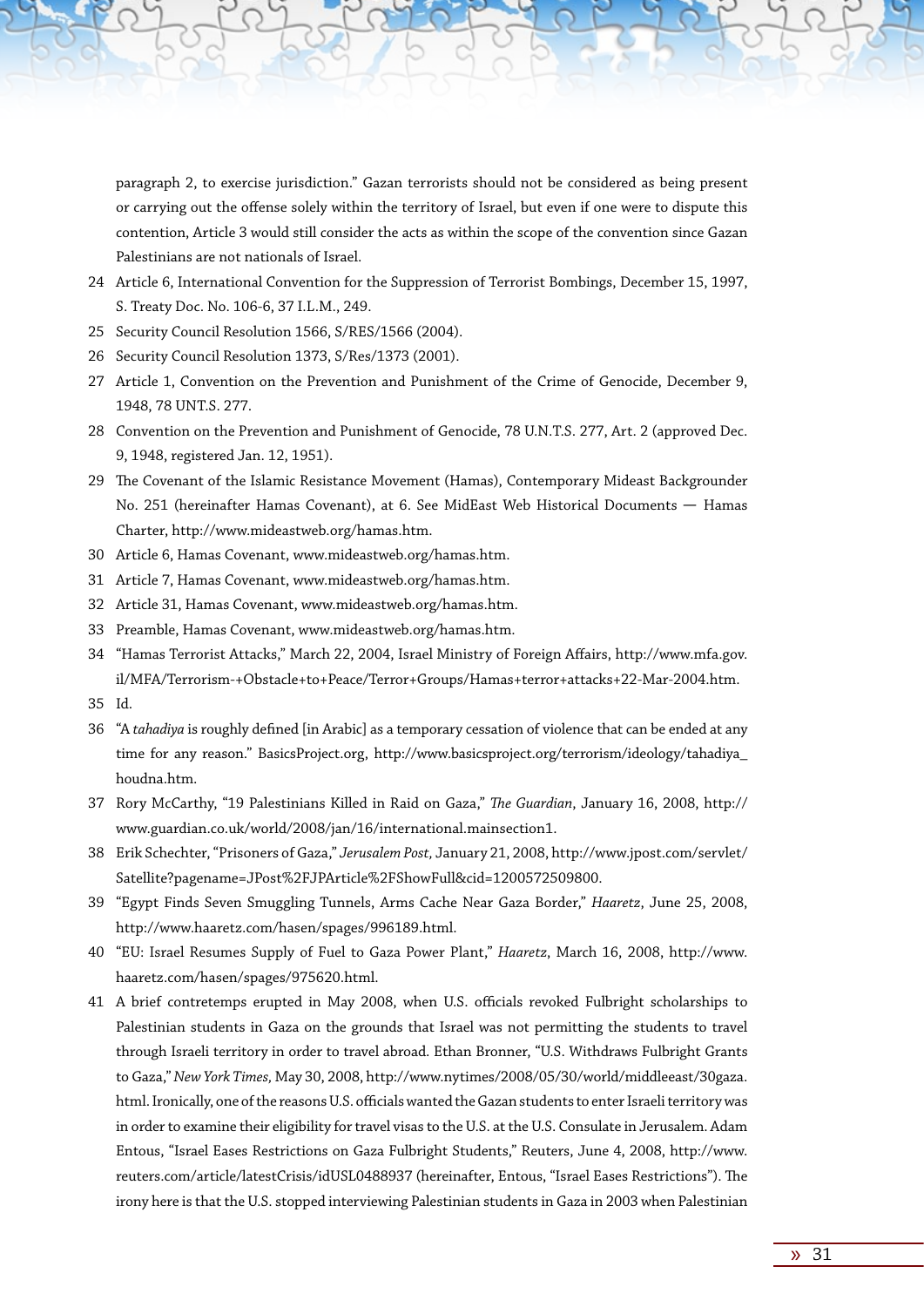paragraph 2, to exercise jurisdiction." Gazan terrorists should not be considered as being present or carrying out the offense solely within the territory of Israel, but even if one were to dispute this contention, Article 3 would still consider the acts as within the scope of the convention since Gazan Palestinians are not nationals of Israel.

- 24 Article 6, International Convention for the Suppression of Terrorist Bombings, December 15, 1997, S. Treaty Doc. No. 106-6, 37 I.L.M., 249.
- 25 Security Council Resolution 1566, S/RES/1566 (2004).
- 26 Security Council Resolution 1373, S/Res/1373 (2001).
- 27 Article 1, Convention on the Prevention and Punishment of the Crime of Genocide, December 9, 1948, 78 UNT.S. 277.
- 28 Convention on the Prevention and Punishment of Genocide, 78 U.N.T.S. 277, Art. 2 (approved Dec. 9, 1948, registered Jan. 12, 1951).
- 29 The Covenant of the Islamic Resistance Movement (Hamas), Contemporary Mideast Backgrounder No. 251 (hereinafter Hamas Covenant), at 6. See MidEast Web Historical Documents - Hamas Charter, http://www.mideastweb.org/hamas.htm.
- 30 Article 6, Hamas Covenant, www.mideastweb.org/hamas.htm.
- 31 Article 7, Hamas Covenant, www.mideastweb.org/hamas.htm.
- 32 Article 31, Hamas Covenant, www.mideastweb.org/hamas.htm.
- 33 Preamble, Hamas Covenant, www.mideastweb.org/hamas.htm.
- 34 "Hamas Terrorist Attacks," March 22, 2004, Israel Ministry of Foreign Affairs, http://www.mfa.gov. il/MFA/Terrorism-+Obstacle+to+Peace/Terror+Groups/Hamas+terror+attacks+22-Mar-2004.htm.
- 35 Id.
- 36 "A *tahadiya* is roughly defined [in Arabic] as a temporary cessation of violence that can be ended at any time for any reason." BasicsProject.org, http://www.basicsproject.org/terrorism/ideology/tahadiya\_ houdna.htm.
- 37 Rory McCarthy, "19 Palestinians Killed in Raid on Gaza," *The Guardian*, January 16, 2008, http:// www.guardian.co.uk/world/2008/jan/16/international.mainsection1.
- 38 Erik Schechter, "Prisoners of Gaza," *Jerusalem Post,* January 21, 2008, http://www.jpost.com/servlet/ Satellite?pagename=JPost%2FJPArticle%2FShowFull&cid=1200572509800.
- 39 "Egypt Finds Seven Smuggling Tunnels, Arms Cache Near Gaza Border," *Haaretz*, June 25, 2008, http://www.haaretz.com/hasen/spages/996189.html.
- 40 "EU: Israel Resumes Supply of Fuel to Gaza Power Plant," *Haaretz*, March 16, 2008, http://www. haaretz.com/hasen/spages/975620.html.
- 41 A brief contretemps erupted in May 2008, when U.S. officials revoked Fulbright scholarships to Palestinian students in Gaza on the grounds that Israel was not permitting the students to travel through Israeli territory in order to travel abroad. Ethan Bronner, "U.S. Withdraws Fulbright Grants to Gaza," *New York Times,* May 30, 2008, http://www.nytimes/2008/05/30/world/middleeast/30gaza. html. Ironically, one of the reasons U.S. officials wanted the Gazan students to enter Israeli territory was in order to examine their eligibility for travel visas to the U.S. at the U.S. Consulate in Jerusalem. Adam Entous, "Israel Eases Restrictions on Gaza Fulbright Students," Reuters, June 4, 2008, http://www. reuters.com/article/latestCrisis/idUSL0488937 (hereinafter, Entous, "Israel Eases Restrictions"). The irony here is that the U.S. stopped interviewing Palestinian students in Gaza in 2003 when Palestinian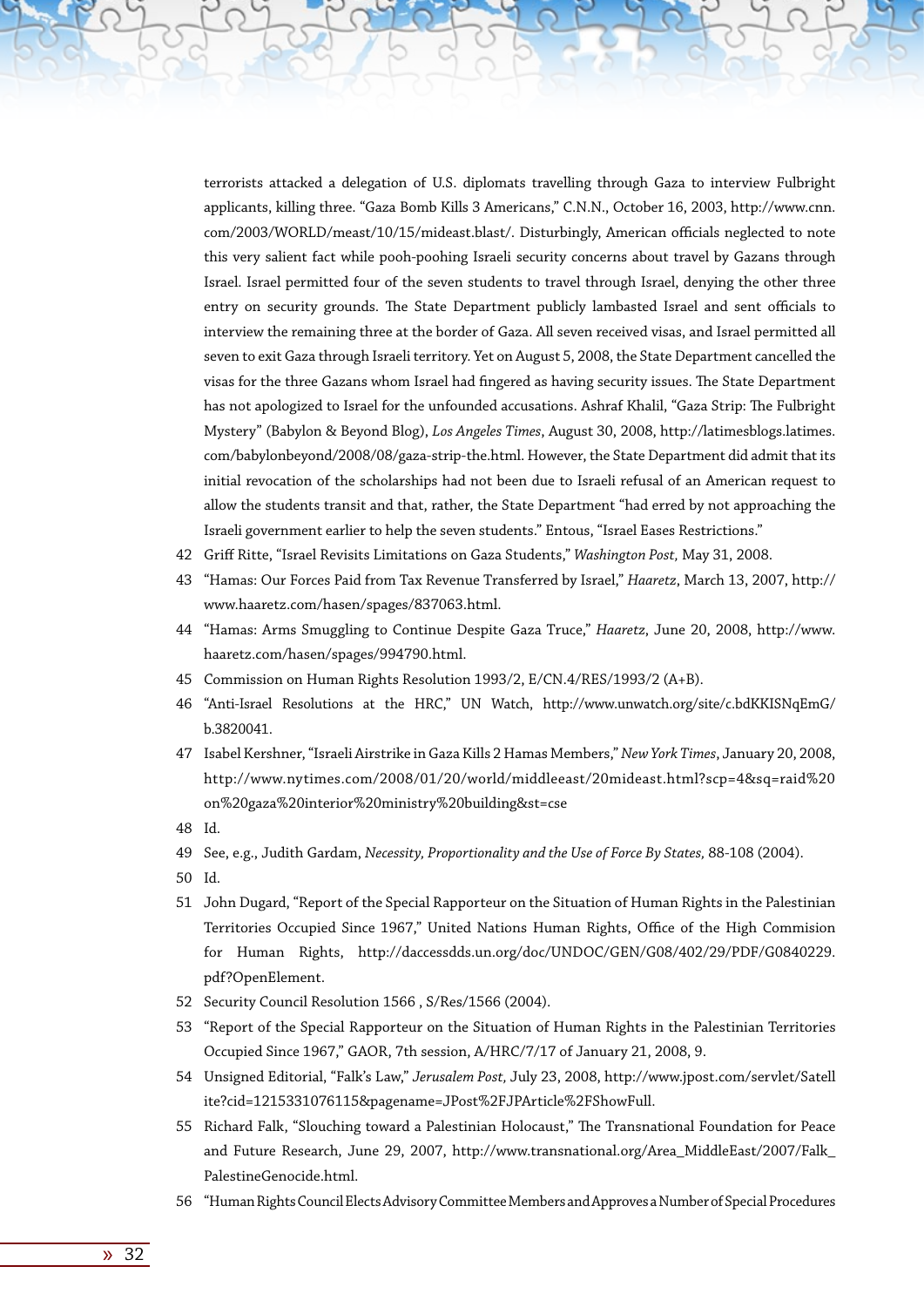terrorists attacked a delegation of U.S. diplomats travelling through Gaza to interview Fulbright applicants, killing three. "Gaza Bomb Kills 3 Americans," C.N.N., October 16, 2003, http://www.cnn. com/2003/WORLD/meast/10/15/mideast.blast/. Disturbingly, American officials neglected to note this very salient fact while pooh-poohing Israeli security concerns about travel by Gazans through Israel. Israel permitted four of the seven students to travel through Israel, denying the other three entry on security grounds. The State Department publicly lambasted Israel and sent officials to interview the remaining three at the border of Gaza. All seven received visas, and Israel permitted all seven to exit Gaza through Israeli territory. Yet on August 5, 2008, the State Department cancelled the visas for the three Gazans whom Israel had fingered as having security issues. The State Department has not apologized to Israel for the unfounded accusations. Ashraf Khalil, "Gaza Strip: The Fulbright Mystery" (Babylon & Beyond Blog), *Los Angeles Times*, August 30, 2008, http://latimesblogs.latimes. com/babylonbeyond/2008/08/gaza-strip-the.html. However, the State Department did admit that its initial revocation of the scholarships had not been due to Israeli refusal of an American request to allow the students transit and that, rather, the State Department "had erred by not approaching the Israeli government earlier to help the seven students." Entous, "Israel Eases Restrictions."

- 42 Griff Ritte, "Israel Revisits Limitations on Gaza Students," *Washington Post,* May 31, 2008.
- 43 "Hamas: Our Forces Paid from Tax Revenue Transferred by Israel," *Haaretz*, March 13, 2007, http:// www.haaretz.com/hasen/spages/837063.html.
- 44 "Hamas: Arms Smuggling to Continue Despite Gaza Truce," *Haaretz*, June 20, 2008, http://www. haaretz.com/hasen/spages/994790.html.
- 45 Commission on Human Rights Resolution 1993/2, E/CN.4/RES/1993/2 (A+B).
- 46 "Anti-Israel Resolutions at the HRC," UN Watch, http://www.unwatch.org/site/c.bdKKISNqEmG/ b.3820041.
- 47 Isabel Kershner, "Israeli Airstrike in Gaza Kills 2 Hamas Members," *New York Times*, January 20, 2008, http://www.nytimes.com/2008/01/20/world/middleeast/20mideast.html?scp=4&sq=raid%20 on%20gaza%20interior%20ministry%20building&st=cse
- 48 Id.
- 49 See, e.g., Judith Gardam, *Necessity, Proportionality and the Use of Force By States,* 88-108 (2004).
- 50 Id.
- 51 John Dugard, "Report of the Special Rapporteur on the Situation of Human Rights in the Palestinian Territories Occupied Since 1967," United Nations Human Rights, Office of the High Commision for Human Rights, http://daccessdds.un.org/doc/UNDOC/GEN/G08/402/29/PDF/G0840229. pdf?OpenElement.
- 52 Security Council Resolution 1566 , S/Res/1566 (2004).
- 53 "Report of the Special Rapporteur on the Situation of Human Rights in the Palestinian Territories Occupied Since 1967," GAOR, 7th session, A/HRC/7/17 of January 21, 2008, 9.
- 54 Unsigned Editorial, "Falk's Law," *Jerusalem Post,* July 23, 2008, http://www.jpost.com/servlet/Satell ite?cid=1215331076115&pagename=JPost%2FJPArticle%2FShowFull.
- 55 Richard Falk, "Slouching toward a Palestinian Holocaust," The Transnational Foundation for Peace and Future Research, June 29, 2007, http://www.transnational.org/Area\_MiddleEast/2007/Falk\_ PalestineGenocide.html.
- 56 "Human Rights Council Elects Advisory Committee Members and Approves a Number of Special Procedures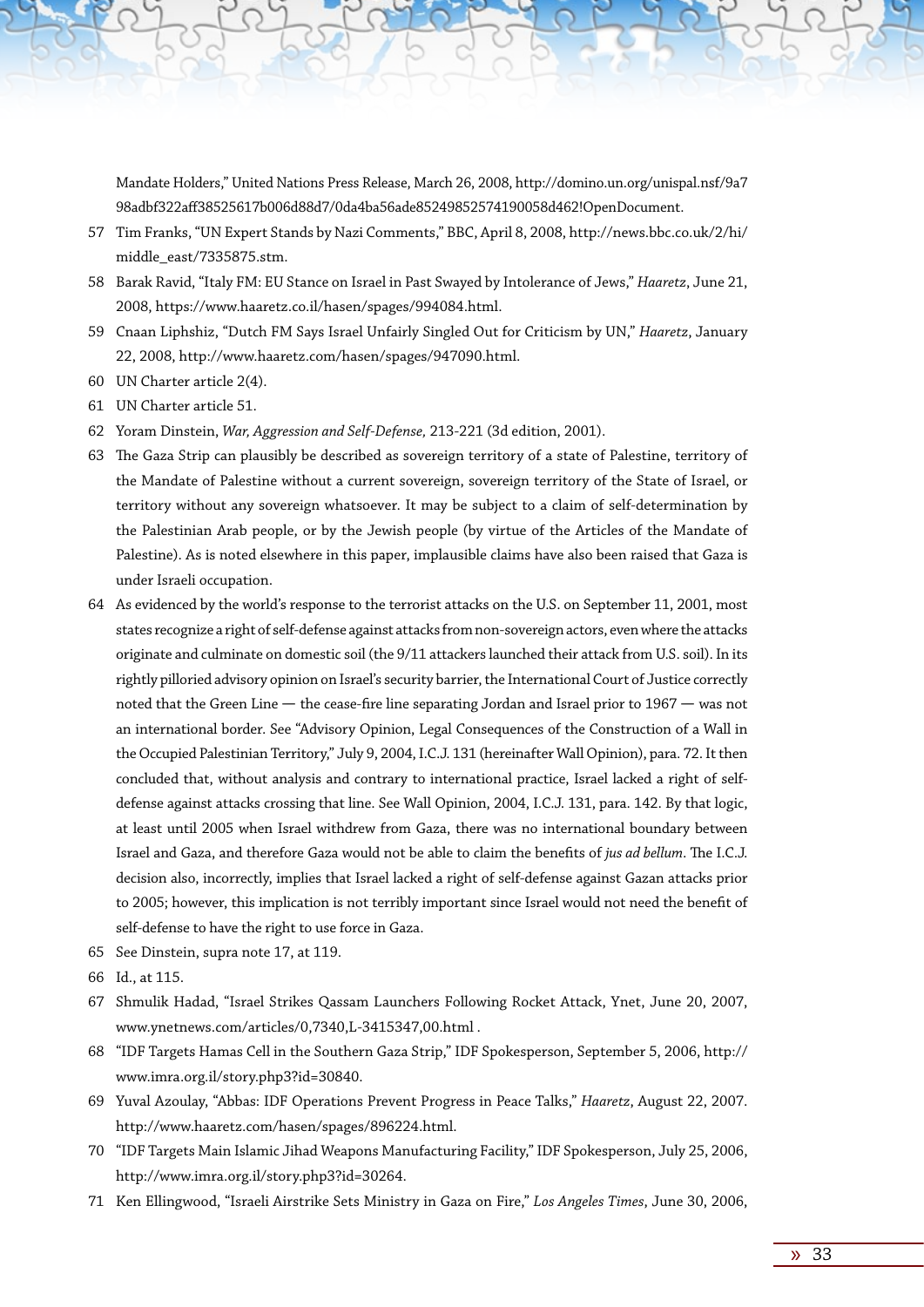Mandate Holders," United Nations Press Release, March 26, 2008, http://domino.un.org/unispal.nsf/9a7 98adbf322aff38525617b006d88d7/0da4ba56ade85249852574190058d462!OpenDocument.

- 57 Tim Franks, "UN Expert Stands by Nazi Comments," BBC, April 8, 2008, http://news.bbc.co.uk/2/hi/ middle\_east/7335875.stm.
- 58 Barak Ravid, "Italy FM: EU Stance on Israel in Past Swayed by Intolerance of Jews," *Haaretz*, June 21, 2008, https://www.haaretz.co.il/hasen/spages/994084.html.
- 59 Cnaan Liphshiz, "Dutch FM Says Israel Unfairly Singled Out for Criticism by UN," *Haaretz*, January 22, 2008, http://www.haaretz.com/hasen/spages/947090.html.
- 60 UN Charter article 2(4).
- 61 UN Charter article 51.
- 62 Yoram Dinstein, *War, Aggression and Self-Defense,* 213-221 (3d edition, 2001).
- 63 The Gaza Strip can plausibly be described as sovereign territory of a state of Palestine, territory of the Mandate of Palestine without a current sovereign, sovereign territory of the State of Israel, or territory without any sovereign whatsoever. It may be subject to a claim of self-determination by the Palestinian Arab people, or by the Jewish people (by virtue of the Articles of the Mandate of Palestine). As is noted elsewhere in this paper, implausible claims have also been raised that Gaza is under Israeli occupation.
- 64 As evidenced by the world's response to the terrorist attacks on the U.S. on September 11, 2001, most states recognize a right of self-defense against attacks from non-sovereign actors, even where the attacks originate and culminate on domestic soil (the 9/11 attackers launched their attack from U.S. soil). In its rightly pilloried advisory opinion on Israel's security barrier, the International Court of Justice correctly noted that the Green Line - the cease-fire line separating Jordan and Israel prior to 1967 - was not an international border. See "Advisory Opinion, Legal Consequences of the Construction of a Wall in the Occupied Palestinian Territory," July 9, 2004, I.C.J. 131 (hereinafter Wall Opinion), para. 72. It then concluded that, without analysis and contrary to international practice, Israel lacked a right of selfdefense against attacks crossing that line. See Wall Opinion, 2004, I.C.J. 131, para. 142. By that logic, at least until 2005 when Israel withdrew from Gaza, there was no international boundary between Israel and Gaza, and therefore Gaza would not be able to claim the benefits of *jus ad bellum*. The I.C.J. decision also, incorrectly, implies that Israel lacked a right of self-defense against Gazan attacks prior to 2005; however, this implication is not terribly important since Israel would not need the benefit of self-defense to have the right to use force in Gaza.
- 65 See Dinstein, supra note 17, at 119.
- 66 Id., at 115.
- 67 Shmulik Hadad, "Israel Strikes Qassam Launchers Following Rocket Attack, Ynet, June 20, 2007, www.ynetnews.com/articles/0,7340,L-3415347,00.html .
- 68 "IDF Targets Hamas Cell in the Southern Gaza Strip," IDF Spokesperson, September 5, 2006, http:// www.imra.org.il/story.php3?id=30840.
- 69 Yuval Azoulay, "Abbas: IDF Operations Prevent Progress in Peace Talks," *Haaretz*, August 22, 2007. http://www.haaretz.com/hasen/spages/896224.html.
- 70 "IDF Targets Main Islamic Jihad Weapons Manufacturing Facility," IDF Spokesperson, July 25, 2006, http://www.imra.org.il/story.php3?id=30264.
- 71 Ken Ellingwood, "Israeli Airstrike Sets Ministry in Gaza on Fire," *Los Angeles Times*, June 30, 2006,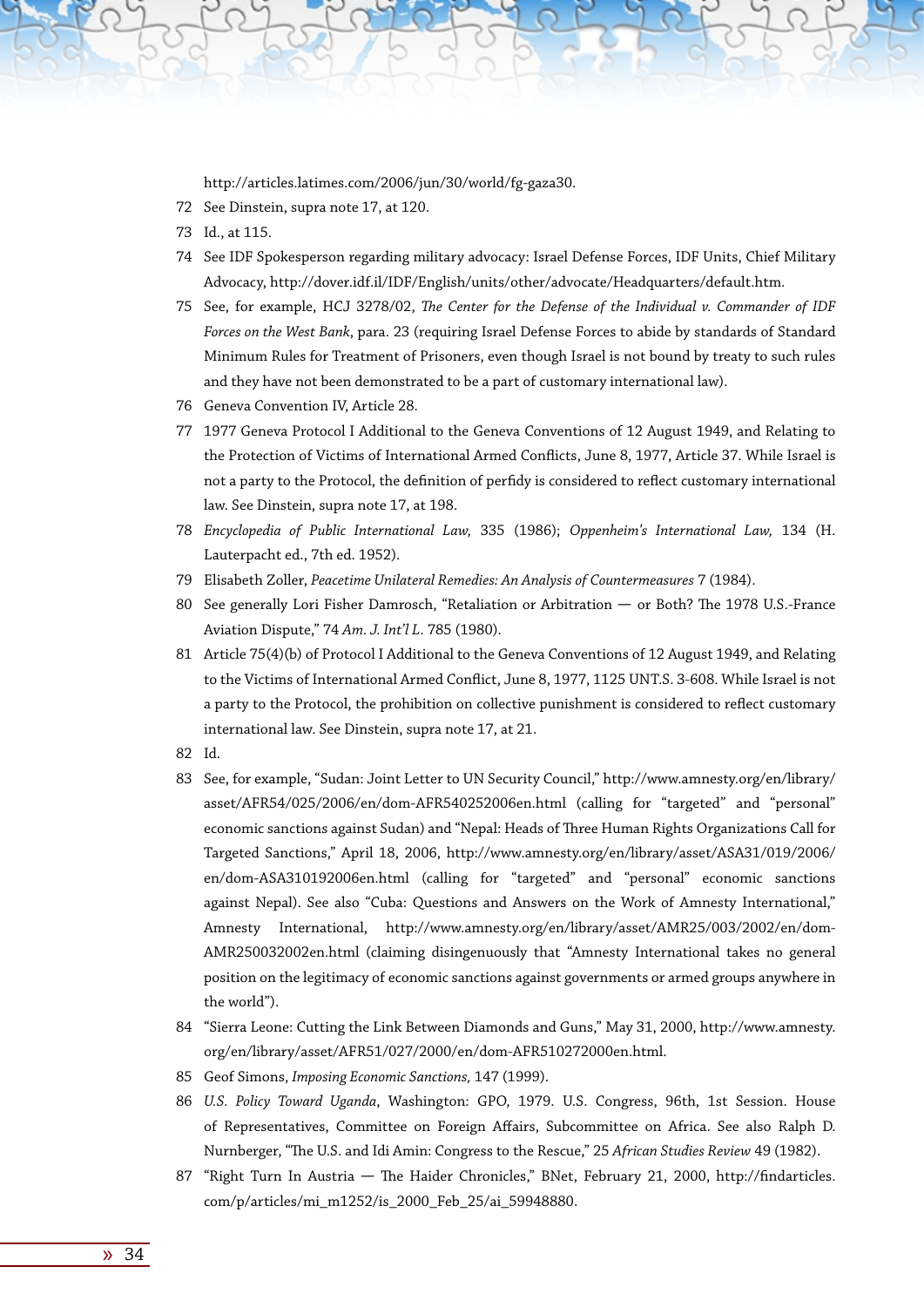http://articles.latimes.com/2006/jun/30/world/fg-gaza30.

- 72 See Dinstein, supra note 17, at 120.
- 73 Id., at 115.
- 74 See IDF Spokesperson regarding military advocacy: Israel Defense Forces, IDF Units, Chief Military Advocacy, http://dover.idf.il/IDF/English/units/other/advocate/Headquarters/default.htm.
- 75 See, for example, HCJ 3278/02, *The Center for the Defense of the Individual v. Commander of IDF Forces on the West Bank*, para. 23 (requiring Israel Defense Forces to abide by standards of Standard Minimum Rules for Treatment of Prisoners, even though Israel is not bound by treaty to such rules and they have not been demonstrated to be a part of customary international law).
- 76 Geneva Convention IV, Article 28.
- 77 1977 Geneva Protocol I Additional to the Geneva Conventions of 12 August 1949, and Relating to the Protection of Victims of International Armed Conflicts, June 8, 1977, Article 37. While Israel is not a party to the Protocol, the definition of perfidy is considered to reflect customary international law. See Dinstein, supra note 17, at 198.
- 78 *Encyclopedia of Public International Law,* 335 (1986); *Oppenheim's International Law,* 134 (H. Lauterpacht ed., 7th ed. 1952).
- 79 Elisabeth Zoller, *Peacetime Unilateral Remedies: An Analysis of Countermeasures* 7 (1984).
- 80 See generally Lori Fisher Damrosch, "Retaliation or Arbitration or Both? The 1978 U.S.-France Aviation Dispute," 74 *Am. J. Int'l L.* 785 (1980).
- 81 Article 75(4)(b) of Protocol I Additional to the Geneva Conventions of 12 August 1949, and Relating to the Victims of International Armed Conflict, June 8, 1977, 1125 UNT.S. 3-608. While Israel is not a party to the Protocol, the prohibition on collective punishment is considered to reflect customary international law. See Dinstein, supra note 17, at 21.
- 82 Id.
- 83 See, for example, "Sudan: Joint Letter to UN Security Council," http://www.amnesty.org/en/library/ asset/AFR54/025/2006/en/dom-AFR540252006en.html (calling for "targeted" and "personal" economic sanctions against Sudan) and "Nepal: Heads of Three Human Rights Organizations Call for Targeted Sanctions," April 18, 2006, http://www.amnesty.org/en/library/asset/ASA31/019/2006/ en/dom-ASA310192006en.html (calling for "targeted" and "personal" economic sanctions against Nepal). See also "Cuba: Questions and Answers on the Work of Amnesty International," Amnesty International, http://www.amnesty.org/en/library/asset/AMR25/003/2002/en/dom-AMR250032002en.html (claiming disingenuously that "Amnesty International takes no general position on the legitimacy of economic sanctions against governments or armed groups anywhere in the world").
- 84 "Sierra Leone: Cutting the Link Between Diamonds and Guns," May 31, 2000, http://www.amnesty. org/en/library/asset/AFR51/027/2000/en/dom-AFR510272000en.html.
- 85 Geof Simons, *Imposing Economic Sanctions,* 147 (1999).
- 86 *U.S. Policy Toward Uganda*, Washington: GPO, 1979. U.S. Congress, 96th, 1st Session. House of Representatives, Committee on Foreign Affairs, Subcommittee on Africa. See also Ralph D. Nurnberger, "The U.S. and Idi Amin: Congress to the Rescue," 25 *African Studies Review* 49 (1982).
- 87 "Right Turn In Austria The Haider Chronicles," BNet, February 21, 2000, http://findarticles. com/p/articles/mi\_m1252/is\_2000\_Feb\_25/ai\_59948880.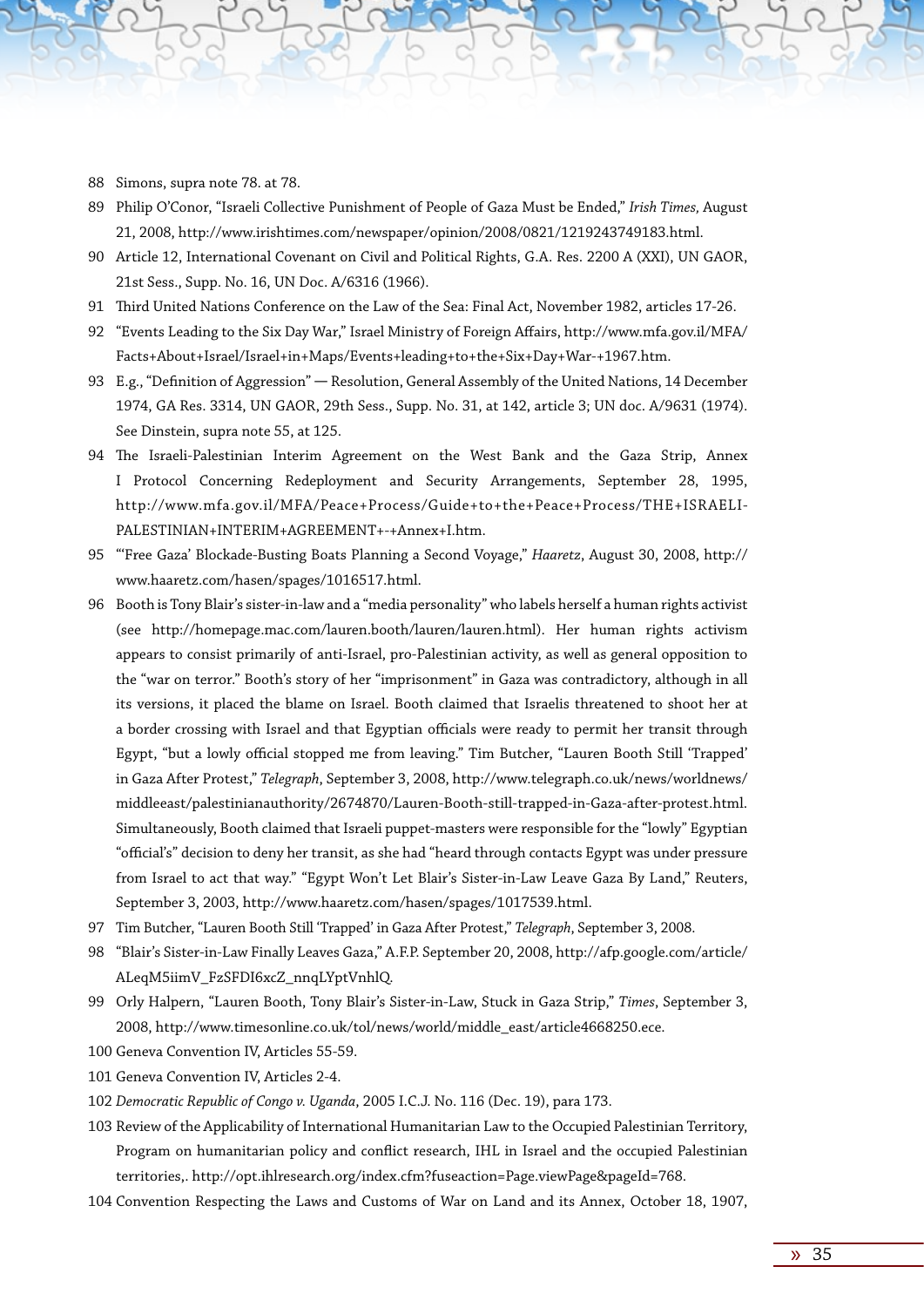- 88 Simons, supra note 78. at 78.
- 89 Philip O'Conor, "Israeli Collective Punishment of People of Gaza Must be Ended," *Irish Times,* August 21, 2008, http://www.irishtimes.com/newspaper/opinion/2008/0821/1219243749183.html.
- 90 Article 12, International Covenant on Civil and Political Rights, G.A. Res. 2200 A (XXI), UN GAOR, 21st Sess., Supp. No. 16, UN Doc. A/6316 (1966).
- 91 Third United Nations Conference on the Law of the Sea: Final Act, November 1982, articles 17-26.
- 92 "Events Leading to the Six Day War," Israel Ministry of Foreign Affairs, http://www.mfa.gov.il/MFA/ Facts+About+Israel/Israel+in+Maps/Events+leading+to+the+Six+Day+War-+1967.htm.
- 93 E.g., "Definition of Aggression" Resolution, General Assembly of the United Nations, 14 December 1974, GA Res. 3314, UN GAOR, 29th Sess., Supp. No. 31, at 142, article 3; UN doc. A/9631 (1974). See Dinstein, supra note 55, at 125.
- 94 The Israeli-Palestinian Interim Agreement on the West Bank and the Gaza Strip, Annex I Protocol Concerning Redeployment and Security Arrangements, September 28, 1995, http://www.mfa.gov.il/MFA/Peace+Process/Guide+to+the+Peace+Process/THE+ISRAELI-PALESTINIAN+INTERIM+AGREEMENT+-+Annex+I.htm.
- 95 "'Free Gaza' Blockade-Busting Boats Planning a Second Voyage," *Haaretz*, August 30, 2008, http:// www.haaretz.com/hasen/spages/1016517.html.
- 96 Booth is Tony Blair's sister-in-law and a "media personality" who labels herself a human rights activist (see http://homepage.mac.com/lauren.booth/lauren/lauren.html). Her human rights activism appears to consist primarily of anti-Israel, pro-Palestinian activity, as well as general opposition to the "war on terror." Booth's story of her "imprisonment" in Gaza was contradictory, although in all its versions, it placed the blame on Israel. Booth claimed that Israelis threatened to shoot her at a border crossing with Israel and that Egyptian officials were ready to permit her transit through Egypt, "but a lowly official stopped me from leaving." Tim Butcher, "Lauren Booth Still 'Trapped' in Gaza After Protest," *Telegraph*, September 3, 2008, http://www.telegraph.co.uk/news/worldnews/ middleeast/palestinianauthority/2674870/Lauren-Booth-still-trapped-in-Gaza-after-protest.html. Simultaneously, Booth claimed that Israeli puppet-masters were responsible for the "lowly" Egyptian "official's" decision to deny her transit, as she had "heard through contacts Egypt was under pressure from Israel to act that way." "Egypt Won't Let Blair's Sister-in-Law Leave Gaza By Land," Reuters, September 3, 2003, http://www.haaretz.com/hasen/spages/1017539.html.
- 97 Tim Butcher, "Lauren Booth Still 'Trapped' in Gaza After Protest," *Telegraph*, September 3, 2008.
- 98 "Blair's Sister-in-Law Finally Leaves Gaza," A.F.P. September 20, 2008, http://afp.google.com/article/ ALeqM5iimV\_FzSFDI6xcZ\_nnqLYptVnhlQ.
- 99 Orly Halpern, "Lauren Booth, Tony Blair's Sister-in-Law, Stuck in Gaza Strip," *Times*, September 3, 2008, http://www.timesonline.co.uk/tol/news/world/middle\_east/article4668250.ece.
- 100 Geneva Convention IV, Articles 55-59.
- 101 Geneva Convention IV, Articles 2-4.
- 102 *Democratic Republic of Congo v. Uganda*, 2005 I.C.J. No. 116 (Dec. 19), para 173.
- 103 Review of the Applicability of International Humanitarian Law to the Occupied Palestinian Territory, Program on humanitarian policy and conflict research, IHL in Israel and the occupied Palestinian territories,. http://opt.ihlresearch.org/index.cfm?fuseaction=Page.viewPage&pageId=768.
- 104 Convention Respecting the Laws and Customs of War on Land and its Annex, October 18, 1907,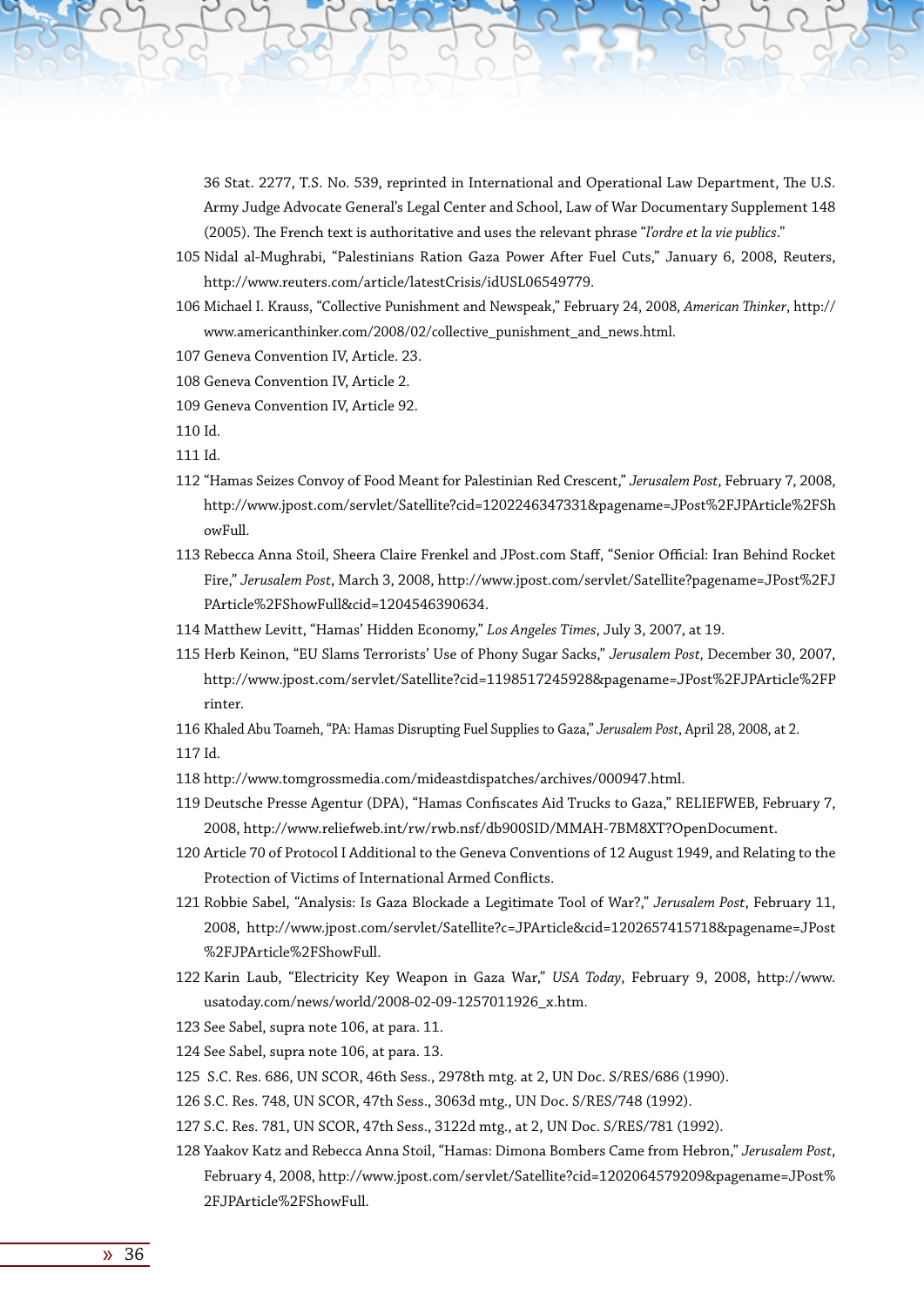36 Stat. 2277, T.S. No. 539, reprinted in International and Operational Law Department, The U.S. Army Judge Advocate General's Legal Center and School, Law of War Documentary Supplement 148 (2005). The French text is authoritative and uses the relevant phrase "*l'ordre et la vie publics*."

- 105 Nidal al-Mughrabi, "Palestinians Ration Gaza Power After Fuel Cuts," January 6, 2008, Reuters, http://www.reuters.com/article/latestCrisis/idUSL06549779.
- 106 Michael I. Krauss, "Collective Punishment and Newspeak," February 24, 2008, *American Thinker*, http:// www.americanthinker.com/2008/02/collective\_punishment\_and\_news.html.
- 107 Geneva Convention IV, Article. 23.
- 108 Geneva Convention IV, Article 2.
- 109 Geneva Convention IV, Article 92.
- 110 Id.
- 111 Id.
- 112 "Hamas Seizes Convoy of Food Meant for Palestinian Red Crescent," *Jerusalem Post*, February 7, 2008, http://www.jpost.com/servlet/Satellite?cid=1202246347331&pagename=JPost%2FJPArticle%2FSh owFull.
- 113 Rebecca Anna Stoil, Sheera Claire Frenkel and JPost.com Staff, "Senior Official: Iran Behind Rocket Fire," *Jerusalem Post*, March 3, 2008, http://www.jpost.com/servlet/Satellite?pagename=JPost%2FJ PArticle%2FShowFull&cid=1204546390634.
- 114 Matthew Levitt, "Hamas' Hidden Economy," *Los Angeles Times*, July 3, 2007, at 19.
- 115 Herb Keinon, "EU Slams Terrorists' Use of Phony Sugar Sacks," *Jerusalem Post,* December 30, 2007, http://www.jpost.com/servlet/Satellite?cid=1198517245928&pagename=JPost%2FJPArticle%2FP rinter.
- 116 Khaled Abu Toameh, "PA: Hamas Disrupting Fuel Supplies to Gaza," *Jerusalem Post*, April 28, 2008, at 2. 117 Id.
- 118 http://www.tomgrossmedia.com/mideastdispatches/archives/000947.html.
- 119 Deutsche Presse Agentur (DPA), "Hamas Confiscates Aid Trucks to Gaza," RELIEFWEB, February 7, 2008, http://www.reliefweb.int/rw/rwb.nsf/db900SID/MMAH-7BM8XT?OpenDocument.
- 120 Article 70 of Protocol I Additional to the Geneva Conventions of 12 August 1949, and Relating to the Protection of Victims of International Armed Conflicts.
- 121 Robbie Sabel, "Analysis: Is Gaza Blockade a Legitimate Tool of War?," *Jerusalem Post*, February 11, 2008, http://www.jpost.com/servlet/Satellite?c=JPArticle&cid=1202657415718&pagename=JPost %2FJPArticle%2FShowFull.
- 122 Karin Laub, "Electricity Key Weapon in Gaza War," *USA Today*, February 9, 2008, http://www. usatoday.com/news/world/2008-02-09-1257011926\_x.htm.
- 123 See Sabel, supra note 106, at para. 11.
- 124 See Sabel, supra note 106, at para. 13.
- 125 S.C. Res. 686, UN SCOR, 46th Sess., 2978th mtg. at 2, UN Doc. S/RES/686 (1990).
- 126 S.C. Res. 748, UN SCOR, 47th Sess., 3063d mtg., UN Doc. S/RES/748 (1992).
- 127 S.C. Res. 781, UN SCOR, 47th Sess., 3122d mtg., at 2, UN Doc. S/RES/781 (1992).
- 128 Yaakov Katz and Rebecca Anna Stoil, "Hamas: Dimona Bombers Came from Hebron," *Jerusalem Post*, February 4, 2008, http://www.jpost.com/servlet/Satellite?cid=1202064579209&pagename=JPost% 2FJPArticle%2FShowFull.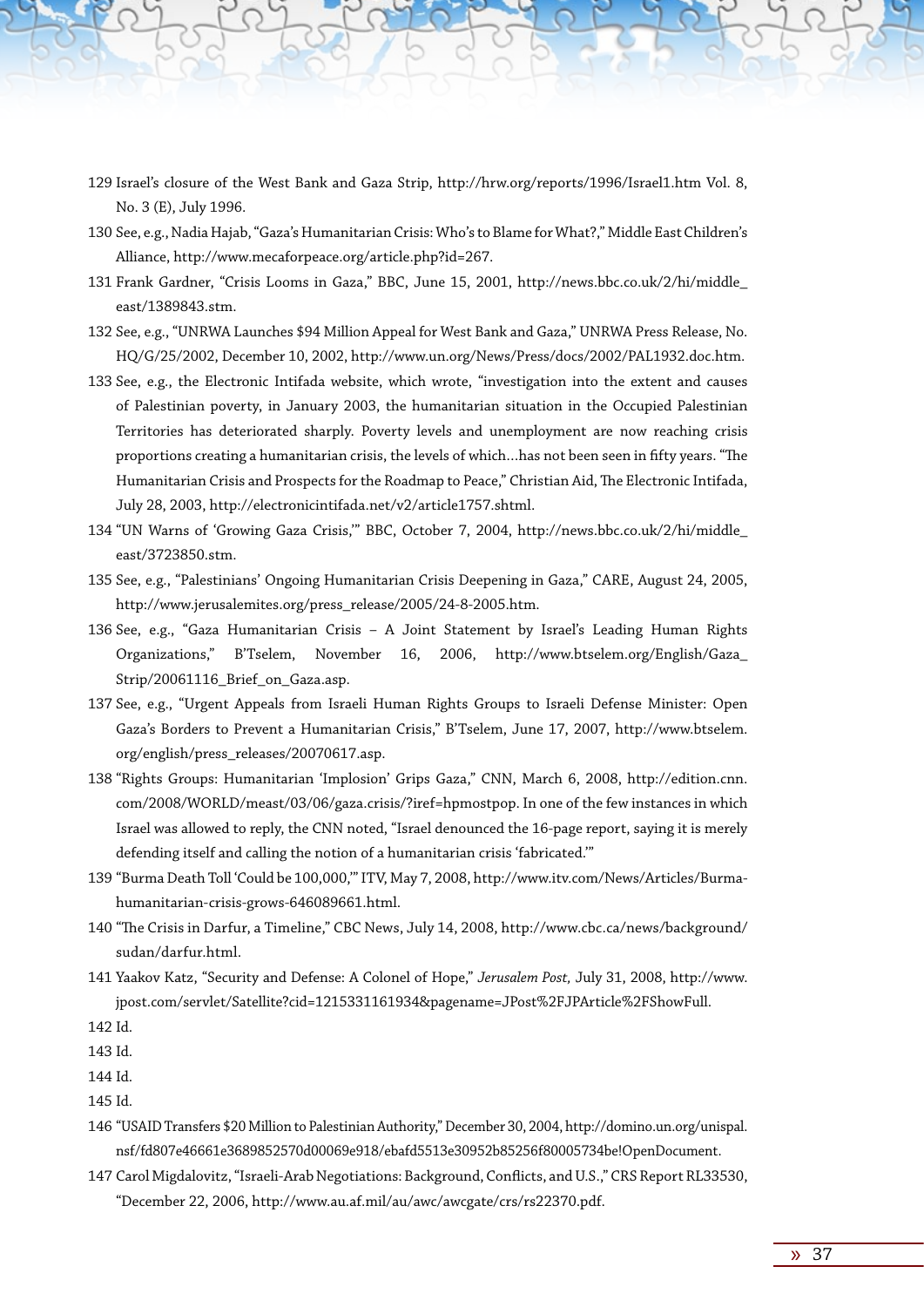- 129 Israel's closure of the West Bank and Gaza Strip, http://hrw.org/reports/1996/Israel1.htm Vol. 8, No. 3 (E), July 1996.
- 130 See, e.g., Nadia Hajab, "Gaza's Humanitarian Crisis: Who's to Blame for What?," Middle East Children's Alliance, http://www.mecaforpeace.org/article.php?id=267.
- 131 Frank Gardner, "Crisis Looms in Gaza," BBC, June 15, 2001, http://news.bbc.co.uk/2/hi/middle\_ east/1389843.stm.
- 132 See, e.g., "UNRWA Launches \$94 Million Appeal for West Bank and Gaza," UNRWA Press Release, No. HQ/G/25/2002, December 10, 2002, http://www.un.org/News/Press/docs/2002/PAL1932.doc.htm.
- 133 See, e.g., the Electronic Intifada website, which wrote, "investigation into the extent and causes of Palestinian poverty, in January 2003, the humanitarian situation in the Occupied Palestinian Territories has deteriorated sharply. Poverty levels and unemployment are now reaching crisis proportions creating a humanitarian crisis, the levels of which…has not been seen in fifty years. "The Humanitarian Crisis and Prospects for the Roadmap to Peace," Christian Aid, The Electronic Intifada, July 28, 2003, http://electronicintifada.net/v2/article1757.shtml.
- 134 "UN Warns of 'Growing Gaza Crisis,'" BBC, October 7, 2004, http://news.bbc.co.uk/2/hi/middle\_ east/3723850.stm.
- 135 See, e.g., "Palestinians' Ongoing Humanitarian Crisis Deepening in Gaza," CARE, August 24, 2005, http://www.jerusalemites.org/press\_release/2005/24-8-2005.htm.
- 136 See, e.g., "Gaza Humanitarian Crisis A Joint Statement by Israel's Leading Human Rights Organizations," B'Tselem, November 16, 2006, http://www.btselem.org/English/Gaza\_ Strip/20061116\_Brief\_on\_Gaza.asp.
- 137 See, e.g., "Urgent Appeals from Israeli Human Rights Groups to Israeli Defense Minister: Open Gaza's Borders to Prevent a Humanitarian Crisis," B'Tselem, June 17, 2007, http://www.btselem. org/english/press\_releases/20070617.asp.
- 138 "Rights Groups: Humanitarian 'Implosion' Grips Gaza," CNN, March 6, 2008, http://edition.cnn. com/2008/WORLD/meast/03/06/gaza.crisis/?iref=hpmostpop. In one of the few instances in which Israel was allowed to reply, the CNN noted, "Israel denounced the 16-page report, saying it is merely defending itself and calling the notion of a humanitarian crisis 'fabricated.'"
- 139 "Burma Death Toll 'Could be 100,000,'" ITV, May 7, 2008, http://www.itv.com/News/Articles/Burmahumanitarian-crisis-grows-646089661.html.
- 140 "The Crisis in Darfur, a Timeline," CBC News, July 14, 2008, http://www.cbc.ca/news/background/ sudan/darfur.html.
- 141 Yaakov Katz, "Security and Defense: A Colonel of Hope," *Jerusalem Post,* July 31, 2008, http://www. jpost.com/servlet/Satellite?cid=1215331161934&pagename=JPost%2FJPArticle%2FShowFull.
- 142 Id.

143 Id.

144 Id.

145 Id.

- 146 "USAID Transfers \$20 Million to Palestinian Authority," December 30, 2004, http://domino.un.org/unispal. nsf/fd807e46661e3689852570d00069e918/ebafd5513e30952b85256f80005734be!OpenDocument.
- 147 Carol Migdalovitz, "Israeli-Arab Negotiations: Background, Conflicts, and U.S.," CRS Report RL33530, "December 22, 2006, http://www.au.af.mil/au/awc/awcgate/crs/rs22370.pdf.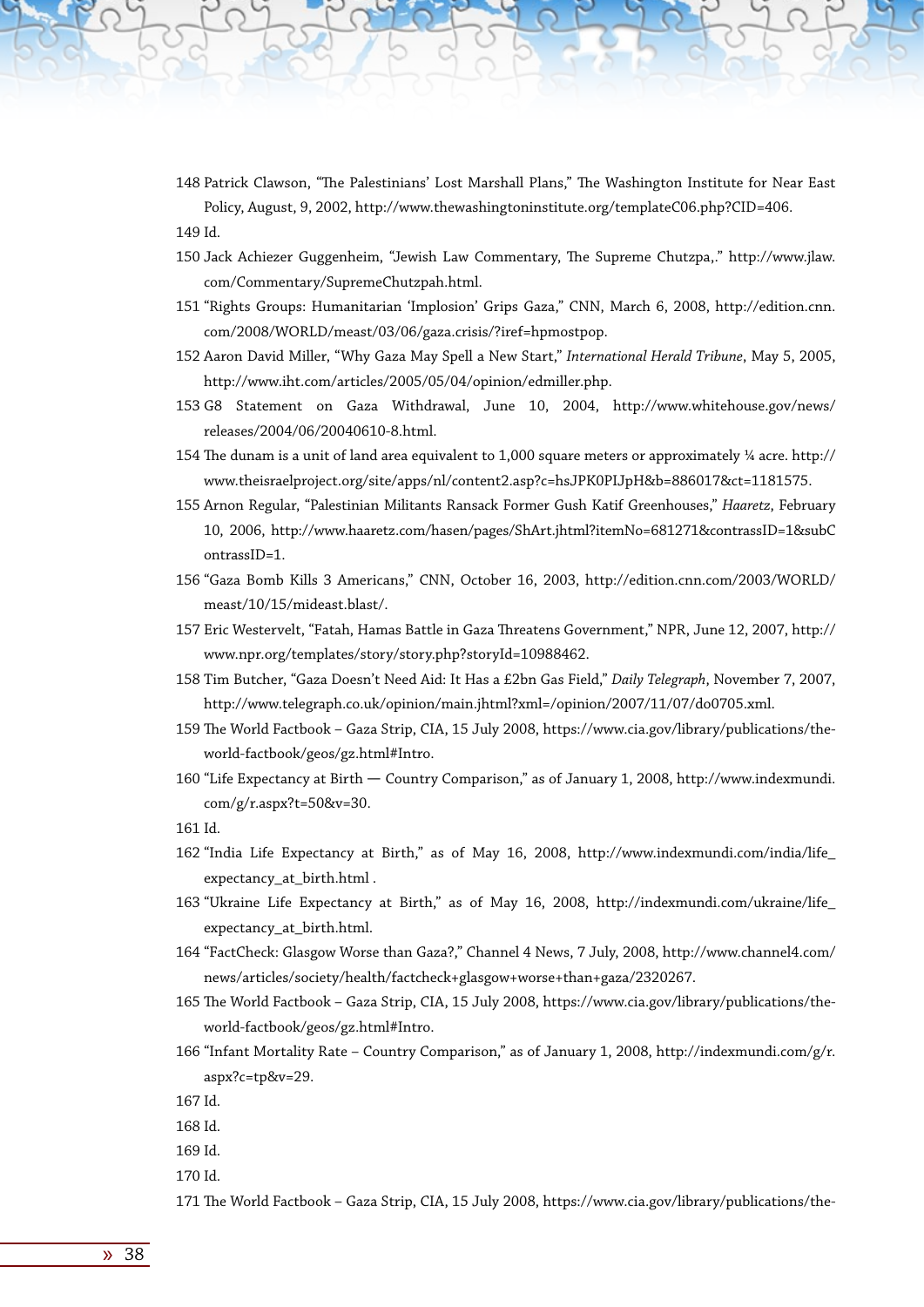- 148 Patrick Clawson, "The Palestinians' Lost Marshall Plans," The Washington Institute for Near East Policy, August, 9, 2002, http://www.thewashingtoninstitute.org/templateC06.php?CID=406. 149 Id.
- 150 Jack Achiezer Guggenheim, "Jewish Law Commentary, The Supreme Chutzpa,." http://www.jlaw. com/Commentary/SupremeChutzpah.html.
- 151 "Rights Groups: Humanitarian 'Implosion' Grips Gaza," CNN, March 6, 2008, http://edition.cnn. com/2008/WORLD/meast/03/06/gaza.crisis/?iref=hpmostpop.
- 152 Aaron David Miller, "Why Gaza May Spell a New Start," *International Herald Tribune*, May 5, 2005, http://www.iht.com/articles/2005/05/04/opinion/edmiller.php.
- 153 G8 Statement on Gaza Withdrawal, June 10, 2004, http://www.whitehouse.gov/news/ releases/2004/06/20040610-8.html.
- 154 The dunam is a unit of land area equivalent to 1,000 square meters or approximately ¼ acre. http:// www.theisraelproject.org/site/apps/nl/content2.asp?c=hsJPK0PIJpH&b=886017&ct=1181575.
- 155 Arnon Regular, "Palestinian Militants Ransack Former Gush Katif Greenhouses," *Haaretz*, February 10, 2006, http://www.haaretz.com/hasen/pages/ShArt.jhtml?itemNo=681271&contrassID=1&subC ontrassID=1.
- 156 "Gaza Bomb Kills 3 Americans," CNN, October 16, 2003, http://edition.cnn.com/2003/WORLD/ meast/10/15/mideast.blast/.
- 157 Eric Westervelt, "Fatah, Hamas Battle in Gaza Threatens Government," NPR, June 12, 2007, http:// www.npr.org/templates/story/story.php?storyId=10988462.
- 158 Tim Butcher, "Gaza Doesn't Need Aid: It Has a £2bn Gas Field," *Daily Telegraph*, November 7, 2007, http://www.telegraph.co.uk/opinion/main.jhtml?xml=/opinion/2007/11/07/do0705.xml.
- 159 The World Factbook Gaza Strip, CIA, 15 July 2008, https://www.cia.gov/library/publications/theworld-factbook/geos/gz.html#Intro.
- 160 "Life Expectancy at Birth Country Comparison," as of January 1, 2008, http://www.indexmundi. com/g/r.aspx?t=50&v=30.

161 Id.

- 162 "India Life Expectancy at Birth," as of May 16, 2008, http://www.indexmundi.com/india/life\_ expectancy\_at\_birth.html .
- 163 "Ukraine Life Expectancy at Birth," as of May 16, 2008, http://indexmundi.com/ukraine/life\_ expectancy\_at\_birth.html.
- 164 "FactCheck: Glasgow Worse than Gaza?," Channel 4 News, 7 July, 2008, http://www.channel4.com/ news/articles/society/health/factcheck+glasgow+worse+than+gaza/2320267.
- 165 The World Factbook Gaza Strip, CIA, 15 July 2008, https://www.cia.gov/library/publications/theworld-factbook/geos/gz.html#Intro.
- 166 "Infant Mortality Rate Country Comparison," as of January 1, 2008, http://indexmundi.com/g/r. aspx?c=tp&v=29.
- 167 Id.
- 168 Id.
- 169 Id.
- 170 Id.

171 The World Factbook – Gaza Strip, CIA, 15 July 2008, https://www.cia.gov/library/publications/the-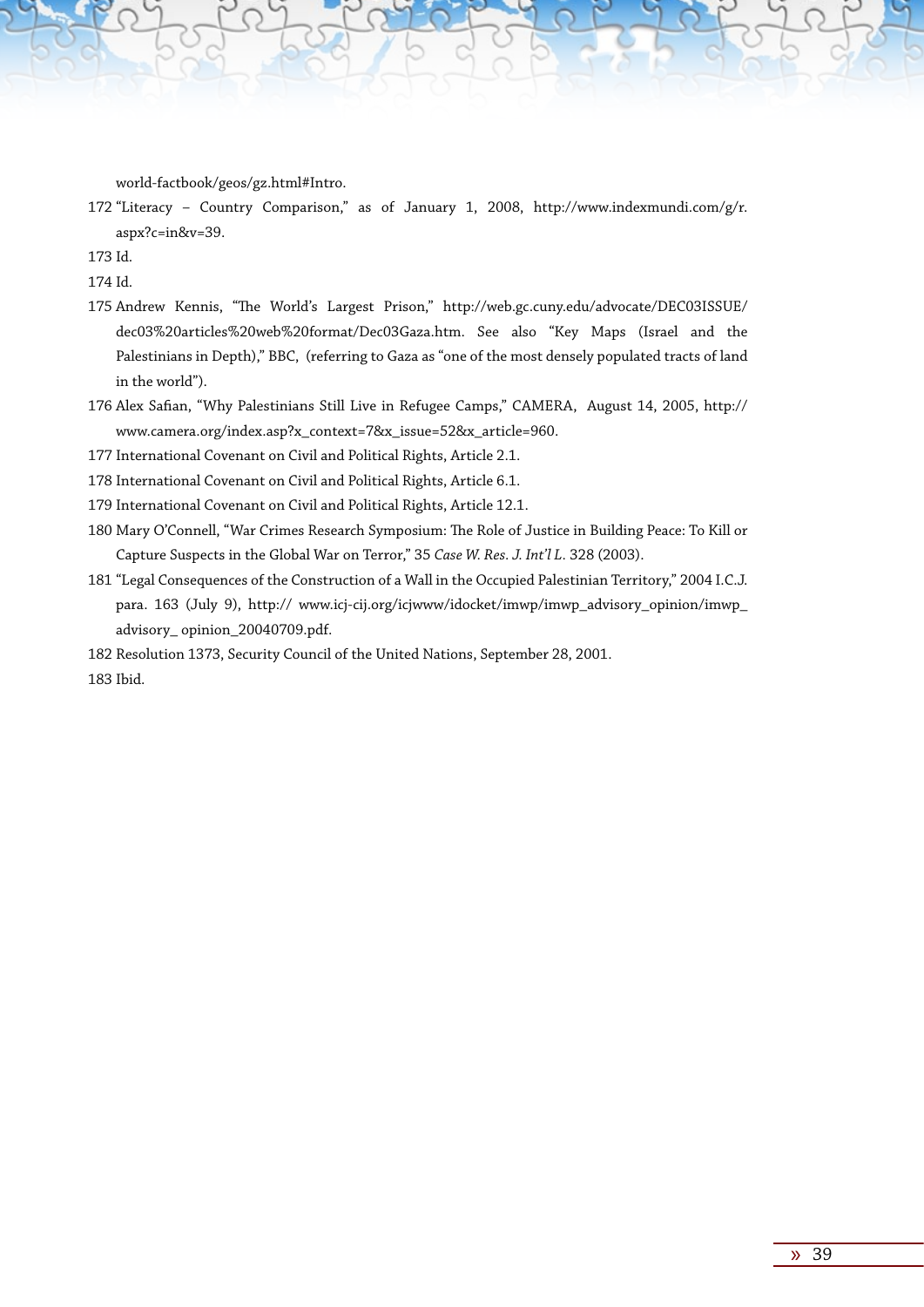world-factbook/geos/gz.html#Intro.

172 "Literacy – Country Comparison," as of January 1, 2008, http://www.indexmundi.com/g/r. aspx?c=in&v=39.

173 Id.

174 Id.

- 175 Andrew Kennis, "The World's Largest Prison," http://web.gc.cuny.edu/advocate/DEC03ISSUE/ dec03%20articles%20web%20format/Dec03Gaza.htm. See also "Key Maps (Israel and the Palestinians in Depth)," BBC, (referring to Gaza as "one of the most densely populated tracts of land in the world").
- 176 Alex Safian, "Why Palestinians Still Live in Refugee Camps," CAMERA, August 14, 2005, http:// www.camera.org/index.asp?x\_context=7&x\_issue=52&x\_article=960.

177 International Covenant on Civil and Political Rights, Article 2.1.

178 International Covenant on Civil and Political Rights, Article 6.1.

179 International Covenant on Civil and Political Rights, Article 12.1.

- 180 Mary O'Connell, "War Crimes Research Symposium: The Role of Justice in Building Peace: To Kill or Capture Suspects in the Global War on Terror," 35 *Case W. Res. J. Int'l L.* 328 (2003).
- 181 "Legal Consequences of the Construction of a Wall in the Occupied Palestinian Territory," 2004 I.C.J. para. 163 (July 9), http:// www.icj-cij.org/icjwww/idocket/imwp/imwp\_advisory\_opinion/imwp\_ advisory\_ opinion\_20040709.pdf.
- 182 Resolution 1373, Security Council of the United Nations, September 28, 2001.

183 Ibid.